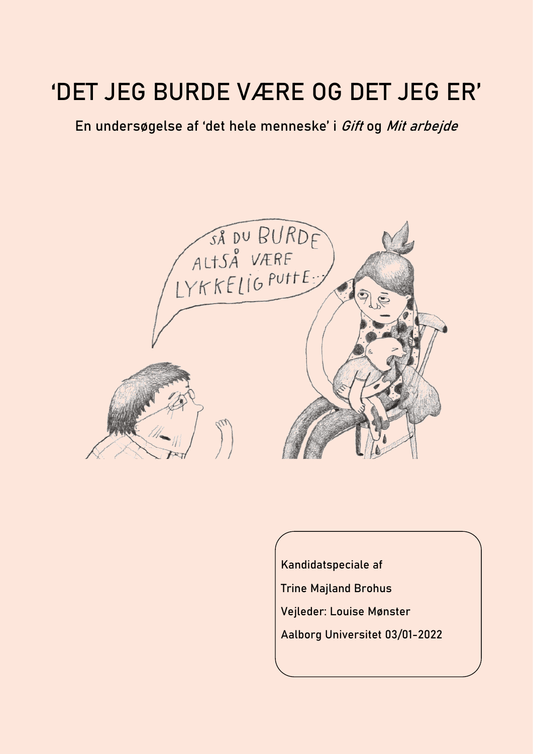# 'DET JEG BURDE VÆRE OG DET JEG ER'

### En undersøgelse af 'det hele menneske' i Gift og Mit arbejde



Kandidatspeciale af

- Trine Majland Brohus
- Vejleder: Louise Mønster
- and the contract of the contract of the contract of the contract of the contract of the contract of the contra<br>[DOMES III] [DOMES II] [DOMES II] [DOMES II] [DOMES II] [DOMES II] [DOMES II] [DOMES II] [DOMES II] [DOMES II] Aalborg Universitet 03/01-2022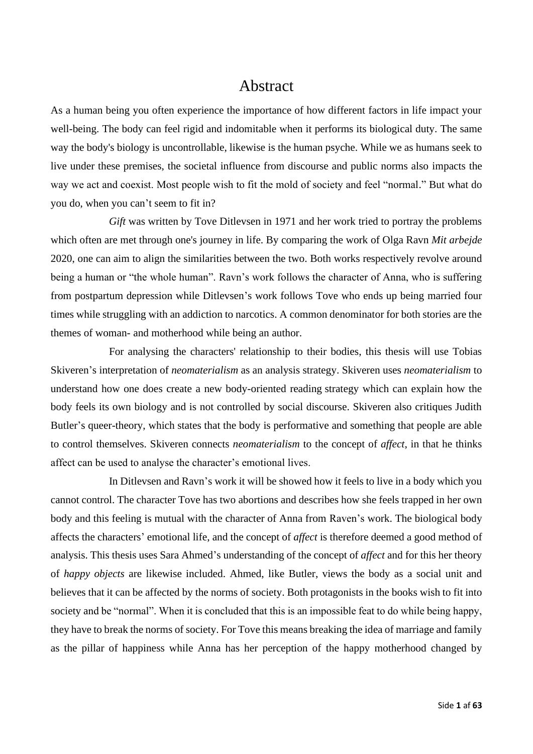### Abstract

<span id="page-1-0"></span>As a human being you often experience the importance of how different factors in life impact your well-being. The body can feel rigid and indomitable when it performs its biological duty. The same way the body's biology is uncontrollable, likewise is the human psyche. While we as humans seek to live under these premises, the societal influence from discourse and public norms also impacts the way we act and coexist. Most people wish to fit the mold of society and feel "normal." But what do you do, when you can't seem to fit in?

*Gift* was written by Tove Ditlevsen in 1971 and her work tried to portray the problems which often are met through one's journey in life. By comparing the work of Olga Ravn *Mit arbejde* 2020, one can aim to align the similarities between the two. Both works respectively revolve around being a human or "the whole human". Ravn's work follows the character of Anna, who is suffering from postpartum depression while Ditlevsen's work follows Tove who ends up being married four times while struggling with an addiction to narcotics. A common denominator for both stories are the themes of woman- and motherhood while being an author.

For analysing the characters' relationship to their bodies, this thesis will use Tobias Skiveren's interpretation of *neomaterialism* as an analysis strategy. Skiveren uses *neomaterialism* to understand how one does create a new body-oriented reading strategy which can explain how the body feels its own biology and is not controlled by social discourse. Skiveren also critiques Judith Butler's queer-theory, which states that the body is performative and something that people are able to control themselves. Skiveren connects *neomaterialism* to the concept of *affect*, in that he thinks affect can be used to analyse the character's emotional lives.

In Ditlevsen and Ravn's work it will be showed how it feels to live in a body which you cannot control. The character Tove has two abortions and describes how she feels trapped in her own body and this feeling is mutual with the character of Anna from Raven's work. The biological body affects the characters' emotional life, and the concept of *affect* is therefore deemed a good method of analysis. This thesis uses Sara Ahmed's understanding of the concept of *affect* and for this her theory of *happy objects* are likewise included. Ahmed, like Butler, views the body as a social unit and believes that it can be affected by the norms of society. Both protagonists in the books wish to fit into society and be "normal". When it is concluded that this is an impossible feat to do while being happy, they have to break the norms of society. For Tove this means breaking the idea of marriage and family as the pillar of happiness while Anna has her perception of the happy motherhood changed by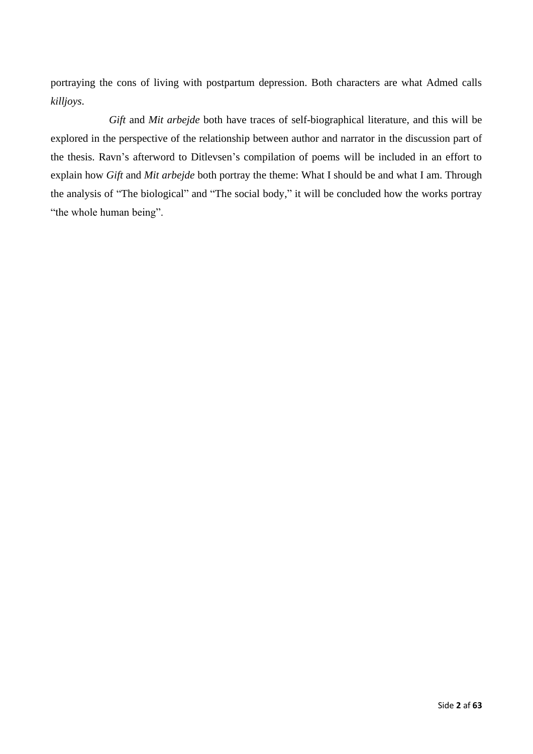portraying the cons of living with postpartum depression. Both characters are what Admed calls *killjoys*.

*Gift* and *Mit arbejde* both have traces of self-biographical literature, and this will be explored in the perspective of the relationship between author and narrator in the discussion part of the thesis. Ravn's afterword to Ditlevsen's compilation of poems will be included in an effort to explain how *Gift* and *Mit arbejde* both portray the theme: What I should be and what I am. Through the analysis of "The biological" and "The social body," it will be concluded how the works portray "the whole human being".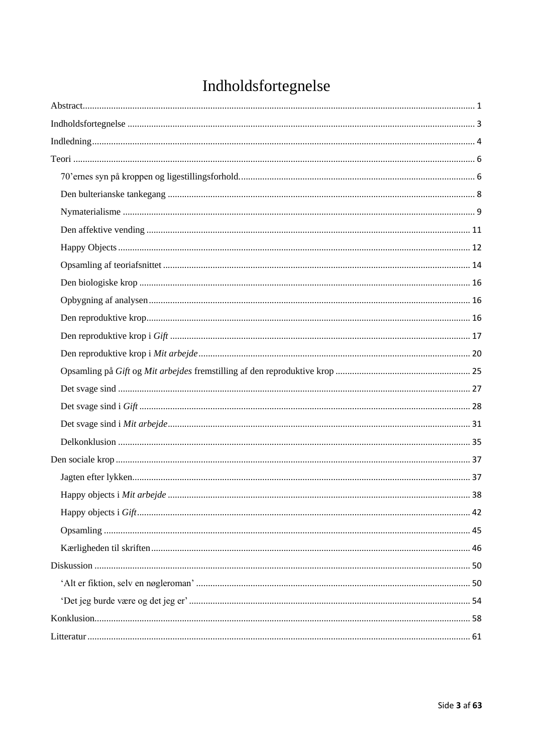## Indholdsfortegnelse

<span id="page-3-0"></span>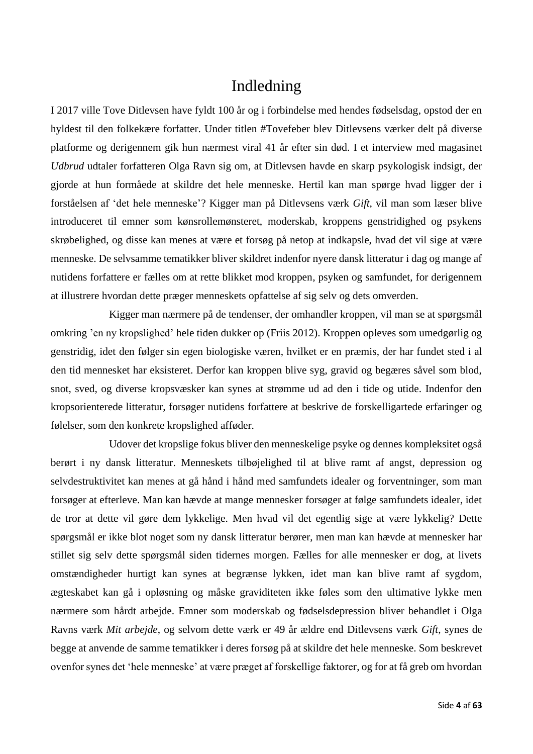### Indledning

<span id="page-4-0"></span>I 2017 ville Tove Ditlevsen have fyldt 100 år og i forbindelse med hendes fødselsdag, opstod der en hyldest til den folkekære forfatter. Under titlen #Tovefeber blev Ditlevsens værker delt på diverse platforme og derigennem gik hun nærmest viral 41 år efter sin død. I et interview med magasinet *Udbrud* udtaler forfatteren Olga Ravn sig om, at Ditlevsen havde en skarp psykologisk indsigt, der gjorde at hun formåede at skildre det hele menneske. Hertil kan man spørge hvad ligger der i forståelsen af 'det hele menneske'? Kigger man på Ditlevsens værk *Gift*, vil man som læser blive introduceret til emner som kønsrollemønsteret, moderskab, kroppens genstridighed og psykens skrøbelighed, og disse kan menes at være et forsøg på netop at indkapsle, hvad det vil sige at være menneske. De selvsamme tematikker bliver skildret indenfor nyere dansk litteratur i dag og mange af nutidens forfattere er fælles om at rette blikket mod kroppen, psyken og samfundet, for derigennem at illustrere hvordan dette præger menneskets opfattelse af sig selv og dets omverden.

Kigger man nærmere på de tendenser, der omhandler kroppen, vil man se at spørgsmål omkring 'en ny kropslighed' hele tiden dukker op (Friis 2012). Kroppen opleves som umedgørlig og genstridig, idet den følger sin egen biologiske væren, hvilket er en præmis, der har fundet sted i al den tid mennesket har eksisteret. Derfor kan kroppen blive syg, gravid og begæres såvel som blod, snot, sved, og diverse kropsvæsker kan synes at strømme ud ad den i tide og utide. Indenfor den kropsorienterede litteratur, forsøger nutidens forfattere at beskrive de forskelligartede erfaringer og følelser, som den konkrete kropslighed afføder.

Udover det kropslige fokus bliver den menneskelige psyke og dennes kompleksitet også berørt i ny dansk litteratur. Menneskets tilbøjelighed til at blive ramt af angst, depression og selvdestruktivitet kan menes at gå hånd i hånd med samfundets idealer og forventninger, som man forsøger at efterleve. Man kan hævde at mange mennesker forsøger at følge samfundets idealer, idet de tror at dette vil gøre dem lykkelige. Men hvad vil det egentlig sige at være lykkelig? Dette spørgsmål er ikke blot noget som ny dansk litteratur berører, men man kan hævde at mennesker har stillet sig selv dette spørgsmål siden tidernes morgen. Fælles for alle mennesker er dog, at livets omstændigheder hurtigt kan synes at begrænse lykken, idet man kan blive ramt af sygdom, ægteskabet kan gå i opløsning og måske graviditeten ikke føles som den ultimative lykke men nærmere som hårdt arbejde. Emner som moderskab og fødselsdepression bliver behandlet i Olga Ravns værk *Mit arbejde*, og selvom dette værk er 49 år ældre end Ditlevsens værk *Gift*, synes de begge at anvende de samme tematikker i deres forsøg på at skildre det hele menneske. Som beskrevet ovenfor synes det 'hele menneske' at være præget af forskellige faktorer, og for at få greb om hvordan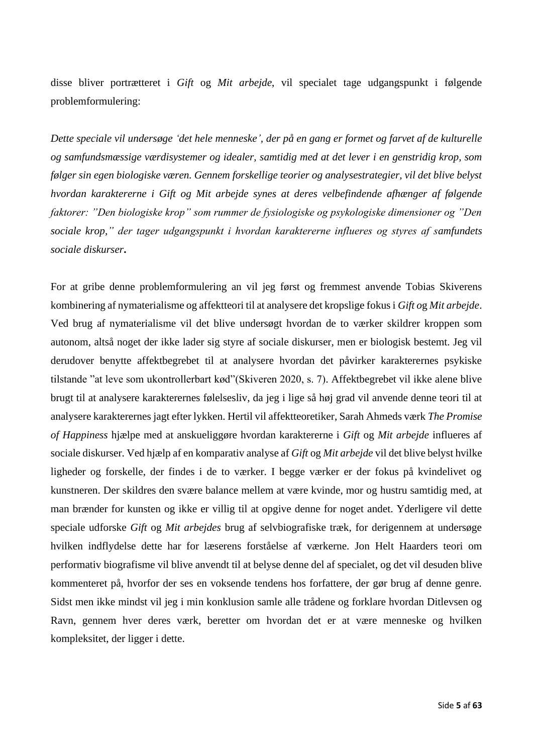disse bliver portrætteret i *Gift* og *Mit arbejde*, vil specialet tage udgangspunkt i følgende problemformulering:

*Dette speciale vil undersøge 'det hele menneske', der på en gang er formet og farvet af de kulturelle og samfundsmæssige værdisystemer og idealer, samtidig med at det lever i en genstridig krop, som følger sin egen biologiske væren. Gennem forskellige teorier og analysestrategier, vil det blive belyst hvordan karaktererne i Gift og Mit arbejde synes at deres velbefindende afhænger af følgende faktorer: "Den biologiske krop" som rummer de fysiologiske og psykologiske dimensioner og "Den sociale krop," der tager udgangspunkt i hvordan karaktererne influeres og styres af samfundets sociale diskurser***.** 

For at gribe denne problemformulering an vil jeg først og fremmest anvende Tobias Skiverens kombinering af nymaterialisme og affektteori til at analysere det kropslige fokus i *Gift o*g *Mit arbejde*. Ved brug af nymaterialisme vil det blive undersøgt hvordan de to værker skildrer kroppen som autonom, altså noget der ikke lader sig styre af sociale diskurser, men er biologisk bestemt. Jeg vil derudover benytte affektbegrebet til at analysere hvordan det påvirker karakterernes psykiske tilstande "at leve som ukontrollerbart kød"(Skiveren 2020, s. 7). Affektbegrebet vil ikke alene blive brugt til at analysere karakterernes følelsesliv, da jeg i lige så høj grad vil anvende denne teori til at analysere karakterernes jagt efter lykken. Hertil vil affektteoretiker, Sarah Ahmeds værk *The Promise of Happiness* hjælpe med at anskueliggøre hvordan karaktererne i *Gift* og *Mit arbejde* influeres af sociale diskurser. Ved hjælp af en komparativ analyse af *Gift* og *Mit arbejde* vil det blive belyst hvilke ligheder og forskelle, der findes i de to værker. I begge værker er der fokus på kvindelivet og kunstneren. Der skildres den svære balance mellem at være kvinde, mor og hustru samtidig med, at man brænder for kunsten og ikke er villig til at opgive denne for noget andet. Yderligere vil dette speciale udforske *Gift* og *Mit arbejdes* brug af selvbiografiske træk, for derigennem at undersøge hvilken indflydelse dette har for læserens forståelse af værkerne. Jon Helt Haarders teori om performativ biografisme vil blive anvendt til at belyse denne del af specialet, og det vil desuden blive kommenteret på, hvorfor der ses en voksende tendens hos forfattere, der gør brug af denne genre. Sidst men ikke mindst vil jeg i min konklusion samle alle trådene og forklare hvordan Ditlevsen og Ravn, gennem hver deres værk, beretter om hvordan det er at være menneske og hvilken kompleksitet, der ligger i dette.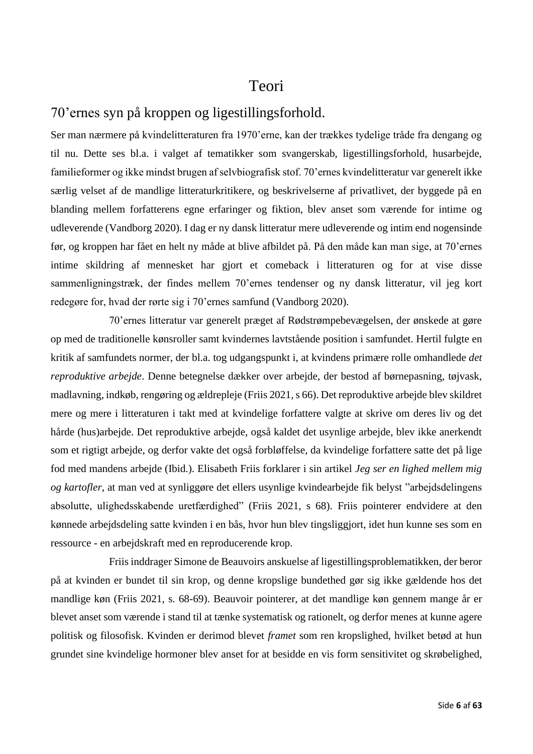### Teori

### <span id="page-6-1"></span><span id="page-6-0"></span>70'ernes syn på kroppen og ligestillingsforhold.

Ser man nærmere på kvindelitteraturen fra 1970'erne, kan der trækkes tydelige tråde fra dengang og til nu. Dette ses bl.a. i valget af tematikker som svangerskab, ligestillingsforhold, husarbejde, familieformer og ikke mindst brugen af selvbiografisk stof. 70'ernes kvindelitteratur var generelt ikke særlig velset af de mandlige litteraturkritikere, og beskrivelserne af privatlivet, der byggede på en blanding mellem forfatterens egne erfaringer og fiktion, blev anset som værende for intime og udleverende (Vandborg 2020). I dag er ny dansk litteratur mere udleverende og intim end nogensinde før, og kroppen har fået en helt ny måde at blive afbildet på. På den måde kan man sige, at 70'ernes intime skildring af mennesket har gjort et comeback i litteraturen og for at vise disse sammenligningstræk, der findes mellem 70'ernes tendenser og ny dansk litteratur, vil jeg kort redegøre for, hvad der rørte sig i 70'ernes samfund (Vandborg 2020).

70'ernes litteratur var generelt præget af Rødstrømpebevægelsen, der ønskede at gøre op med de traditionelle kønsroller samt kvindernes lavtstående position i samfundet. Hertil fulgte en kritik af samfundets normer, der bl.a. tog udgangspunkt i, at kvindens primære rolle omhandlede *det reproduktive arbejde*. Denne betegnelse dækker over arbejde, der bestod af børnepasning, tøjvask, madlavning, indkøb, rengøring og ældrepleje (Friis 2021, s 66). Det reproduktive arbejde blev skildret mere og mere i litteraturen i takt med at kvindelige forfattere valgte at skrive om deres liv og det hårde (hus)arbejde. Det reproduktive arbejde, også kaldet det usynlige arbejde, blev ikke anerkendt som et rigtigt arbejde, og derfor vakte det også forbløffelse, da kvindelige forfattere satte det på lige fod med mandens arbejde (Ibid.). Elisabeth Friis forklarer i sin artikel *Jeg ser en lighed mellem mig og kartofler*, at man ved at synliggøre det ellers usynlige kvindearbejde fik belyst "arbejdsdelingens absolutte, ulighedsskabende uretfærdighed" (Friis 2021, s 68). Friis pointerer endvidere at den kønnede arbejdsdeling satte kvinden i en bås, hvor hun blev tingsliggjort, idet hun kunne ses som en ressource - en arbejdskraft med en reproducerende krop.

Friis inddrager Simone de Beauvoirs anskuelse af ligestillingsproblematikken, der beror på at kvinden er bundet til sin krop, og denne kropslige bundethed gør sig ikke gældende hos det mandlige køn (Friis 2021, s. 68-69). Beauvoir pointerer, at det mandlige køn gennem mange år er blevet anset som værende i stand til at tænke systematisk og rationelt, og derfor menes at kunne agere politisk og filosofisk. Kvinden er derimod blevet *framet* som ren kropslighed, hvilket betød at hun grundet sine kvindelige hormoner blev anset for at besidde en vis form sensitivitet og skrøbelighed,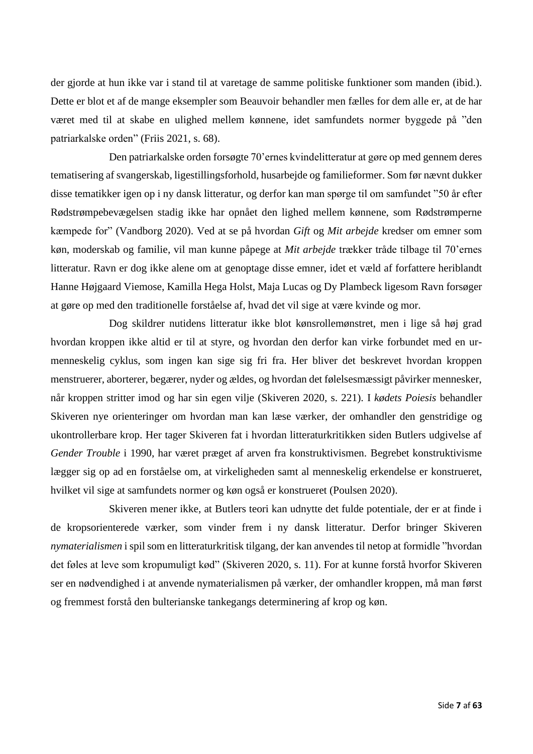der gjorde at hun ikke var i stand til at varetage de samme politiske funktioner som manden (ibid.). Dette er blot et af de mange eksempler som Beauvoir behandler men fælles for dem alle er, at de har været med til at skabe en ulighed mellem kønnene, idet samfundets normer byggede på "den patriarkalske orden" (Friis 2021, s. 68).

Den patriarkalske orden forsøgte 70'ernes kvindelitteratur at gøre op med gennem deres tematisering af svangerskab, ligestillingsforhold, husarbejde og familieformer. Som før nævnt dukker disse tematikker igen op i ny dansk litteratur, og derfor kan man spørge til om samfundet "50 år efter Rødstrømpebevægelsen stadig ikke har opnået den lighed mellem kønnene, som Rødstrømperne kæmpede for" (Vandborg 2020). Ved at se på hvordan *Gift* og *Mit arbejde* kredser om emner som køn, moderskab og familie, vil man kunne påpege at *Mit arbejde* trækker tråde tilbage til 70'ernes litteratur. Ravn er dog ikke alene om at genoptage disse emner, idet et væld af forfattere heriblandt Hanne Højgaard Viemose, Kamilla Hega Holst, Maja Lucas og Dy Plambeck ligesom Ravn forsøger at gøre op med den traditionelle forståelse af, hvad det vil sige at være kvinde og mor.

Dog skildrer nutidens litteratur ikke blot kønsrollemønstret, men i lige så høj grad hvordan kroppen ikke altid er til at styre, og hvordan den derfor kan virke forbundet med en urmenneskelig cyklus, som ingen kan sige sig fri fra. Her bliver det beskrevet hvordan kroppen menstruerer, aborterer, begærer, nyder og ældes, og hvordan det følelsesmæssigt påvirker mennesker, når kroppen stritter imod og har sin egen vilje (Skiveren 2020, s. 221). I *kødets Poiesis* behandler Skiveren nye orienteringer om hvordan man kan læse værker, der omhandler den genstridige og ukontrollerbare krop. Her tager Skiveren fat i hvordan litteraturkritikken siden Butlers udgivelse af *Gender Trouble* i 1990, har været præget af arven fra konstruktivismen. Begrebet konstruktivisme lægger sig op ad en forståelse om, at virkeligheden samt al menneskelig erkendelse er konstrueret, hvilket vil sige at samfundets normer og køn også er konstrueret (Poulsen 2020).

Skiveren mener ikke, at Butlers teori kan udnytte det fulde potentiale, der er at finde i de kropsorienterede værker, som vinder frem i ny dansk litteratur. Derfor bringer Skiveren *nymaterialismen* i spil som en litteraturkritisk tilgang, der kan anvendes til netop at formidle "hvordan det føles at leve som kropumuligt kød" (Skiveren 2020, s. 11). For at kunne forstå hvorfor Skiveren ser en nødvendighed i at anvende nymaterialismen på værker, der omhandler kroppen, må man først og fremmest forstå den bulterianske tankegangs determinering af krop og køn.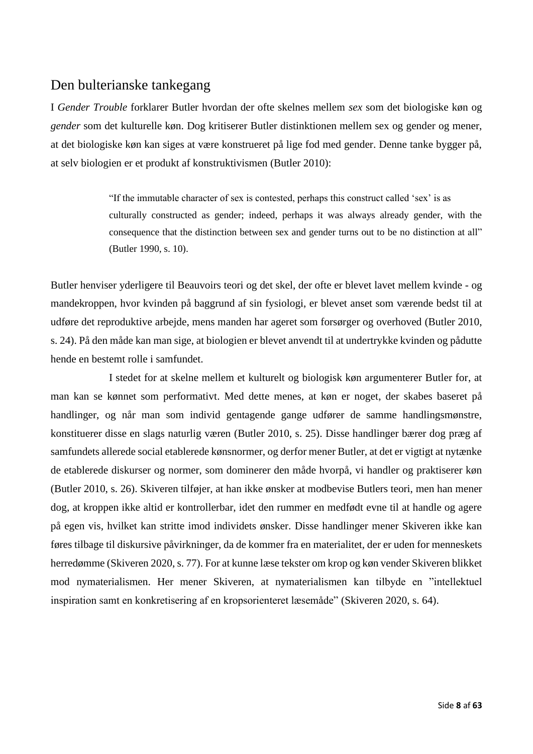### <span id="page-8-0"></span>Den bulterianske tankegang

I *Gender Trouble* forklarer Butler hvordan der ofte skelnes mellem *sex* som det biologiske køn og *gender* som det kulturelle køn. Dog kritiserer Butler distinktionen mellem sex og gender og mener, at det biologiske køn kan siges at være konstrueret på lige fod med gender. Denne tanke bygger på, at selv biologien er et produkt af konstruktivismen (Butler 2010):

> "If the immutable character of sex is contested, perhaps this construct called 'sex' is as culturally constructed as gender; indeed, perhaps it was always already gender, with the consequence that the distinction between sex and gender turns out to be no distinction at all" (Butler 1990, s. 10).

Butler henviser yderligere til Beauvoirs teori og det skel, der ofte er blevet lavet mellem kvinde - og mandekroppen, hvor kvinden på baggrund af sin fysiologi, er blevet anset som værende bedst til at udføre det reproduktive arbejde, mens manden har ageret som forsørger og overhoved (Butler 2010, s. 24). På den måde kan man sige, at biologien er blevet anvendt til at undertrykke kvinden og pådutte hende en bestemt rolle i samfundet.

I stedet for at skelne mellem et kulturelt og biologisk køn argumenterer Butler for, at man kan se kønnet som performativt. Med dette menes, at køn er noget, der skabes baseret på handlinger, og når man som individ gentagende gange udfører de samme handlingsmønstre, konstituerer disse en slags naturlig væren (Butler 2010, s. 25). Disse handlinger bærer dog præg af samfundets allerede social etablerede kønsnormer, og derfor mener Butler, at det er vigtigt at nytænke de etablerede diskurser og normer, som dominerer den måde hvorpå, vi handler og praktiserer køn (Butler 2010, s. 26). Skiveren tilføjer, at han ikke ønsker at modbevise Butlers teori, men han mener dog, at kroppen ikke altid er kontrollerbar, idet den rummer en medfødt evne til at handle og agere på egen vis, hvilket kan stritte imod individets ønsker. Disse handlinger mener Skiveren ikke kan føres tilbage til diskursive påvirkninger, da de kommer fra en materialitet, der er uden for menneskets herredømme (Skiveren 2020, s. 77). For at kunne læse tekster om krop og køn vender Skiveren blikket mod nymaterialismen. Her mener Skiveren, at nymaterialismen kan tilbyde en "intellektuel inspiration samt en konkretisering af en kropsorienteret læsemåde" (Skiveren 2020, s. 64).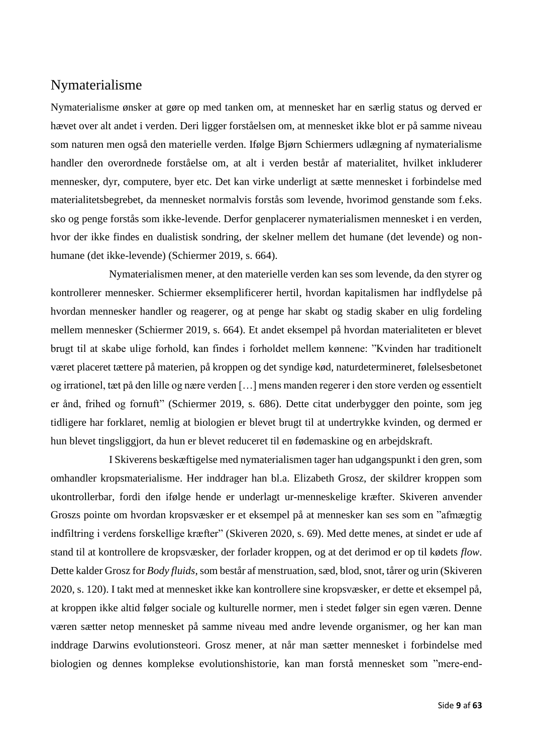### <span id="page-9-0"></span>Nymaterialisme

Nymaterialisme ønsker at gøre op med tanken om, at mennesket har en særlig status og derved er hævet over alt andet i verden. Deri ligger forståelsen om, at mennesket ikke blot er på samme niveau som naturen men også den materielle verden. Ifølge Bjørn Schiermers udlægning af nymaterialisme handler den overordnede forståelse om, at alt i verden består af materialitet, hvilket inkluderer mennesker, dyr, computere, byer etc. Det kan virke underligt at sætte mennesket i forbindelse med materialitetsbegrebet, da mennesket normalvis forstås som levende, hvorimod genstande som f.eks. sko og penge forstås som ikke-levende. Derfor genplacerer nymaterialismen mennesket i en verden, hvor der ikke findes en dualistisk sondring, der skelner mellem det humane (det levende) og nonhumane (det ikke-levende) (Schiermer 2019, s. 664).

Nymaterialismen mener, at den materielle verden kan ses som levende, da den styrer og kontrollerer mennesker. Schiermer eksemplificerer hertil, hvordan kapitalismen har indflydelse på hvordan mennesker handler og reagerer, og at penge har skabt og stadig skaber en ulig fordeling mellem mennesker (Schiermer 2019, s. 664). Et andet eksempel på hvordan materialiteten er blevet brugt til at skabe ulige forhold, kan findes i forholdet mellem kønnene: "Kvinden har traditionelt været placeret tættere på materien, på kroppen og det syndige kød, naturdetermineret, følelsesbetonet og irrationel, tæt på den lille og nære verden […] mens manden regerer i den store verden og essentielt er ånd, frihed og fornuft" (Schiermer 2019, s. 686). Dette citat underbygger den pointe, som jeg tidligere har forklaret, nemlig at biologien er blevet brugt til at undertrykke kvinden, og dermed er hun blevet tingsliggjort, da hun er blevet reduceret til en fødemaskine og en arbejdskraft.

I Skiverens beskæftigelse med nymaterialismen tager han udgangspunkt i den gren, som omhandler kropsmaterialisme. Her inddrager han bl.a. Elizabeth Grosz, der skildrer kroppen som ukontrollerbar, fordi den ifølge hende er underlagt ur-menneskelige kræfter. Skiveren anvender Groszs pointe om hvordan kropsvæsker er et eksempel på at mennesker kan ses som en "afmægtig indfiltring i verdens forskellige kræfter" (Skiveren 2020, s. 69). Med dette menes, at sindet er ude af stand til at kontrollere de kropsvæsker, der forlader kroppen, og at det derimod er op til kødets *flow*. Dette kalder Grosz for *Body fluids*, som består af menstruation, sæd, blod, snot, tårer og urin (Skiveren 2020, s. 120). I takt med at mennesket ikke kan kontrollere sine kropsvæsker, er dette et eksempel på, at kroppen ikke altid følger sociale og kulturelle normer, men i stedet følger sin egen væren. Denne væren sætter netop mennesket på samme niveau med andre levende organismer, og her kan man inddrage Darwins evolutionsteori. Grosz mener, at når man sætter mennesket i forbindelse med biologien og dennes komplekse evolutionshistorie, kan man forstå mennesket som "mere-end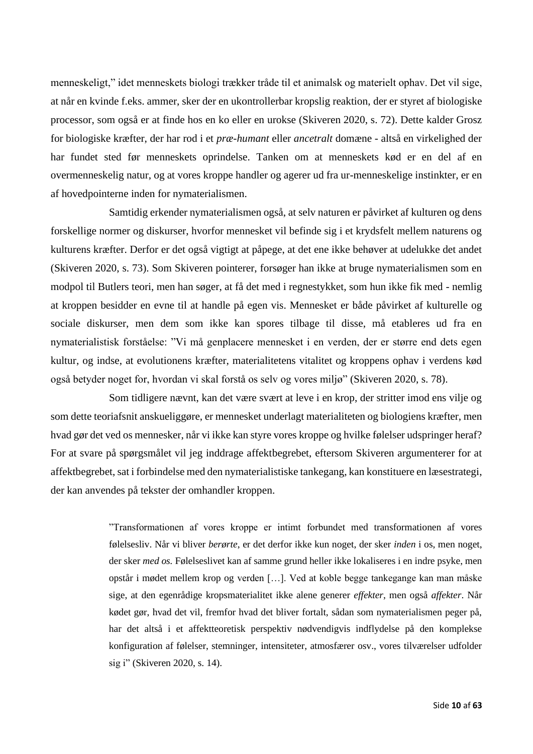menneskeligt," idet menneskets biologi trækker tråde til et animalsk og materielt ophav. Det vil sige, at når en kvinde f.eks. ammer, sker der en ukontrollerbar kropslig reaktion, der er styret af biologiske processor, som også er at finde hos en ko eller en urokse (Skiveren 2020, s. 72). Dette kalder Grosz for biologiske kræfter, der har rod i et *præ-humant* eller *ancetralt* domæne - altså en virkelighed der har fundet sted før menneskets oprindelse. Tanken om at menneskets kød er en del af en overmenneskelig natur, og at vores kroppe handler og agerer ud fra ur-menneskelige instinkter, er en af hovedpointerne inden for nymaterialismen.

Samtidig erkender nymaterialismen også, at selv naturen er påvirket af kulturen og dens forskellige normer og diskurser, hvorfor mennesket vil befinde sig i et krydsfelt mellem naturens og kulturens kræfter. Derfor er det også vigtigt at påpege, at det ene ikke behøver at udelukke det andet (Skiveren 2020, s. 73). Som Skiveren pointerer, forsøger han ikke at bruge nymaterialismen som en modpol til Butlers teori, men han søger, at få det med i regnestykket, som hun ikke fik med - nemlig at kroppen besidder en evne til at handle på egen vis. Mennesket er både påvirket af kulturelle og sociale diskurser, men dem som ikke kan spores tilbage til disse, må etableres ud fra en nymaterialistisk forståelse: "Vi må genplacere mennesket i en verden, der er større end dets egen kultur, og indse, at evolutionens kræfter, materialitetens vitalitet og kroppens ophav i verdens kød også betyder noget for, hvordan vi skal forstå os selv og vores miljø" (Skiveren 2020, s. 78).

Som tidligere nævnt, kan det være svært at leve i en krop, der stritter imod ens vilje og som dette teoriafsnit anskueliggøre, er mennesket underlagt materialiteten og biologiens kræfter, men hvad gør det ved os mennesker, når vi ikke kan styre vores kroppe og hvilke følelser udspringer heraf? For at svare på spørgsmålet vil jeg inddrage affektbegrebet, eftersom Skiveren argumenterer for at affektbegrebet, sat i forbindelse med den nymaterialistiske tankegang, kan konstituere en læsestrategi, der kan anvendes på tekster der omhandler kroppen.

> "Transformationen af vores kroppe er intimt forbundet med transformationen af vores følelsesliv. Når vi bliver *berørte*, er det derfor ikke kun noget, der sker *inden* i os, men noget, der sker *med os.* Følelseslivet kan af samme grund heller ikke lokaliseres i en indre psyke, men opstår i mødet mellem krop og verden […]. Ved at koble begge tankegange kan man måske sige, at den egenrådige kropsmaterialitet ikke alene generer *effekter*, men også *affekter*. Når kødet gør, hvad det vil, fremfor hvad det bliver fortalt, sådan som nymaterialismen peger på, har det altså i et affektteoretisk perspektiv nødvendigvis indflydelse på den komplekse konfiguration af følelser, stemninger, intensiteter, atmosfærer osv., vores tilværelser udfolder sig i" (Skiveren 2020, s. 14).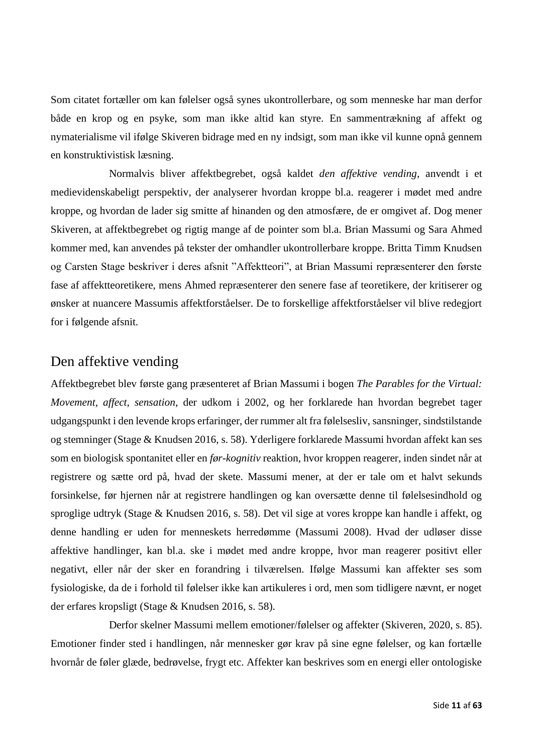Som citatet fortæller om kan følelser også synes ukontrollerbare, og som menneske har man derfor både en krop og en psyke, som man ikke altid kan styre. En sammentrækning af affekt og nymaterialisme vil ifølge Skiveren bidrage med en ny indsigt, som man ikke vil kunne opnå gennem en konstruktivistisk læsning.

Normalvis bliver affektbegrebet, også kaldet *den affektive vending*, anvendt i et medievidenskabeligt perspektiv, der analyserer hvordan kroppe bl.a. reagerer i mødet med andre kroppe, og hvordan de lader sig smitte af hinanden og den atmosfære, de er omgivet af. Dog mener Skiveren, at affektbegrebet og rigtig mange af de pointer som bl.a. Brian Massumi og Sara Ahmed kommer med, kan anvendes på tekster der omhandler ukontrollerbare kroppe. Britta Timm Knudsen og Carsten Stage beskriver i deres afsnit "Affektteori", at Brian Massumi repræsenterer den første fase af affektteoretikere, mens Ahmed repræsenterer den senere fase af teoretikere, der kritiserer og ønsker at nuancere Massumis affektforståelser. De to forskellige affektforståelser vil blive redegjort for i følgende afsnit.

### <span id="page-11-0"></span>Den affektive vending

Affektbegrebet blev første gang præsenteret af Brian Massumi i bogen *The Parables for the Virtual: Movement, affect, sensation*, der udkom i 2002, og her forklarede han hvordan begrebet tager udgangspunkt i den levende krops erfaringer, der rummer alt fra følelsesliv, sansninger, sindstilstande og stemninger (Stage & Knudsen 2016, s. 58). Yderligere forklarede Massumi hvordan affekt kan ses som en biologisk spontanitet eller en *før-kognitiv* reaktion, hvor kroppen reagerer, inden sindet når at registrere og sætte ord på, hvad der skete. Massumi mener, at der er tale om et halvt sekunds forsinkelse, før hjernen når at registrere handlingen og kan oversætte denne til følelsesindhold og sproglige udtryk (Stage & Knudsen 2016, s. 58). Det vil sige at vores kroppe kan handle i affekt, og denne handling er uden for menneskets herredømme (Massumi 2008). Hvad der udløser disse affektive handlinger, kan bl.a. ske i mødet med andre kroppe, hvor man reagerer positivt eller negativt, eller når der sker en forandring i tilværelsen. Ifølge Massumi kan affekter ses som fysiologiske, da de i forhold til følelser ikke kan artikuleres i ord, men som tidligere nævnt, er noget der erfares kropsligt (Stage & Knudsen 2016, s. 58).

Derfor skelner Massumi mellem emotioner/følelser og affekter (Skiveren, 2020, s. 85). Emotioner finder sted i handlingen, når mennesker gør krav på sine egne følelser, og kan fortælle hvornår de føler glæde, bedrøvelse, frygt etc. Affekter kan beskrives som en energi eller ontologiske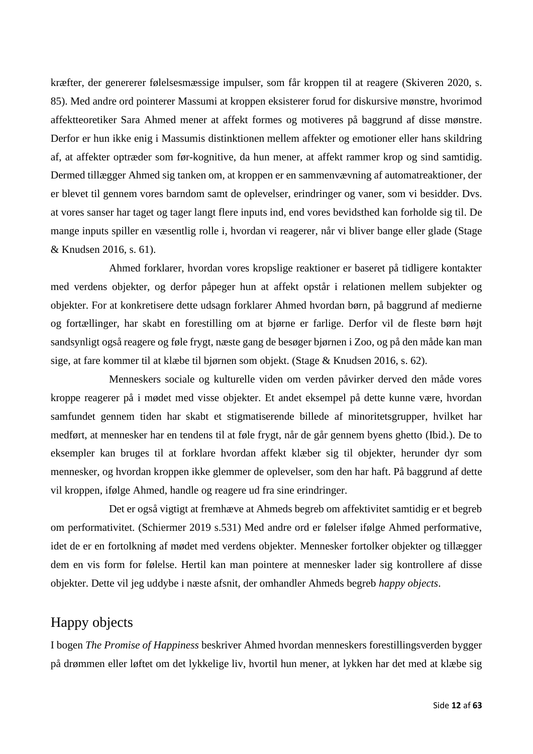kræfter, der genererer følelsesmæssige impulser, som får kroppen til at reagere (Skiveren 2020, s. 85). Med andre ord pointerer Massumi at kroppen eksisterer forud for diskursive mønstre, hvorimod affektteoretiker Sara Ahmed mener at affekt formes og motiveres på baggrund af disse mønstre. Derfor er hun ikke enig i Massumis distinktionen mellem affekter og emotioner eller hans skildring af, at affekter optræder som før-kognitive, da hun mener, at affekt rammer krop og sind samtidig. Dermed tillægger Ahmed sig tanken om, at kroppen er en sammenvævning af automatreaktioner, der er blevet til gennem vores barndom samt de oplevelser, erindringer og vaner, som vi besidder. Dvs. at vores sanser har taget og tager langt flere inputs ind, end vores bevidsthed kan forholde sig til. De mange inputs spiller en væsentlig rolle i, hvordan vi reagerer, når vi bliver bange eller glade (Stage & Knudsen 2016, s. 61).

Ahmed forklarer, hvordan vores kropslige reaktioner er baseret på tidligere kontakter med verdens objekter, og derfor påpeger hun at affekt opstår i relationen mellem subjekter og objekter. For at konkretisere dette udsagn forklarer Ahmed hvordan børn, på baggrund af medierne og fortællinger, har skabt en forestilling om at bjørne er farlige. Derfor vil de fleste børn højt sandsynligt også reagere og føle frygt, næste gang de besøger bjørnen i Zoo, og på den måde kan man sige, at fare kommer til at klæbe til bjørnen som objekt. (Stage & Knudsen 2016, s. 62).

Menneskers sociale og kulturelle viden om verden påvirker derved den måde vores kroppe reagerer på i mødet med visse objekter. Et andet eksempel på dette kunne være, hvordan samfundet gennem tiden har skabt et stigmatiserende billede af minoritetsgrupper, hvilket har medført, at mennesker har en tendens til at føle frygt, når de går gennem byens ghetto (Ibid.). De to eksempler kan bruges til at forklare hvordan affekt klæber sig til objekter, herunder dyr som mennesker, og hvordan kroppen ikke glemmer de oplevelser, som den har haft. På baggrund af dette vil kroppen, ifølge Ahmed, handle og reagere ud fra sine erindringer.

Det er også vigtigt at fremhæve at Ahmeds begreb om affektivitet samtidig er et begreb om performativitet. (Schiermer 2019 s.531) Med andre ord er følelser ifølge Ahmed performative, idet de er en fortolkning af mødet med verdens objekter. Mennesker fortolker objekter og tillægger dem en vis form for følelse. Hertil kan man pointere at mennesker lader sig kontrollere af disse objekter. Dette vil jeg uddybe i næste afsnit, der omhandler Ahmeds begreb *happy objects*.

### <span id="page-12-0"></span>Happy objects

I bogen *The Promise of Happiness* beskriver Ahmed hvordan menneskers forestillingsverden bygger på drømmen eller løftet om det lykkelige liv, hvortil hun mener, at lykken har det med at klæbe sig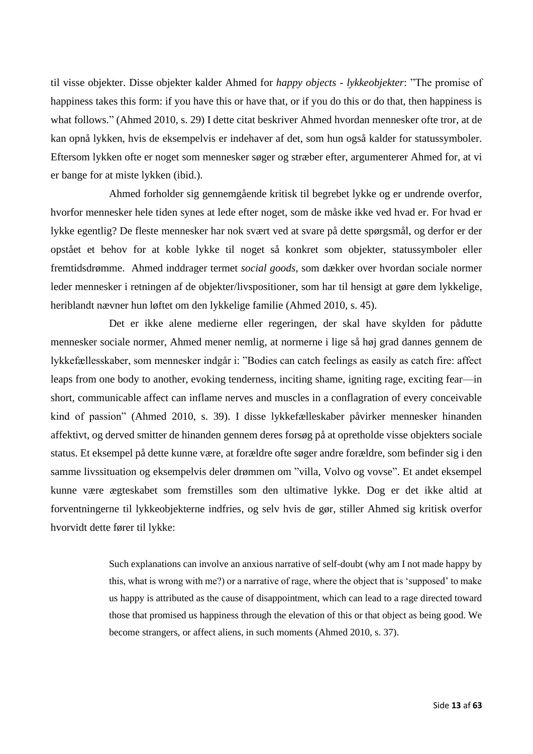til visse objekter. Disse objekter kalder Ahmed for *happy objects* - *lykkeobjekter*: "The promise of happiness takes this form: if you have this or have that, or if you do this or do that, then happiness is what follows." (Ahmed 2010, s. 29) I dette citat beskriver Ahmed hvordan mennesker ofte tror, at de kan opnå lykken, hvis de eksempelvis er indehaver af det, som hun også kalder for statussymboler. Eftersom lykken ofte er noget som mennesker søger og stræber efter, argumenterer Ahmed for, at vi er bange for at miste lykken (ibid.).

Ahmed forholder sig gennemgående kritisk til begrebet lykke og er undrende overfor, hvorfor mennesker hele tiden synes at lede efter noget, som de måske ikke ved hvad er. For hvad er lykke egentlig? De fleste mennesker har nok svært ved at svare på dette spørgsmål, og derfor er der opstået et behov for at koble lykke til noget så konkret som objekter, statussymboler eller fremtidsdrømme. Ahmed inddrager termet *social goods*, som dækker over hvordan sociale normer leder mennesker i retningen af de objekter/livspositioner, som har til hensigt at gøre dem lykkelige, heriblandt nævner hun løftet om den lykkelige familie (Ahmed 2010, s. 45).

Det er ikke alene medierne eller regeringen, der skal have skylden for pådutte mennesker sociale normer, Ahmed mener nemlig, at normerne i lige så høj grad dannes gennem de lykkefællesskaber, som mennesker indgår i: "Bodies can catch feelings as easily as catch fire: affect leaps from one body to another, evoking tenderness, inciting shame, igniting rage, exciting fear—in short, communicable affect can inflame nerves and muscles in a conflagration of every conceivable kind of passion" (Ahmed 2010, s. 39). I disse lykkefælleskaber påvirker mennesker hinanden affektivt, og derved smitter de hinanden gennem deres forsøg på at opretholde visse objekters sociale status. Et eksempel på dette kunne være, at forældre ofte søger andre forældre, som befinder sig i den samme livssituation og eksempelvis deler drømmen om "villa, Volvo og vovse". Et andet eksempel kunne være ægteskabet som fremstilles som den ultimative lykke. Dog er det ikke altid at forventningerne til lykkeobjekterne indfries, og selv hvis de gør, stiller Ahmed sig kritisk overfor hvorvidt dette fører til lykke:

> Such explanations can involve an anxious narrative of self-doubt (why am I not made happy by this, what is wrong with me?) or a narrative of rage, where the object that is 'supposed' to make us happy is attributed as the cause of disappointment, which can lead to a rage directed toward those that promised us happiness through the elevation of this or that object as being good. We become strangers, or affect aliens, in such moments (Ahmed 2010, s. 37).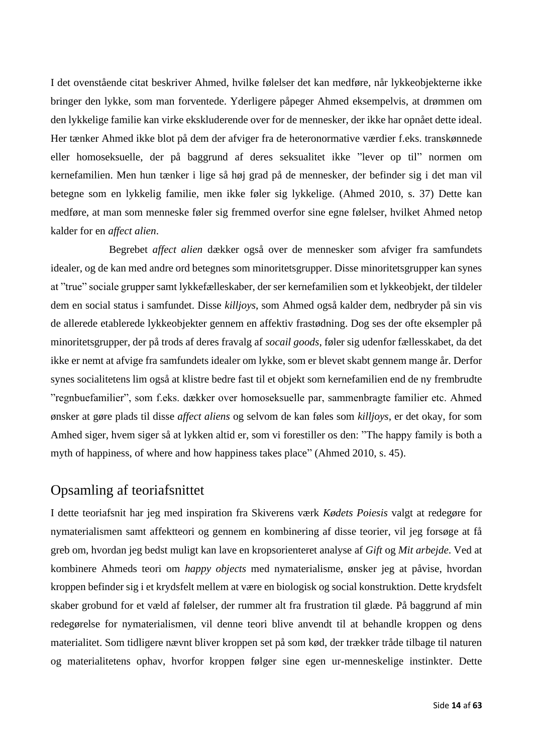I det ovenstående citat beskriver Ahmed, hvilke følelser det kan medføre, når lykkeobjekterne ikke bringer den lykke, som man forventede. Yderligere påpeger Ahmed eksempelvis, at drømmen om den lykkelige familie kan virke ekskluderende over for de mennesker, der ikke har opnået dette ideal. Her tænker Ahmed ikke blot på dem der afviger fra de heteronormative værdier f.eks. transkønnede eller homoseksuelle, der på baggrund af deres seksualitet ikke "lever op til" normen om kernefamilien. Men hun tænker i lige så høj grad på de mennesker, der befinder sig i det man vil betegne som en lykkelig familie, men ikke føler sig lykkelige. (Ahmed 2010, s. 37) Dette kan medføre, at man som menneske føler sig fremmed overfor sine egne følelser, hvilket Ahmed netop kalder for en *affect alien*.

Begrebet *affect alien* dækker også over de mennesker som afviger fra samfundets idealer, og de kan med andre ord betegnes som minoritetsgrupper. Disse minoritetsgrupper kan synes at "true" sociale grupper samt lykkefælleskaber, der ser kernefamilien som et lykkeobjekt, der tildeler dem en social status i samfundet. Disse *killjoys*, som Ahmed også kalder dem, nedbryder på sin vis de allerede etablerede lykkeobjekter gennem en affektiv frastødning. Dog ses der ofte eksempler på minoritetsgrupper, der på trods af deres fravalg af *socail goods*, føler sig udenfor fællesskabet, da det ikke er nemt at afvige fra samfundets idealer om lykke, som er blevet skabt gennem mange år. Derfor synes socialitetens lim også at klistre bedre fast til et objekt som kernefamilien end de ny frembrudte "regnbuefamilier", som f.eks. dækker over homoseksuelle par, sammenbragte familier etc. Ahmed ønsker at gøre plads til disse *affect aliens* og selvom de kan føles som *killjoys*, er det okay, for som Amhed siger, hvem siger så at lykken altid er, som vi forestiller os den: "The happy family is both a myth of happiness, of where and how happiness takes place" (Ahmed 2010, s. 45).

### <span id="page-14-0"></span>Opsamling af teoriafsnittet

I dette teoriafsnit har jeg med inspiration fra Skiverens værk *Kødets Poiesis* valgt at redegøre for nymaterialismen samt affektteori og gennem en kombinering af disse teorier, vil jeg forsøge at få greb om, hvordan jeg bedst muligt kan lave en kropsorienteret analyse af *Gift* og *Mit arbejde*. Ved at kombinere Ahmeds teori om *happy objects* med nymaterialisme, ønsker jeg at påvise, hvordan kroppen befinder sig i et krydsfelt mellem at være en biologisk og social konstruktion. Dette krydsfelt skaber grobund for et væld af følelser, der rummer alt fra frustration til glæde. På baggrund af min redegørelse for nymaterialismen, vil denne teori blive anvendt til at behandle kroppen og dens materialitet. Som tidligere nævnt bliver kroppen set på som kød, der trækker tråde tilbage til naturen og materialitetens ophav, hvorfor kroppen følger sine egen ur-menneskelige instinkter. Dette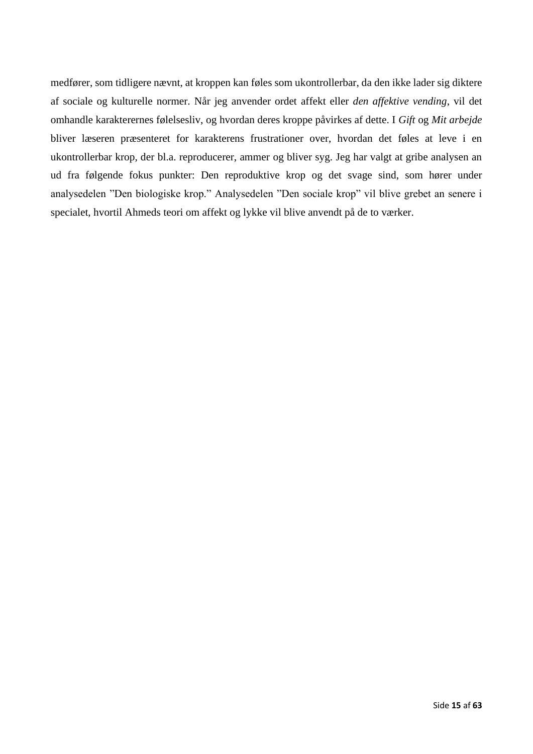medfører, som tidligere nævnt, at kroppen kan føles som ukontrollerbar, da den ikke lader sig diktere af sociale og kulturelle normer. Når jeg anvender ordet affekt eller *den affektive vending*, vil det omhandle karakterernes følelsesliv, og hvordan deres kroppe påvirkes af dette. I *Gift* og *Mit arbejde* bliver læseren præsenteret for karakterens frustrationer over, hvordan det føles at leve i en ukontrollerbar krop, der bl.a. reproducerer, ammer og bliver syg. Jeg har valgt at gribe analysen an ud fra følgende fokus punkter: Den reproduktive krop og det svage sind, som hører under analysedelen "Den biologiske krop." Analysedelen "Den sociale krop" vil blive grebet an senere i specialet, hvortil Ahmeds teori om affekt og lykke vil blive anvendt på de to værker.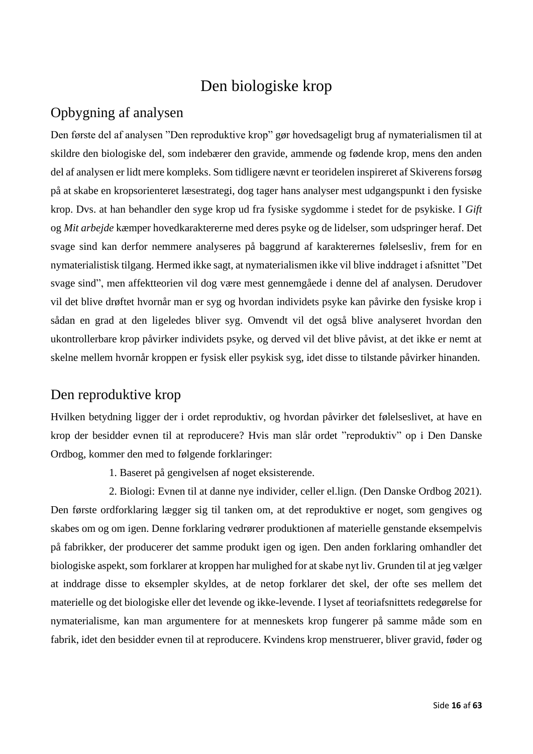### Den biologiske krop

### <span id="page-16-1"></span><span id="page-16-0"></span>Opbygning af analysen

Den første del af analysen "Den reproduktive krop" gør hovedsageligt brug af nymaterialismen til at skildre den biologiske del, som indebærer den gravide, ammende og fødende krop, mens den anden del af analysen er lidt mere kompleks. Som tidligere nævnt er teoridelen inspireret af Skiverens forsøg på at skabe en kropsorienteret læsestrategi, dog tager hans analyser mest udgangspunkt i den fysiske krop. Dvs. at han behandler den syge krop ud fra fysiske sygdomme i stedet for de psykiske. I *Gift* og *Mit arbejde* kæmper hovedkaraktererne med deres psyke og de lidelser, som udspringer heraf. Det svage sind kan derfor nemmere analyseres på baggrund af karakterernes følelsesliv, frem for en nymaterialistisk tilgang. Hermed ikke sagt, at nymaterialismen ikke vil blive inddraget i afsnittet "Det svage sind", men affektteorien vil dog være mest gennemgåede i denne del af analysen. Derudover vil det blive drøftet hvornår man er syg og hvordan individets psyke kan påvirke den fysiske krop i sådan en grad at den ligeledes bliver syg. Omvendt vil det også blive analyseret hvordan den ukontrollerbare krop påvirker individets psyke, og derved vil det blive påvist, at det ikke er nemt at skelne mellem hvornår kroppen er fysisk eller psykisk syg, idet disse to tilstande påvirker hinanden.

### <span id="page-16-2"></span>Den reproduktive krop

Hvilken betydning ligger der i ordet reproduktiv, og hvordan påvirker det følelseslivet, at have en krop der besidder evnen til at reproducere? Hvis man slår ordet "reproduktiv" op i Den Danske Ordbog, kommer den med to følgende forklaringer:

1. Baseret på gengivelsen af noget eksisterende.

2. Biologi: Evnen til at danne nye individer, celler el.lign. (Den Danske Ordbog 2021). Den første ordforklaring lægger sig til tanken om, at det reproduktive er noget, som gengives og skabes om og om igen. Denne forklaring vedrører produktionen af materielle genstande eksempelvis på fabrikker, der producerer det samme produkt igen og igen. Den anden forklaring omhandler det biologiske aspekt, som forklarer at kroppen har mulighed for at skabe nyt liv. Grunden til at jeg vælger at inddrage disse to eksempler skyldes, at de netop forklarer det skel, der ofte ses mellem det materielle og det biologiske eller det levende og ikke-levende. I lyset af teoriafsnittets redegørelse for nymaterialisme, kan man argumentere for at menneskets krop fungerer på samme måde som en fabrik, idet den besidder evnen til at reproducere. Kvindens krop menstruerer, bliver gravid, føder og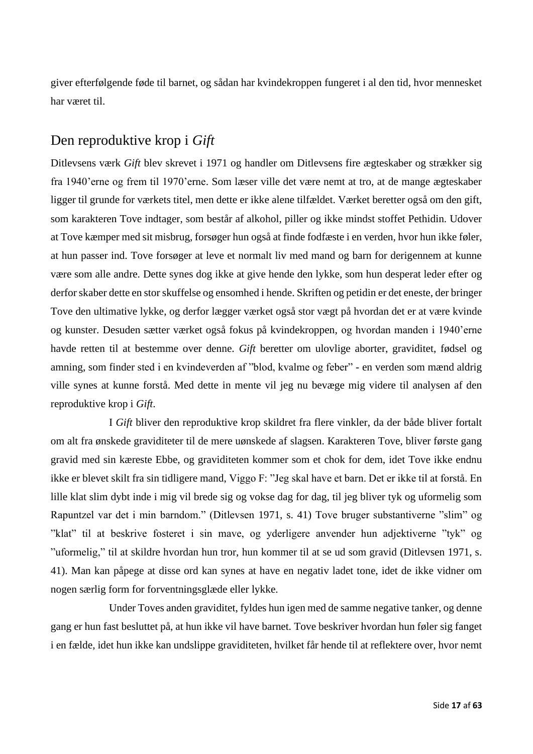giver efterfølgende føde til barnet, og sådan har kvindekroppen fungeret i al den tid, hvor mennesket har været til.

### <span id="page-17-0"></span>Den reproduktive krop i *Gift*

Ditlevsens værk *Gift* blev skrevet i 1971 og handler om Ditlevsens fire ægteskaber og strækker sig fra 1940'erne og frem til 1970'erne. Som læser ville det være nemt at tro, at de mange ægteskaber ligger til grunde for værkets titel, men dette er ikke alene tilfældet. Værket beretter også om den gift, som karakteren Tove indtager, som består af alkohol, piller og ikke mindst stoffet Pethidin. Udover at Tove kæmper med sit misbrug, forsøger hun også at finde fodfæste i en verden, hvor hun ikke føler, at hun passer ind. Tove forsøger at leve et normalt liv med mand og barn for derigennem at kunne være som alle andre. Dette synes dog ikke at give hende den lykke, som hun desperat leder efter og derfor skaber dette en stor skuffelse og ensomhed i hende. Skriften og petidin er det eneste, der bringer Tove den ultimative lykke, og derfor lægger værket også stor vægt på hvordan det er at være kvinde og kunster. Desuden sætter værket også fokus på kvindekroppen, og hvordan manden i 1940'erne havde retten til at bestemme over denne. *Gift* beretter om ulovlige aborter, graviditet, fødsel og amning, som finder sted i en kvindeverden af "blod, kvalme og feber" - en verden som mænd aldrig ville synes at kunne forstå. Med dette in mente vil jeg nu bevæge mig videre til analysen af den reproduktive krop i *Gift*.

I *Gift* bliver den reproduktive krop skildret fra flere vinkler, da der både bliver fortalt om alt fra ønskede graviditeter til de mere uønskede af slagsen. Karakteren Tove, bliver første gang gravid med sin kæreste Ebbe, og graviditeten kommer som et chok for dem, idet Tove ikke endnu ikke er blevet skilt fra sin tidligere mand, Viggo F: "Jeg skal have et barn. Det er ikke til at forstå. En lille klat slim dybt inde i mig vil brede sig og vokse dag for dag, til jeg bliver tyk og uformelig som Rapuntzel var det i min barndom." (Ditlevsen 1971, s. 41) Tove bruger substantiverne "slim" og "klat" til at beskrive fosteret i sin mave, og yderligere anvender hun adjektiverne "tyk" og "uformelig," til at skildre hvordan hun tror, hun kommer til at se ud som gravid (Ditlevsen 1971, s. 41). Man kan påpege at disse ord kan synes at have en negativ ladet tone, idet de ikke vidner om nogen særlig form for forventningsglæde eller lykke.

Under Toves anden graviditet, fyldes hun igen med de samme negative tanker, og denne gang er hun fast besluttet på, at hun ikke vil have barnet. Tove beskriver hvordan hun føler sig fanget i en fælde, idet hun ikke kan undslippe graviditeten, hvilket får hende til at reflektere over, hvor nemt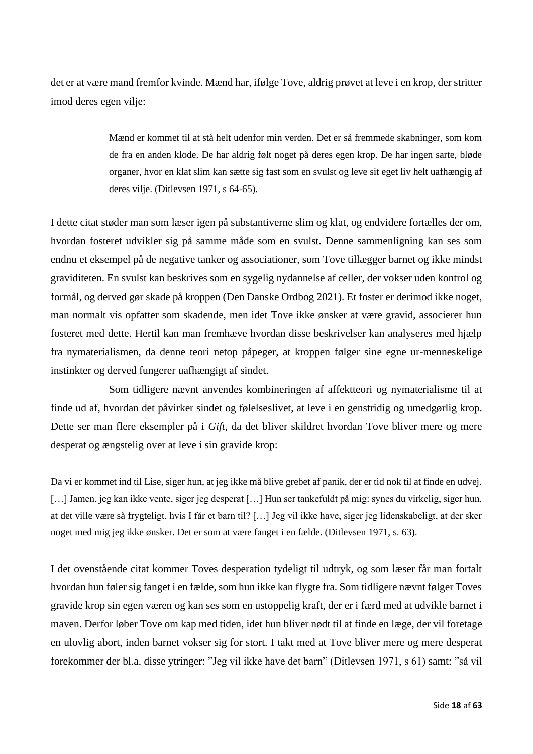det er at være mand fremfor kvinde. Mænd har, ifølge Tove, aldrig prøvet at leve i en krop, der stritter imod deres egen vilje:

> Mænd er kommet til at stå helt udenfor min verden. Det er så fremmede skabninger, som kom de fra en anden klode. De har aldrig følt noget på deres egen krop. De har ingen sarte, bløde organer, hvor en klat slim kan sætte sig fast som en svulst og leve sit eget liv helt uafhængig af deres vilje. (Ditlevsen 1971, s 64-65).

I dette citat støder man som læser igen på substantiverne slim og klat, og endvidere fortælles der om, hvordan fosteret udvikler sig på samme måde som en svulst. Denne sammenligning kan ses som endnu et eksempel på de negative tanker og associationer, som Tove tillægger barnet og ikke mindst graviditeten. En svulst kan beskrives som en sygelig nydannelse af celler, der vokser uden kontrol og formål, og derved gør skade på kroppen [\(Den Danske Ordbog](javascript:void(0);) 2021). Et foster er derimod ikke noget, man normalt vis opfatter som skadende, men idet Tove ikke ønsker at være gravid, associerer hun fosteret med dette. Hertil kan man fremhæve hvordan disse beskrivelser kan analyseres med hjælp fra nymaterialismen, da denne teori netop påpeger, at kroppen følger sine egne ur-menneskelige instinkter og derved fungerer uafhængigt af sindet.

Som tidligere nævnt anvendes kombineringen af affektteori og nymaterialisme til at finde ud af, hvordan det påvirker sindet og følelseslivet, at leve i en genstridig og umedgørlig krop. Dette ser man flere eksempler på i *Gift*, da det bliver skildret hvordan Tove bliver mere og mere desperat og ængstelig over at leve i sin gravide krop:

Da vi er kommet ind til Lise, siger hun, at jeg ikke må blive grebet af panik, der er tid nok til at finde en udvej. [...] Jamen, jeg kan ikke vente, siger jeg desperat [...] Hun ser tankefuldt på mig: synes du virkelig, siger hun, at det ville være så frygteligt, hvis I får et barn til? […] Jeg vil ikke have, siger jeg lidenskabeligt, at der sker noget med mig jeg ikke ønsker. Det er som at være fanget i en fælde. (Ditlevsen 1971, s. 63).

I det ovenstående citat kommer Toves desperation tydeligt til udtryk, og som læser får man fortalt hvordan hun føler sig fanget i en fælde, som hun ikke kan flygte fra. Som tidligere nævnt følger Toves gravide krop sin egen væren og kan ses som en ustoppelig kraft, der er i færd med at udvikle barnet i maven. Derfor løber Tove om kap med tiden, idet hun bliver nødt til at finde en læge, der vil foretage en ulovlig abort, inden barnet vokser sig for stort. I takt med at Tove bliver mere og mere desperat forekommer der bl.a. disse ytringer: "Jeg vil ikke have det barn" (Ditlevsen 1971, s 61) samt: "så vil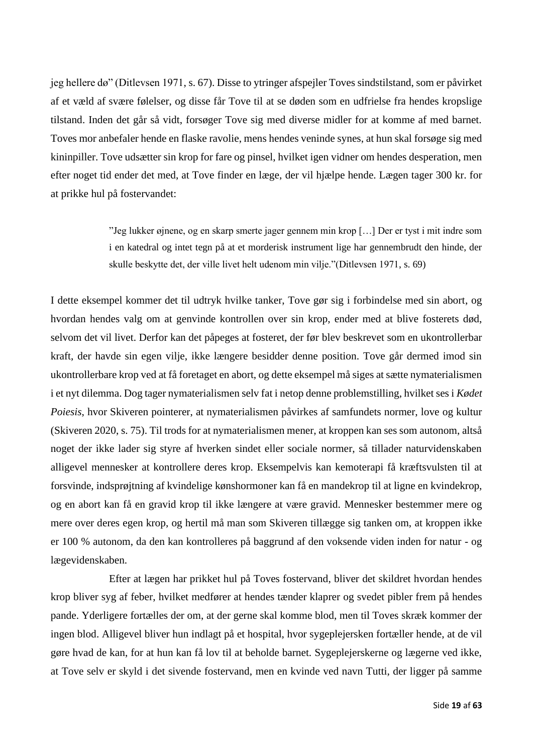jeg hellere dø" (Ditlevsen 1971, s. 67). Disse to ytringer afspejler Toves sindstilstand, som er påvirket af et væld af svære følelser, og disse får Tove til at se døden som en udfrielse fra hendes kropslige tilstand. Inden det går så vidt, forsøger Tove sig med diverse midler for at komme af med barnet. Toves mor anbefaler hende en flaske ravolie, mens hendes veninde synes, at hun skal forsøge sig med kininpiller. Tove udsætter sin krop for fare og pinsel, hvilket igen vidner om hendes desperation, men efter noget tid ender det med, at Tove finder en læge, der vil hjælpe hende. Lægen tager 300 kr. for at prikke hul på fostervandet:

> "Jeg lukker øjnene, og en skarp smerte jager gennem min krop […] Der er tyst i mit indre som i en katedral og intet tegn på at et morderisk instrument lige har gennembrudt den hinde, der skulle beskytte det, der ville livet helt udenom min vilje."(Ditlevsen 1971, s. 69)

I dette eksempel kommer det til udtryk hvilke tanker, Tove gør sig i forbindelse med sin abort, og hvordan hendes valg om at genvinde kontrollen over sin krop, ender med at blive fosterets død, selvom det vil livet. Derfor kan det påpeges at fosteret, der før blev beskrevet som en ukontrollerbar kraft, der havde sin egen vilje, ikke længere besidder denne position. Tove går dermed imod sin ukontrollerbare krop ved at få foretaget en abort, og dette eksempel må siges at sætte nymaterialismen i et nyt dilemma. Dog tager nymaterialismen selv fat i netop denne problemstilling, hvilket ses i *Kødet Poiesis*, hvor Skiveren pointerer, at nymaterialismen påvirkes af samfundets normer, love og kultur (Skiveren 2020, s. 75). Til trods for at nymaterialismen mener, at kroppen kan ses som autonom, altså noget der ikke lader sig styre af hverken sindet eller sociale normer, så tillader naturvidenskaben alligevel mennesker at kontrollere deres krop. Eksempelvis kan kemoterapi få kræftsvulsten til at forsvinde, indsprøjtning af kvindelige kønshormoner kan få en mandekrop til at ligne en kvindekrop, og en abort kan få en gravid krop til ikke længere at være gravid. Mennesker bestemmer mere og mere over deres egen krop, og hertil må man som Skiveren tillægge sig tanken om, at kroppen ikke er 100 % autonom, da den kan kontrolleres på baggrund af den voksende viden inden for natur - og lægevidenskaben.

Efter at lægen har prikket hul på Toves fostervand, bliver det skildret hvordan hendes krop bliver syg af feber, hvilket medfører at hendes tænder klaprer og svedet pibler frem på hendes pande. Yderligere fortælles der om, at der gerne skal komme blod, men til Toves skræk kommer der ingen blod. Alligevel bliver hun indlagt på et hospital, hvor sygeplejersken fortæller hende, at de vil gøre hvad de kan, for at hun kan få lov til at beholde barnet. Sygeplejerskerne og lægerne ved ikke, at Tove selv er skyld i det sivende fostervand, men en kvinde ved navn Tutti, der ligger på samme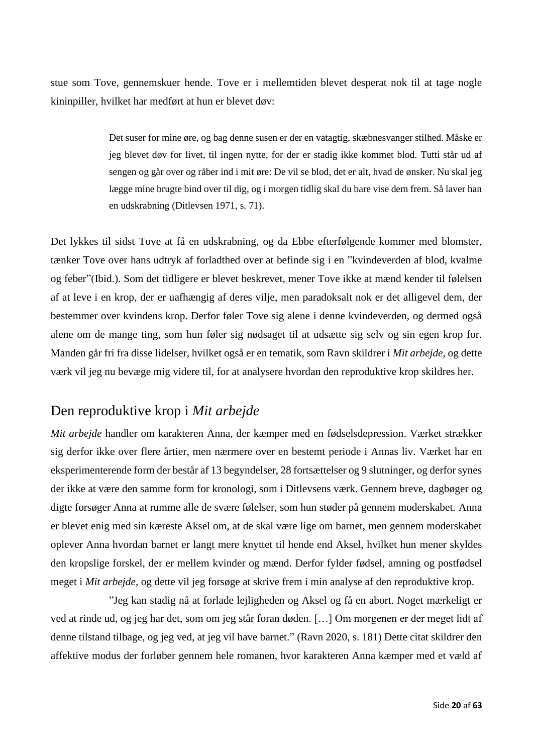stue som Tove, gennemskuer hende. Tove er i mellemtiden blevet desperat nok til at tage nogle kininpiller, hvilket har medført at hun er blevet døv:

> Det suser for mine øre, og bag denne susen er der en vatagtig, skæbnesvanger stilhed. Måske er jeg blevet døv for livet, til ingen nytte, for der er stadig ikke kommet blod. Tutti står ud af sengen og går over og råber ind i mit øre: De vil se blod, det er alt, hvad de ønsker. Nu skal jeg lægge mine brugte bind over til dig, og i morgen tidlig skal du bare vise dem frem. Så laver han en udskrabning (Ditlevsen 1971, s. 71).

Det lykkes til sidst Tove at få en udskrabning, og da Ebbe efterfølgende kommer med blomster, tænker Tove over hans udtryk af forladthed over at befinde sig i en "kvindeverden af blod, kvalme og feber"(Ibid.). Som det tidligere er blevet beskrevet, mener Tove ikke at mænd kender til følelsen af at leve i en krop, der er uafhængig af deres vilje, men paradoksalt nok er det alligevel dem, der bestemmer over kvindens krop. Derfor føler Tove sig alene i denne kvindeverden, og dermed også alene om de mange ting, som hun føler sig nødsaget til at udsætte sig selv og sin egen krop for. Manden går fri fra disse lidelser, hvilket også er en tematik, som Ravn skildrer i *Mit arbejde*, og dette værk vil jeg nu bevæge mig videre til, for at analysere hvordan den reproduktive krop skildres her.

### <span id="page-20-0"></span>Den reproduktive krop i *Mit arbejde*

*Mit arbejde* handler om karakteren Anna, der kæmper med en fødselsdepression. Værket strækker sig derfor ikke over flere årtier, men nærmere over en bestemt periode i Annas liv. Værket har en eksperimenterende form der består af 13 begyndelser, 28 fortsættelser og 9 slutninger, og derfor synes der ikke at være den samme form for kronologi, som i Ditlevsens værk. Gennem breve, dagbøger og digte forsøger Anna at rumme alle de svære følelser, som hun støder på gennem moderskabet. Anna er blevet enig med sin kæreste Aksel om, at de skal være lige om barnet, men gennem moderskabet oplever Anna hvordan barnet er langt mere knyttet til hende end Aksel, hvilket hun mener skyldes den kropslige forskel, der er mellem kvinder og mænd. Derfor fylder fødsel, amning og postfødsel meget i *Mit arbejde*, og dette vil jeg forsøge at skrive frem i min analyse af den reproduktive krop.

"Jeg kan stadig nå at forlade lejligheden og Aksel og få en abort. Noget mærkeligt er ved at rinde ud, og jeg har det, som om jeg står foran døden. […] Om morgenen er der meget lidt af denne tilstand tilbage, og jeg ved, at jeg vil have barnet." (Ravn 2020, s. 181) Dette citat skildrer den affektive modus der forløber gennem hele romanen, hvor karakteren Anna kæmper med et væld af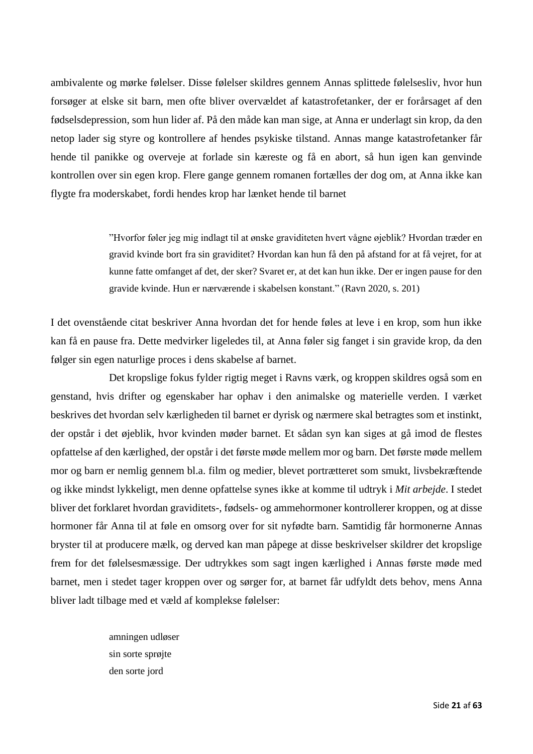ambivalente og mørke følelser. Disse følelser skildres gennem Annas splittede følelsesliv, hvor hun forsøger at elske sit barn, men ofte bliver overvældet af katastrofetanker, der er forårsaget af den fødselsdepression, som hun lider af. På den måde kan man sige, at Anna er underlagt sin krop, da den netop lader sig styre og kontrollere af hendes psykiske tilstand. Annas mange katastrofetanker får hende til panikke og overveje at forlade sin kæreste og få en abort, så hun igen kan genvinde kontrollen over sin egen krop. Flere gange gennem romanen fortælles der dog om, at Anna ikke kan flygte fra moderskabet, fordi hendes krop har lænket hende til barnet

> "Hvorfor føler jeg mig indlagt til at ønske graviditeten hvert vågne øjeblik? Hvordan træder en gravid kvinde bort fra sin graviditet? Hvordan kan hun få den på afstand for at få vejret, for at kunne fatte omfanget af det, der sker? Svaret er, at det kan hun ikke. Der er ingen pause for den gravide kvinde. Hun er nærværende i skabelsen konstant." (Ravn 2020, s. 201)

I det ovenstående citat beskriver Anna hvordan det for hende føles at leve i en krop, som hun ikke kan få en pause fra. Dette medvirker ligeledes til, at Anna føler sig fanget i sin gravide krop, da den følger sin egen naturlige proces i dens skabelse af barnet.

Det kropslige fokus fylder rigtig meget i Ravns værk, og kroppen skildres også som en genstand, hvis drifter og egenskaber har ophav i den animalske og materielle verden. I værket beskrives det hvordan selv kærligheden til barnet er dyrisk og nærmere skal betragtes som et instinkt, der opstår i det øjeblik, hvor kvinden møder barnet. Et sådan syn kan siges at gå imod de flestes opfattelse af den kærlighed, der opstår i det første møde mellem mor og barn. Det første møde mellem mor og barn er nemlig gennem bl.a. film og medier, blevet portrætteret som smukt, livsbekræftende og ikke mindst lykkeligt, men denne opfattelse synes ikke at komme til udtryk i *Mit arbejde*. I stedet bliver det forklaret hvordan graviditets-, fødsels- og ammehormoner kontrollerer kroppen, og at disse hormoner får Anna til at føle en omsorg over for sit nyfødte barn. Samtidig får hormonerne Annas bryster til at producere mælk, og derved kan man påpege at disse beskrivelser skildrer det kropslige frem for det følelsesmæssige. Der udtrykkes som sagt ingen kærlighed i Annas første møde med barnet, men i stedet tager kroppen over og sørger for, at barnet får udfyldt dets behov, mens Anna bliver ladt tilbage med et væld af komplekse følelser:

> amningen udløser sin sorte sprøjte den sorte jord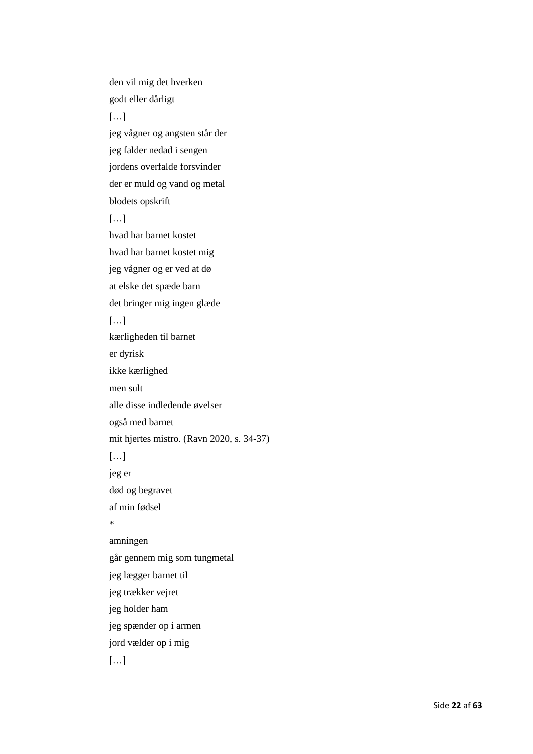den vil mig det hverken godt eller dårligt […] jeg vågner og angsten står der jeg falder nedad i sengen jordens overfalde forsvinder der er muld og vand og metal blodets opskrift […] hvad har barnet kostet hvad har barnet kostet mig jeg vågner og er ved at dø at elske det spæde barn det bringer mig ingen glæde […] kærligheden til barnet er dyrisk ikke kærlighed men sult alle disse indledende øvelser også med barnet mit hjertes mistro. (Ravn 2020, s. 34-37) […] jeg er død og begravet af min fødsel  $\mathbf{r}$ amningen går gennem mig som tungmetal jeg lægger barnet til jeg trækker vejret jeg holder ham jeg spænder op i armen jord vælder op i mig  $[\ldots]$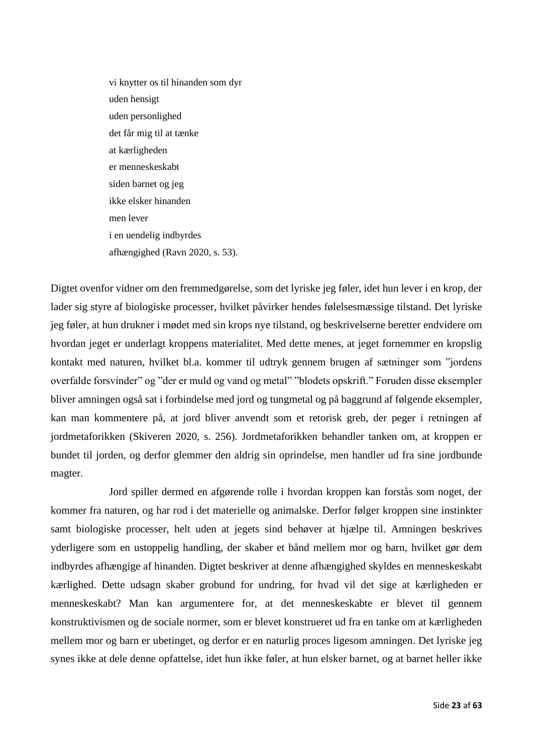vi knytter os til hinanden som dyr uden hensigt uden personlighed det får mig til at tænke at kærligheden er menneskeskabt siden barnet og jeg ikke elsker hinanden men lever i en uendelig indbyrdes afhængighed (Ravn 2020, s. 53).

Digtet ovenfor vidner om den fremmedgørelse, som det lyriske jeg føler, idet hun lever i en krop, der lader sig styre af biologiske processer, hvilket påvirker hendes følelsesmæssige tilstand. Det lyriske jeg føler, at hun drukner i mødet med sin krops nye tilstand, og beskrivelserne beretter endvidere om hvordan jeget er underlagt kroppens materialitet. Med dette menes, at jeget fornemmer en kropslig kontakt med naturen, hvilket bl.a. kommer til udtryk gennem brugen af sætninger som "jordens overfalde forsvinder" og "der er muld og vand og metal" "blodets opskrift." Foruden disse eksempler bliver amningen også sat i forbindelse med jord og tungmetal og på baggrund af følgende eksempler, kan man kommentere på, at jord bliver anvendt som et retorisk greb, der peger i retningen af jordmetaforikken (Skiveren 2020, s. 256). Jordmetaforikken behandler tanken om, at kroppen er bundet til jorden, og derfor glemmer den aldrig sin oprindelse, men handler ud fra sine jordbunde magter.

Jord spiller dermed en afgørende rolle i hvordan kroppen kan forstås som noget, der kommer fra naturen, og har rod i det materielle og animalske. Derfor følger kroppen sine instinkter samt biologiske processer, helt uden at jegets sind behøver at hjælpe til. Amningen beskrives yderligere som en ustoppelig handling, der skaber et bånd mellem mor og barn, hvilket gør dem indbyrdes afhængige af hinanden. Digtet beskriver at denne afhængighed skyldes en menneskeskabt kærlighed. Dette udsagn skaber grobund for undring, for hvad vil det sige at kærligheden er menneskeskabt? Man kan argumentere for, at det menneskeskabte er blevet til gennem konstruktivismen og de sociale normer, som er blevet konstrueret ud fra en tanke om at kærligheden mellem mor og barn er ubetinget, og derfor er en naturlig proces ligesom amningen. Det lyriske jeg synes ikke at dele denne opfattelse, idet hun ikke føler, at hun elsker barnet, og at barnet heller ikke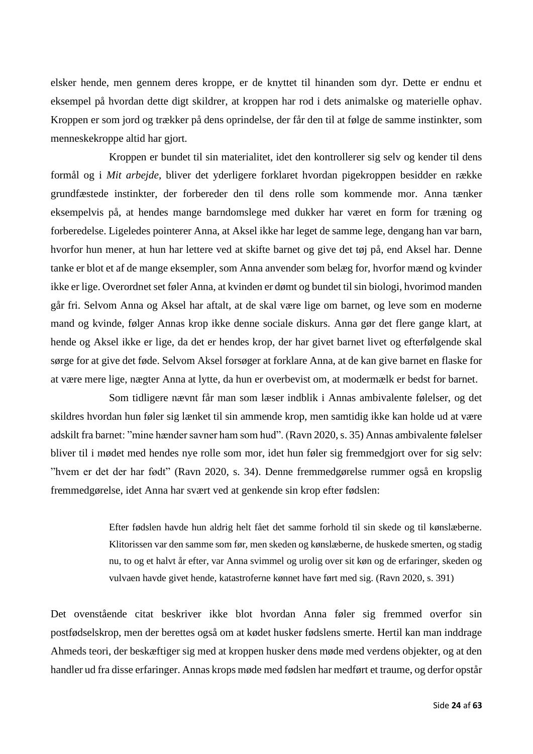elsker hende, men gennem deres kroppe, er de knyttet til hinanden som dyr. Dette er endnu et eksempel på hvordan dette digt skildrer, at kroppen har rod i dets animalske og materielle ophav. Kroppen er som jord og trækker på dens oprindelse, der får den til at følge de samme instinkter, som menneskekroppe altid har gjort.

Kroppen er bundet til sin materialitet, idet den kontrollerer sig selv og kender til dens formål og i *Mit arbejde*, bliver det yderligere forklaret hvordan pigekroppen besidder en række grundfæstede instinkter, der forbereder den til dens rolle som kommende mor. Anna tænker eksempelvis på, at hendes mange barndomslege med dukker har været en form for træning og forberedelse. Ligeledes pointerer Anna, at Aksel ikke har leget de samme lege, dengang han var barn, hvorfor hun mener, at hun har lettere ved at skifte barnet og give det tøj på, end Aksel har. Denne tanke er blot et af de mange eksempler, som Anna anvender som belæg for, hvorfor mænd og kvinder ikke er lige. Overordnet set føler Anna, at kvinden er dømt og bundet til sin biologi, hvorimod manden går fri. Selvom Anna og Aksel har aftalt, at de skal være lige om barnet, og leve som en moderne mand og kvinde, følger Annas krop ikke denne sociale diskurs. Anna gør det flere gange klart, at hende og Aksel ikke er lige, da det er hendes krop, der har givet barnet livet og efterfølgende skal sørge for at give det føde. Selvom Aksel forsøger at forklare Anna, at de kan give barnet en flaske for at være mere lige, nægter Anna at lytte, da hun er overbevist om, at modermælk er bedst for barnet.

Som tidligere nævnt får man som læser indblik i Annas ambivalente følelser, og det skildres hvordan hun føler sig lænket til sin ammende krop, men samtidig ikke kan holde ud at være adskilt fra barnet: "mine hænder savner ham som hud". (Ravn 2020, s. 35) Annas ambivalente følelser bliver til i mødet med hendes nye rolle som mor, idet hun føler sig fremmedgjort over for sig selv: "hvem er det der har født" (Ravn 2020, s. 34). Denne fremmedgørelse rummer også en kropslig fremmedgørelse, idet Anna har svært ved at genkende sin krop efter fødslen:

> Efter fødslen havde hun aldrig helt fået det samme forhold til sin skede og til kønslæberne. Klitorissen var den samme som før, men skeden og kønslæberne, de huskede smerten, og stadig nu, to og et halvt år efter, var Anna svimmel og urolig over sit køn og de erfaringer, skeden og vulvaen havde givet hende, katastroferne kønnet have ført med sig. (Ravn 2020, s. 391)

Det ovenstående citat beskriver ikke blot hvordan Anna føler sig fremmed overfor sin postfødselskrop, men der berettes også om at kødet husker fødslens smerte. Hertil kan man inddrage Ahmeds teori, der beskæftiger sig med at kroppen husker dens møde med verdens objekter, og at den handler ud fra disse erfaringer. Annas krops møde med fødslen har medført et traume, og derfor opstår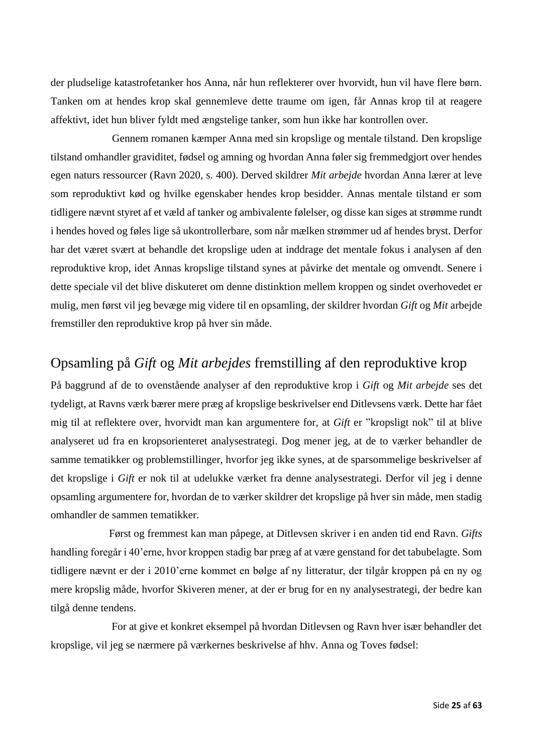der pludselige katastrofetanker hos Anna, når hun reflekterer over hvorvidt, hun vil have flere børn. Tanken om at hendes krop skal gennemleve dette traume om igen, får Annas krop til at reagere affektivt, idet hun bliver fyldt med ængstelige tanker, som hun ikke har kontrollen over.

Gennem romanen kæmper Anna med sin kropslige og mentale tilstand. Den kropslige tilstand omhandler graviditet, fødsel og amning og hvordan Anna føler sig fremmedgjort over hendes egen naturs ressourcer (Ravn 2020, s. 400). Derved skildrer *Mit arbejde* hvordan Anna lærer at leve som reproduktivt kød og hvilke egenskaber hendes krop besidder. Annas mentale tilstand er som tidligere nævnt styret af et væld af tanker og ambivalente følelser, og disse kan siges at strømme rundt i hendes hoved og føles lige så ukontrollerbare, som når mælken strømmer ud af hendes bryst. Derfor har det været svært at behandle det kropslige uden at inddrage det mentale fokus i analysen af den reproduktive krop, idet Annas kropslige tilstand synes at påvirke det mentale og omvendt. Senere i dette speciale vil det blive diskuteret om denne distinktion mellem kroppen og sindet overhovedet er mulig, men først vil jeg bevæge mig videre til en opsamling, der skildrer hvordan *Gift* og *Mit* arbejde fremstiller den reproduktive krop på hver sin måde.

### <span id="page-25-0"></span>Opsamling på *Gift* og *Mit arbejdes* fremstilling af den reproduktive krop

På baggrund af de to ovenstående analyser af den reproduktive krop i *Gift* og *Mit arbejde* ses det tydeligt, at Ravns værk bærer mere præg af kropslige beskrivelser end Ditlevsens værk. Dette har fået mig til at reflektere over, hvorvidt man kan argumentere for, at *Gift* er "kropsligt nok" til at blive analyseret ud fra en kropsorienteret analysestrategi. Dog mener jeg, at de to værker behandler de samme tematikker og problemstillinger, hvorfor jeg ikke synes, at de sparsommelige beskrivelser af det kropslige i *Gift* er nok til at udelukke værket fra denne analysestrategi. Derfor vil jeg i denne opsamling argumentere for, hvordan de to værker skildrer det kropslige på hver sin måde, men stadig omhandler de sammen tematikker.

Først og fremmest kan man påpege, at Ditlevsen skriver i en anden tid end Ravn. *Gifts* handling foregår i 40'erne, hvor kroppen stadig bar præg af at være genstand for det tabubelagte. Som tidligere nævnt er der i 2010'erne kommet en bølge af ny litteratur, der tilgår kroppen på en ny og mere kropslig måde, hvorfor Skiveren mener, at der er brug for en ny analysestrategi, der bedre kan tilgå denne tendens.

For at give et konkret eksempel på hvordan Ditlevsen og Ravn hver især behandler det kropslige, vil jeg se nærmere på værkernes beskrivelse af hhv. Anna og Toves fødsel: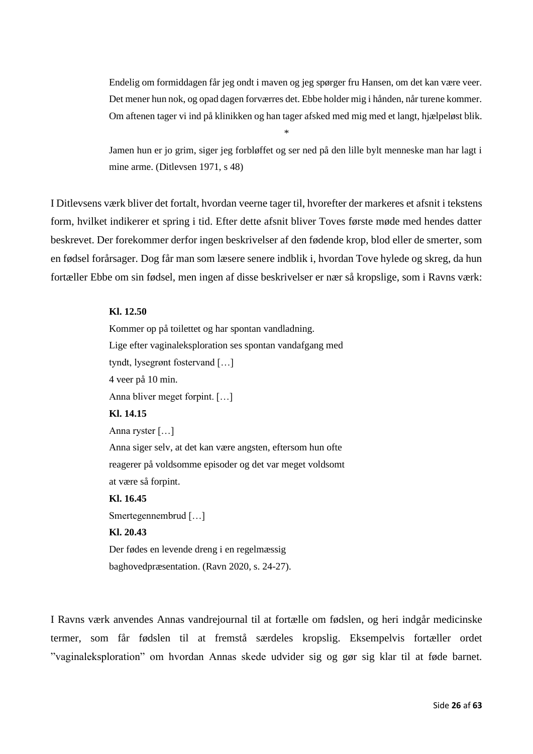Endelig om formiddagen får jeg ondt i maven og jeg spørger fru Hansen, om det kan være veer. Det mener hun nok, og opad dagen forværres det. Ebbe holder mig i hånden, når turene kommer. Om aftenen tager vi ind på klinikken og han tager afsked med mig med et langt, hjælpeløst blik.

Jamen hun er jo grim, siger jeg forbløffet og ser ned på den lille bylt menneske man har lagt i mine arme. (Ditlevsen 1971, s 48)

\*

I Ditlevsens værk bliver det fortalt, hvordan veerne tager til, hvorefter der markeres et afsnit i tekstens form, hvilket indikerer et spring i tid. Efter dette afsnit bliver Toves første møde med hendes datter beskrevet. Der forekommer derfor ingen beskrivelser af den fødende krop, blod eller de smerter, som en fødsel forårsager. Dog får man som læsere senere indblik i, hvordan Tove hylede og skreg, da hun fortæller Ebbe om sin fødsel, men ingen af disse beskrivelser er nær så kropslige, som i Ravns værk:

#### **Kl. 12.50**

Kommer op på toilettet og har spontan vandladning. Lige efter vaginaleksploration ses spontan vandafgang med tyndt, lysegrønt fostervand […] 4 veer på 10 min. Anna bliver meget forpint. […] **Kl. 14.15**  Anna ryster […] Anna siger selv, at det kan være angsten, eftersom hun ofte reagerer på voldsomme episoder og det var meget voldsomt at være så forpint. **Kl. 16.45** Smertegennembrud […] **Kl. 20.43** Der fødes en levende dreng i en regelmæssig baghovedpræsentation. (Ravn 2020, s. 24-27).

I Ravns værk anvendes Annas vandrejournal til at fortælle om fødslen, og heri indgår medicinske termer, som får fødslen til at fremstå særdeles kropslig. Eksempelvis fortæller ordet "vaginaleksploration" om hvordan Annas skede udvider sig og gør sig klar til at føde barnet.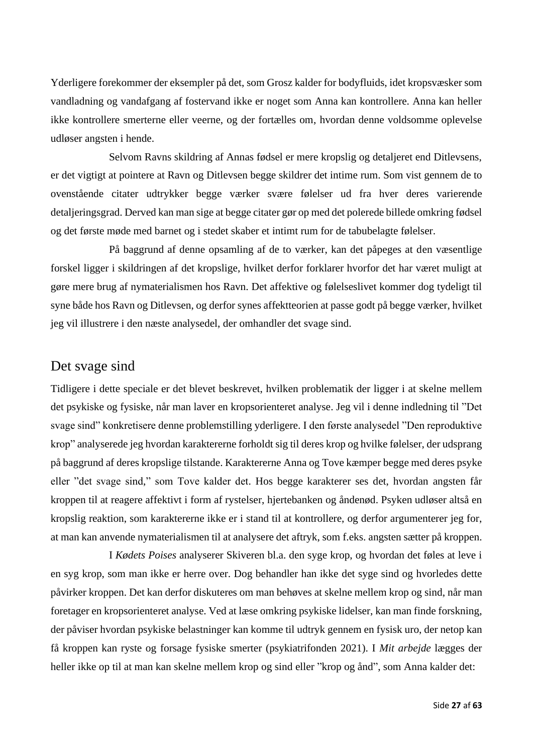Yderligere forekommer der eksempler på det, som Grosz kalder for bodyfluids, idet kropsvæsker som vandladning og vandafgang af fostervand ikke er noget som Anna kan kontrollere. Anna kan heller ikke kontrollere smerterne eller veerne, og der fortælles om, hvordan denne voldsomme oplevelse udløser angsten i hende.

Selvom Ravns skildring af Annas fødsel er mere kropslig og detaljeret end Ditlevsens, er det vigtigt at pointere at Ravn og Ditlevsen begge skildrer det intime rum. Som vist gennem de to ovenstående citater udtrykker begge værker svære følelser ud fra hver deres varierende detaljeringsgrad. Derved kan man sige at begge citater gør op med det polerede billede omkring fødsel og det første møde med barnet og i stedet skaber et intimt rum for de tabubelagte følelser.

På baggrund af denne opsamling af de to værker, kan det påpeges at den væsentlige forskel ligger i skildringen af det kropslige, hvilket derfor forklarer hvorfor det har været muligt at gøre mere brug af nymaterialismen hos Ravn. Det affektive og følelseslivet kommer dog tydeligt til syne både hos Ravn og Ditlevsen, og derfor synes affektteorien at passe godt på begge værker, hvilket jeg vil illustrere i den næste analysedel, der omhandler det svage sind.

#### <span id="page-27-0"></span>Det svage sind

Tidligere i dette speciale er det blevet beskrevet, hvilken problematik der ligger i at skelne mellem det psykiske og fysiske, når man laver en kropsorienteret analyse. Jeg vil i denne indledning til "Det svage sind" konkretisere denne problemstilling yderligere. I den første analysedel "Den reproduktive krop" analyserede jeg hvordan karaktererne forholdt sig til deres krop og hvilke følelser, der udsprang på baggrund af deres kropslige tilstande. Karaktererne Anna og Tove kæmper begge med deres psyke eller "det svage sind," som Tove kalder det. Hos begge karakterer ses det, hvordan angsten får kroppen til at reagere affektivt i form af rystelser, hjertebanken og åndenød. Psyken udløser altså en kropslig reaktion, som karaktererne ikke er i stand til at kontrollere, og derfor argumenterer jeg for, at man kan anvende nymaterialismen til at analysere det aftryk, som f.eks. angsten sætter på kroppen.

I *Kødets Poises* analyserer Skiveren bl.a. den syge krop, og hvordan det føles at leve i en syg krop, som man ikke er herre over. Dog behandler han ikke det syge sind og hvorledes dette påvirker kroppen. Det kan derfor diskuteres om man behøves at skelne mellem krop og sind, når man foretager en kropsorienteret analyse. Ved at læse omkring psykiske lidelser, kan man finde forskning, der påviser hvordan psykiske belastninger kan komme til udtryk gennem en fysisk uro, der netop kan få kroppen kan ryste og forsage fysiske smerter (psykiatrifonden 2021). I *Mit arbejde* lægges der heller ikke op til at man kan skelne mellem krop og sind eller "krop og ånd", som Anna kalder det: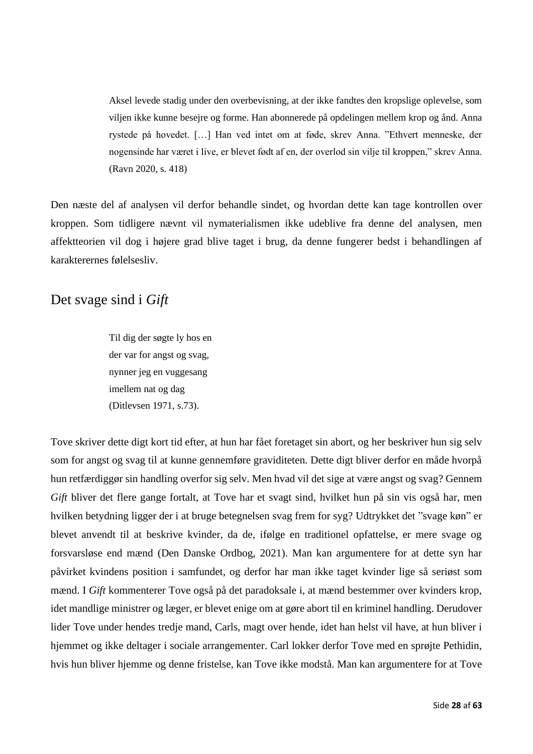Aksel levede stadig under den overbevisning, at der ikke fandtes den kropslige oplevelse, som viljen ikke kunne besejre og forme. Han abonnerede på opdelingen mellem krop og ånd. Anna rystede på hovedet. […] Han ved intet om at føde, skrev Anna. "Ethvert menneske, der nogensinde har været i live, er blevet født af en, der overlod sin vilje til kroppen," skrev Anna. (Ravn 2020, s. 418)

Den næste del af analysen vil derfor behandle sindet, og hvordan dette kan tage kontrollen over kroppen. Som tidligere nævnt vil nymaterialismen ikke udeblive fra denne del analysen, men affektteorien vil dog i højere grad blive taget i brug, da denne fungerer bedst i behandlingen af karakterernes følelsesliv.

### <span id="page-28-0"></span>Det svage sind i *Gift*

Til dig der søgte ly hos en der var for angst og svag, nynner jeg en vuggesang imellem nat og dag (Ditlevsen 1971, s.73).

Tove skriver dette digt kort tid efter, at hun har fået foretaget sin abort, og her beskriver hun sig selv som for angst og svag til at kunne gennemføre graviditeten. Dette digt bliver derfor en måde hvorpå hun retfærdiggør sin handling overfor sig selv. Men hvad vil det sige at være angst og svag? Gennem *Gift* bliver det flere gange fortalt, at Tove har et svagt sind, hvilket hun på sin vis også har, men hvilken betydning ligger der i at bruge betegnelsen svag frem for syg? Udtrykket det "svage køn" er blevet anvendt til at beskrive kvinder, da de, ifølge en traditionel opfattelse, er mere svage og forsvarsløse end mænd (Den Danske Ordbog, 2021). Man kan argumentere for at dette syn har påvirket kvindens position i samfundet, og derfor har man ikke taget kvinder lige så seriøst som mænd. I *Gift* kommenterer Tove også på det paradoksale i, at mænd bestemmer over kvinders krop, idet mandlige ministrer og læger, er blevet enige om at gøre abort til en kriminel handling. Derudover lider Tove under hendes tredje mand, Carls, magt over hende, idet han helst vil have, at hun bliver i hjemmet og ikke deltager i sociale arrangementer. Carl lokker derfor Tove med en sprøjte Pethidin, hvis hun bliver hjemme og denne fristelse, kan Tove ikke modstå. Man kan argumentere for at Tove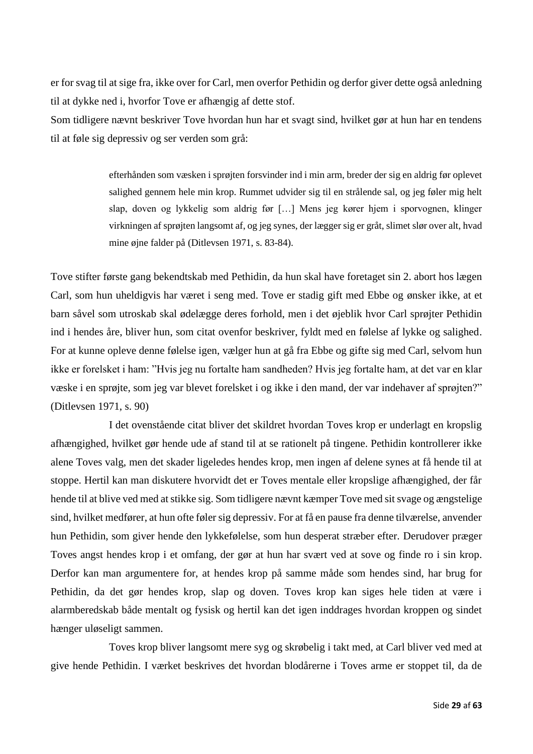er for svag til at sige fra, ikke over for Carl, men overfor Pethidin og derfor giver dette også anledning til at dykke ned i, hvorfor Tove er afhængig af dette stof.

Som tidligere nævnt beskriver Tove hvordan hun har et svagt sind, hvilket gør at hun har en tendens til at føle sig depressiv og ser verden som grå:

> efterhånden som væsken i sprøjten forsvinder ind i min arm, breder der sig en aldrig før oplevet salighed gennem hele min krop. Rummet udvider sig til en strålende sal, og jeg føler mig helt slap, doven og lykkelig som aldrig før […] Mens jeg kører hjem i sporvognen, klinger virkningen af sprøjten langsomt af, og jeg synes, der lægger sig er gråt, slimet slør over alt, hvad mine øjne falder på (Ditlevsen 1971, s. 83-84).

Tove stifter første gang bekendtskab med Pethidin, da hun skal have foretaget sin 2. abort hos lægen Carl, som hun uheldigvis har været i seng med. Tove er stadig gift med Ebbe og ønsker ikke, at et barn såvel som utroskab skal ødelægge deres forhold, men i det øjeblik hvor Carl sprøjter Pethidin ind i hendes åre, bliver hun, som citat ovenfor beskriver, fyldt med en følelse af lykke og salighed. For at kunne opleve denne følelse igen, vælger hun at gå fra Ebbe og gifte sig med Carl, selvom hun ikke er forelsket i ham: "Hvis jeg nu fortalte ham sandheden? Hvis jeg fortalte ham, at det var en klar væske i en sprøjte, som jeg var blevet forelsket i og ikke i den mand, der var indehaver af sprøjten?" (Ditlevsen 1971, s. 90)

I det ovenstående citat bliver det skildret hvordan Toves krop er underlagt en kropslig afhængighed, hvilket gør hende ude af stand til at se rationelt på tingene. Pethidin kontrollerer ikke alene Toves valg, men det skader ligeledes hendes krop, men ingen af delene synes at få hende til at stoppe. Hertil kan man diskutere hvorvidt det er Toves mentale eller kropslige afhængighed, der får hende til at blive ved med at stikke sig. Som tidligere nævnt kæmper Tove med sit svage og ængstelige sind, hvilket medfører, at hun ofte føler sig depressiv. For at få en pause fra denne tilværelse, anvender hun Pethidin, som giver hende den lykkefølelse, som hun desperat stræber efter. Derudover præger Toves angst hendes krop i et omfang, der gør at hun har svært ved at sove og finde ro i sin krop. Derfor kan man argumentere for, at hendes krop på samme måde som hendes sind, har brug for Pethidin, da det gør hendes krop, slap og doven. Toves krop kan siges hele tiden at være i alarmberedskab både mentalt og fysisk og hertil kan det igen inddrages hvordan kroppen og sindet hænger uløseligt sammen.

Toves krop bliver langsomt mere syg og skrøbelig i takt med, at Carl bliver ved med at give hende Pethidin. I værket beskrives det hvordan blodårerne i Toves arme er stoppet til, da de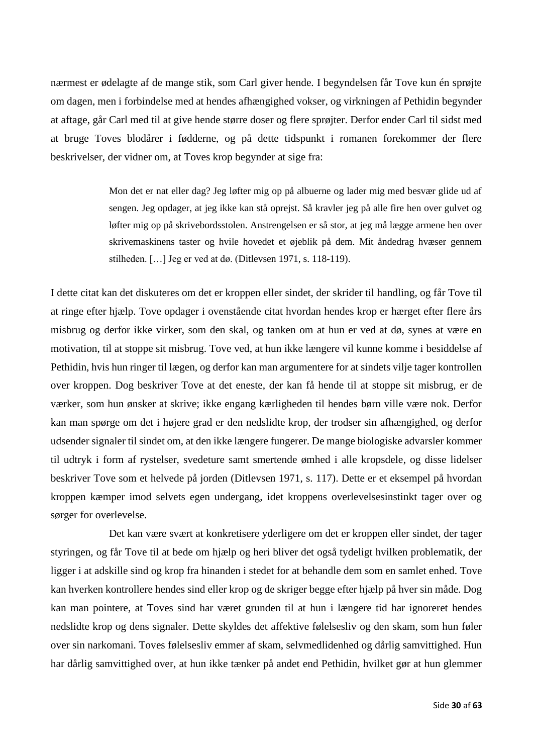nærmest er ødelagte af de mange stik, som Carl giver hende. I begyndelsen får Tove kun én sprøjte om dagen, men i forbindelse med at hendes afhængighed vokser, og virkningen af Pethidin begynder at aftage, går Carl med til at give hende større doser og flere sprøjter. Derfor ender Carl til sidst med at bruge Toves blodårer i fødderne, og på dette tidspunkt i romanen forekommer der flere beskrivelser, der vidner om, at Toves krop begynder at sige fra:

> Mon det er nat eller dag? Jeg løfter mig op på albuerne og lader mig med besvær glide ud af sengen. Jeg opdager, at jeg ikke kan stå oprejst. Så kravler jeg på alle fire hen over gulvet og løfter mig op på skrivebordsstolen. Anstrengelsen er så stor, at jeg må lægge armene hen over skrivemaskinens taster og hvile hovedet et øjeblik på dem. Mit åndedrag hvæser gennem stilheden. […] Jeg er ved at dø. (Ditlevsen 1971, s. 118-119).

I dette citat kan det diskuteres om det er kroppen eller sindet, der skrider til handling, og får Tove til at ringe efter hjælp. Tove opdager i ovenstående citat hvordan hendes krop er hærget efter flere års misbrug og derfor ikke virker, som den skal, og tanken om at hun er ved at dø, synes at være en motivation, til at stoppe sit misbrug. Tove ved, at hun ikke længere vil kunne komme i besiddelse af Pethidin, hvis hun ringer til lægen, og derfor kan man argumentere for at sindets vilje tager kontrollen over kroppen. Dog beskriver Tove at det eneste, der kan få hende til at stoppe sit misbrug, er de værker, som hun ønsker at skrive; ikke engang kærligheden til hendes børn ville være nok. Derfor kan man spørge om det i højere grad er den nedslidte krop, der trodser sin afhængighed, og derfor udsender signaler til sindet om, at den ikke længere fungerer. De mange biologiske advarsler kommer til udtryk i form af rystelser, svedeture samt smertende ømhed i alle kropsdele, og disse lidelser beskriver Tove som et helvede på jorden (Ditlevsen 1971, s. 117). Dette er et eksempel på hvordan kroppen kæmper imod selvets egen undergang, idet kroppens overlevelsesinstinkt tager over og sørger for overlevelse.

Det kan være svært at konkretisere yderligere om det er kroppen eller sindet, der tager styringen, og får Tove til at bede om hjælp og heri bliver det også tydeligt hvilken problematik, der ligger i at adskille sind og krop fra hinanden i stedet for at behandle dem som en samlet enhed. Tove kan hverken kontrollere hendes sind eller krop og de skriger begge efter hjælp på hver sin måde. Dog kan man pointere, at Toves sind har været grunden til at hun i længere tid har ignoreret hendes nedslidte krop og dens signaler. Dette skyldes det affektive følelsesliv og den skam, som hun føler over sin narkomani. Toves følelsesliv emmer af skam, selvmedlidenhed og dårlig samvittighed. Hun har dårlig samvittighed over, at hun ikke tænker på andet end Pethidin, hvilket gør at hun glemmer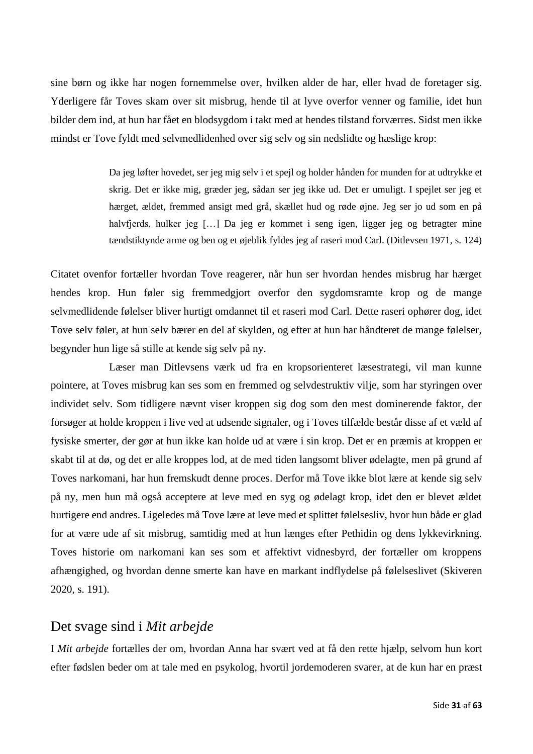sine børn og ikke har nogen fornemmelse over, hvilken alder de har, eller hvad de foretager sig. Yderligere får Toves skam over sit misbrug, hende til at lyve overfor venner og familie, idet hun bilder dem ind, at hun har fået en blodsygdom i takt med at hendes tilstand forværres. Sidst men ikke mindst er Tove fyldt med selvmedlidenhed over sig selv og sin nedslidte og hæslige krop:

> Da jeg løfter hovedet, ser jeg mig selv i et spejl og holder hånden for munden for at udtrykke et skrig. Det er ikke mig, græder jeg, sådan ser jeg ikke ud. Det er umuligt. I spejlet ser jeg et hærget, ældet, fremmed ansigt med grå, skællet hud og røde øjne. Jeg ser jo ud som en på halvfjerds, hulker jeg […] Da jeg er kommet i seng igen, ligger jeg og betragter mine tændstiktynde arme og ben og et øjeblik fyldes jeg af raseri mod Carl. (Ditlevsen 1971, s. 124)

Citatet ovenfor fortæller hvordan Tove reagerer, når hun ser hvordan hendes misbrug har hærget hendes krop. Hun føler sig fremmedgjort overfor den sygdomsramte krop og de mange selvmedlidende følelser bliver hurtigt omdannet til et raseri mod Carl. Dette raseri ophører dog, idet Tove selv føler, at hun selv bærer en del af skylden, og efter at hun har håndteret de mange følelser, begynder hun lige så stille at kende sig selv på ny.

Læser man Ditlevsens værk ud fra en kropsorienteret læsestrategi, vil man kunne pointere, at Toves misbrug kan ses som en fremmed og selvdestruktiv vilje, som har styringen over individet selv. Som tidligere nævnt viser kroppen sig dog som den mest dominerende faktor, der forsøger at holde kroppen i live ved at udsende signaler, og i Toves tilfælde består disse af et væld af fysiske smerter, der gør at hun ikke kan holde ud at være i sin krop. Det er en præmis at kroppen er skabt til at dø, og det er alle kroppes lod, at de med tiden langsomt bliver ødelagte, men på grund af Toves narkomani, har hun fremskudt denne proces. Derfor må Tove ikke blot lære at kende sig selv på ny, men hun må også acceptere at leve med en syg og ødelagt krop, idet den er blevet ældet hurtigere end andres. Ligeledes må Tove lære at leve med et splittet følelsesliv, hvor hun både er glad for at være ude af sit misbrug, samtidig med at hun længes efter Pethidin og dens lykkevirkning. Toves historie om narkomani kan ses som et affektivt vidnesbyrd, der fortæller om kroppens afhængighed, og hvordan denne smerte kan have en markant indflydelse på følelseslivet (Skiveren 2020, s. 191).

#### <span id="page-31-0"></span>Det svage sind i *Mit arbejde*

I *Mit arbejde* fortælles der om, hvordan Anna har svært ved at få den rette hjælp, selvom hun kort efter fødslen beder om at tale med en psykolog, hvortil jordemoderen svarer, at de kun har en præst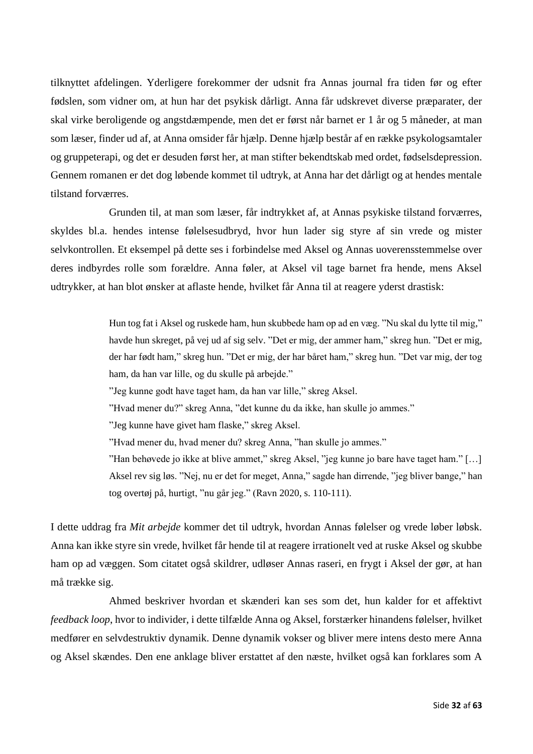tilknyttet afdelingen. Yderligere forekommer der udsnit fra Annas journal fra tiden før og efter fødslen, som vidner om, at hun har det psykisk dårligt. Anna får udskrevet diverse præparater, der skal virke beroligende og angstdæmpende, men det er først når barnet er 1 år og 5 måneder, at man som læser, finder ud af, at Anna omsider får hjælp. Denne hjælp består af en række psykologsamtaler og gruppeterapi, og det er desuden først her, at man stifter bekendtskab med ordet, fødselsdepression. Gennem romanen er det dog løbende kommet til udtryk, at Anna har det dårligt og at hendes mentale tilstand forværres.

Grunden til, at man som læser, får indtrykket af, at Annas psykiske tilstand forværres, skyldes bl.a. hendes intense følelsesudbryd, hvor hun lader sig styre af sin vrede og mister selvkontrollen. Et eksempel på dette ses i forbindelse med Aksel og Annas uoverensstemmelse over deres indbyrdes rolle som forældre. Anna føler, at Aksel vil tage barnet fra hende, mens Aksel udtrykker, at han blot ønsker at aflaste hende, hvilket får Anna til at reagere yderst drastisk:

> Hun tog fat i Aksel og ruskede ham, hun skubbede ham op ad en væg. "Nu skal du lytte til mig," havde hun skreget, på vej ud af sig selv. "Det er mig, der ammer ham," skreg hun. "Det er mig, der har født ham," skreg hun. "Det er mig, der har båret ham," skreg hun. "Det var mig, der tog ham, da han var lille, og du skulle på arbejde."

"Jeg kunne godt have taget ham, da han var lille," skreg Aksel.

"Hvad mener du?" skreg Anna, "det kunne du da ikke, han skulle jo ammes."

"Jeg kunne have givet ham flaske," skreg Aksel.

"Hvad mener du, hvad mener du? skreg Anna, "han skulle jo ammes."

"Han behøvede jo ikke at blive ammet," skreg Aksel, "jeg kunne jo bare have taget ham." […] Aksel rev sig løs. "Nej, nu er det for meget, Anna," sagde han dirrende, "jeg bliver bange," han tog overtøj på, hurtigt, "nu går jeg." (Ravn 2020, s. 110-111).

I dette uddrag fra *Mit arbejde* kommer det til udtryk, hvordan Annas følelser og vrede løber løbsk. Anna kan ikke styre sin vrede, hvilket får hende til at reagere irrationelt ved at ruske Aksel og skubbe ham op ad væggen. Som citatet også skildrer, udløser Annas raseri, en frygt i Aksel der gør, at han må trække sig.

Ahmed beskriver hvordan et skænderi kan ses som det, hun kalder for et affektivt *feedback loop*, hvor to individer, i dette tilfælde Anna og Aksel, forstærker hinandens følelser, hvilket medfører en selvdestruktiv dynamik. Denne dynamik vokser og bliver mere intens desto mere Anna og Aksel skændes. Den ene anklage bliver erstattet af den næste, hvilket også kan forklares som A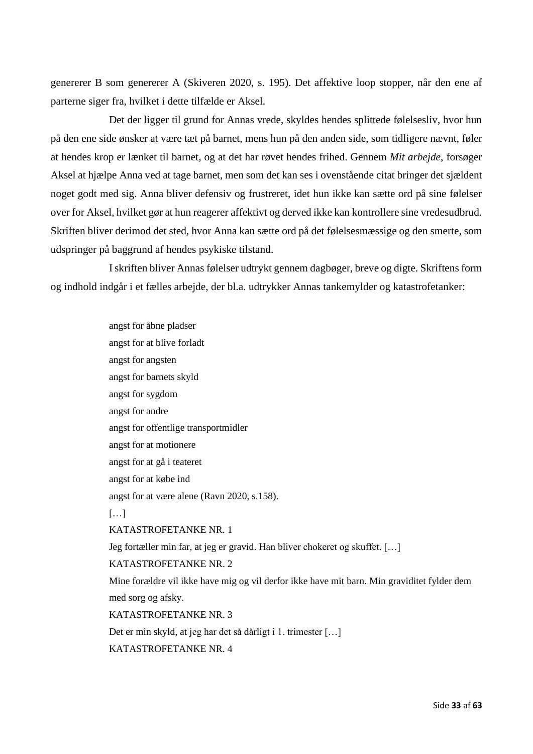genererer B som genererer A (Skiveren 2020, s. 195). Det affektive loop stopper, når den ene af parterne siger fra, hvilket i dette tilfælde er Aksel.

Det der ligger til grund for Annas vrede, skyldes hendes splittede følelsesliv, hvor hun på den ene side ønsker at være tæt på barnet, mens hun på den anden side, som tidligere nævnt, føler at hendes krop er lænket til barnet, og at det har røvet hendes frihed. Gennem *Mit arbejde*, forsøger Aksel at hjælpe Anna ved at tage barnet, men som det kan ses i ovenstående citat bringer det sjældent noget godt med sig. Anna bliver defensiv og frustreret, idet hun ikke kan sætte ord på sine følelser over for Aksel, hvilket gør at hun reagerer affektivt og derved ikke kan kontrollere sine vredesudbrud. Skriften bliver derimod det sted, hvor Anna kan sætte ord på det følelsesmæssige og den smerte, som udspringer på baggrund af hendes psykiske tilstand.

I skriften bliver Annas følelser udtrykt gennem dagbøger, breve og digte. Skriftens form og indhold indgår i et fælles arbejde, der bl.a. udtrykker Annas tankemylder og katastrofetanker:

> angst for åbne pladser angst for at blive forladt angst for angsten angst for barnets skyld angst for sygdom angst for andre angst for offentlige transportmidler angst for at motionere angst for at gå i teateret angst for at købe ind angst for at være alene (Ravn 2020, s.158).  $[\dots]$ KATASTROFETANKE NR. 1 Jeg fortæller min far, at jeg er gravid. Han bliver chokeret og skuffet. […] KATASTROFETANKE NR. 2 Mine forældre vil ikke have mig og vil derfor ikke have mit barn. Min graviditet fylder dem med sorg og afsky. KATASTROFETANKE NR. 3 Det er min skyld, at jeg har det så dårligt i 1. trimester […] KATASTROFETANKE NR. 4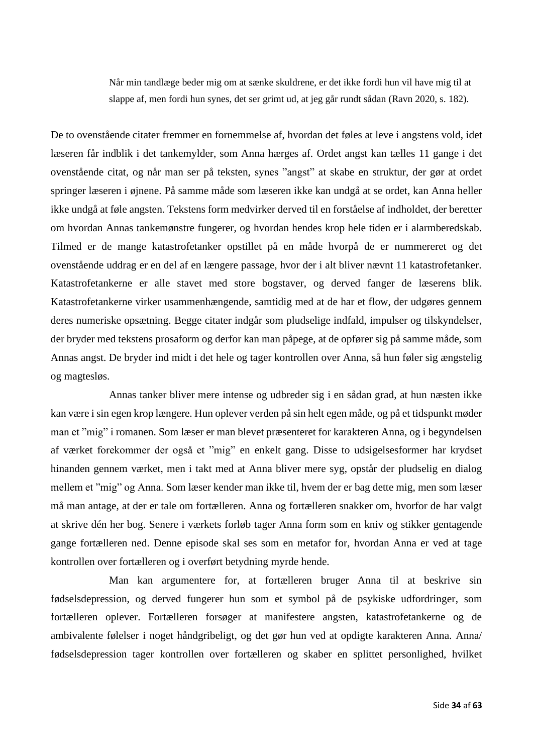Når min tandlæge beder mig om at sænke skuldrene, er det ikke fordi hun vil have mig til at slappe af, men fordi hun synes, det ser grimt ud, at jeg går rundt sådan (Ravn 2020, s. 182).

De to ovenstående citater fremmer en fornemmelse af, hvordan det føles at leve i angstens vold, idet læseren får indblik i det tankemylder, som Anna hærges af. Ordet angst kan tælles 11 gange i det ovenstående citat, og når man ser på teksten, synes "angst" at skabe en struktur, der gør at ordet springer læseren i øjnene. På samme måde som læseren ikke kan undgå at se ordet, kan Anna heller ikke undgå at føle angsten. Tekstens form medvirker derved til en forståelse af indholdet, der beretter om hvordan Annas tankemønstre fungerer, og hvordan hendes krop hele tiden er i alarmberedskab. Tilmed er de mange katastrofetanker opstillet på en måde hvorpå de er nummereret og det ovenstående uddrag er en del af en længere passage, hvor der i alt bliver nævnt 11 katastrofetanker. Katastrofetankerne er alle stavet med store bogstaver, og derved fanger de læserens blik. Katastrofetankerne virker usammenhængende, samtidig med at de har et flow, der udgøres gennem deres numeriske opsætning. Begge citater indgår som pludselige indfald, impulser og tilskyndelser, der bryder med tekstens prosaform og derfor kan man påpege, at de opfører sig på samme måde, som Annas angst. De bryder ind midt i det hele og tager kontrollen over Anna, så hun føler sig ængstelig og magtesløs.

Annas tanker bliver mere intense og udbreder sig i en sådan grad, at hun næsten ikke kan være i sin egen krop længere. Hun oplever verden på sin helt egen måde, og på et tidspunkt møder man et "mig" i romanen. Som læser er man blevet præsenteret for karakteren Anna, og i begyndelsen af værket forekommer der også et "mig" en enkelt gang. Disse to udsigelsesformer har krydset hinanden gennem værket, men i takt med at Anna bliver mere syg, opstår der pludselig en dialog mellem et "mig" og Anna. Som læser kender man ikke til, hvem der er bag dette mig, men som læser må man antage, at der er tale om fortælleren. Anna og fortælleren snakker om, hvorfor de har valgt at skrive dén her bog. Senere i værkets forløb tager Anna form som en kniv og stikker gentagende gange fortælleren ned. Denne episode skal ses som en metafor for, hvordan Anna er ved at tage kontrollen over fortælleren og i overført betydning myrde hende.

Man kan argumentere for, at fortælleren bruger Anna til at beskrive sin fødselsdepression, og derved fungerer hun som et symbol på de psykiske udfordringer, som fortælleren oplever. Fortælleren forsøger at manifestere angsten, katastrofetankerne og de ambivalente følelser i noget håndgribeligt, og det gør hun ved at opdigte karakteren Anna. Anna/ fødselsdepression tager kontrollen over fortælleren og skaber en splittet personlighed, hvilket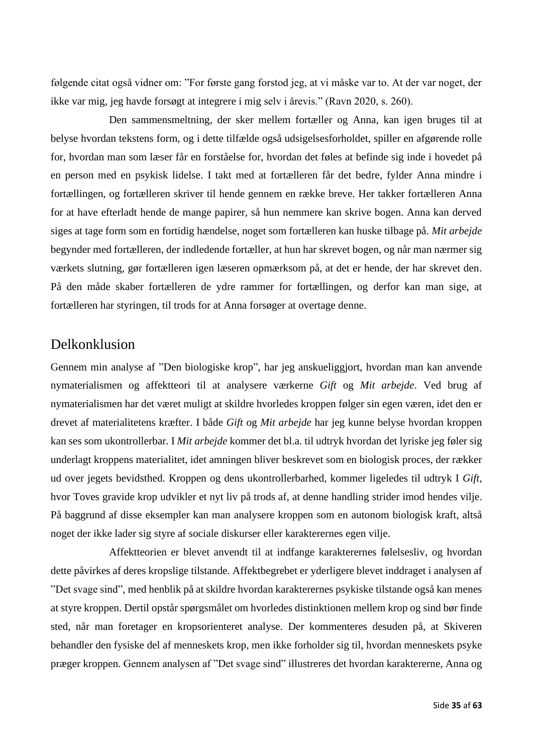følgende citat også vidner om: "For første gang forstod jeg, at vi måske var to. At der var noget, der ikke var mig, jeg havde forsøgt at integrere i mig selv i årevis." (Ravn 2020, s. 260).

Den sammensmeltning, der sker mellem fortæller og Anna, kan igen bruges til at belyse hvordan tekstens form, og i dette tilfælde også udsigelsesforholdet, spiller en afgørende rolle for, hvordan man som læser får en forståelse for, hvordan det føles at befinde sig inde i hovedet på en person med en psykisk lidelse. I takt med at fortælleren får det bedre, fylder Anna mindre i fortællingen, og fortælleren skriver til hende gennem en række breve. Her takker fortælleren Anna for at have efterladt hende de mange papirer, så hun nemmere kan skrive bogen. Anna kan derved siges at tage form som en fortidig hændelse, noget som fortælleren kan huske tilbage på. *Mit arbejde* begynder med fortælleren, der indledende fortæller, at hun har skrevet bogen, og når man nærmer sig værkets slutning, gør fortælleren igen læseren opmærksom på, at det er hende, der har skrevet den. På den måde skaber fortælleren de ydre rammer for fortællingen, og derfor kan man sige, at fortælleren har styringen, til trods for at Anna forsøger at overtage denne.

#### <span id="page-35-0"></span>Delkonklusion

Gennem min analyse af "Den biologiske krop", har jeg anskueliggjort, hvordan man kan anvende nymaterialismen og affektteori til at analysere værkerne *Gift* og *Mit arbejde*. Ved brug af nymaterialismen har det været muligt at skildre hvorledes kroppen følger sin egen væren, idet den er drevet af materialitetens kræfter. I både *Gift* og *Mit arbejde* har jeg kunne belyse hvordan kroppen kan ses som ukontrollerbar. I *Mit arbejde* kommer det bl.a. til udtryk hvordan det lyriske jeg føler sig underlagt kroppens materialitet, idet amningen bliver beskrevet som en biologisk proces, der rækker ud over jegets bevidsthed. Kroppen og dens ukontrollerbarhed, kommer ligeledes til udtryk I *Gift*, hvor Toves gravide krop udvikler et nyt liv på trods af, at denne handling strider imod hendes vilje. På baggrund af disse eksempler kan man analysere kroppen som en autonom biologisk kraft, altså noget der ikke lader sig styre af sociale diskurser eller karakterernes egen vilje.

Affektteorien er blevet anvendt til at indfange karakterernes følelsesliv, og hvordan dette påvirkes af deres kropslige tilstande. Affektbegrebet er yderligere blevet inddraget i analysen af "Det svage sind", med henblik på at skildre hvordan karakterernes psykiske tilstande også kan menes at styre kroppen. Dertil opstår spørgsmålet om hvorledes distinktionen mellem krop og sind bør finde sted, når man foretager en kropsorienteret analyse. Der kommenteres desuden på, at Skiveren behandler den fysiske del af menneskets krop, men ikke forholder sig til, hvordan menneskets psyke præger kroppen. Gennem analysen af "Det svage sind" illustreres det hvordan karaktererne, Anna og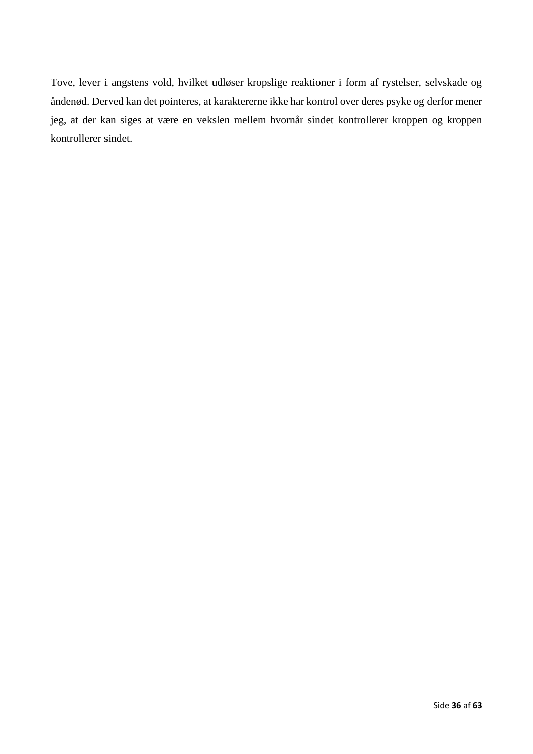Tove, lever i angstens vold, hvilket udløser kropslige reaktioner i form af rystelser, selvskade og åndenød. Derved kan det pointeres, at karaktererne ikke har kontrol over deres psyke og derfor mener jeg, at der kan siges at være en vekslen mellem hvornår sindet kontrollerer kroppen og kroppen kontrollerer sindet.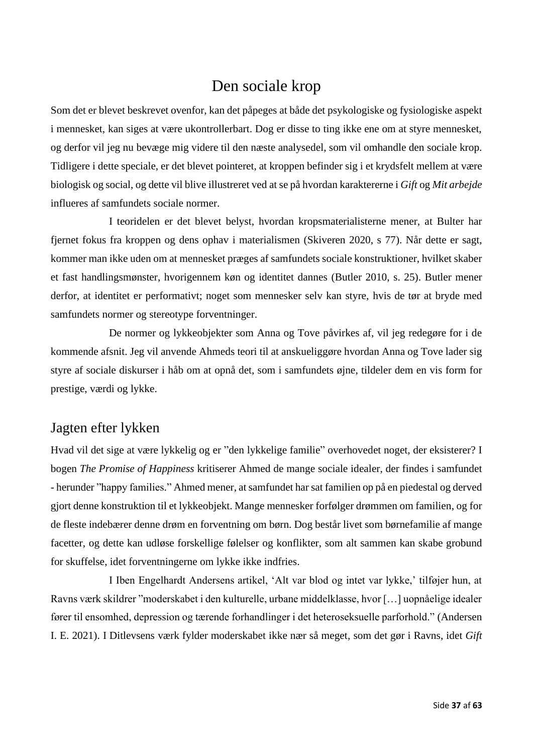### Den sociale krop

<span id="page-37-0"></span>Som det er blevet beskrevet ovenfor, kan det påpeges at både det psykologiske og fysiologiske aspekt i mennesket, kan siges at være ukontrollerbart. Dog er disse to ting ikke ene om at styre mennesket, og derfor vil jeg nu bevæge mig videre til den næste analysedel, som vil omhandle den sociale krop. Tidligere i dette speciale, er det blevet pointeret, at kroppen befinder sig i et krydsfelt mellem at være biologisk og social, og dette vil blive illustreret ved at se på hvordan karaktererne i *Gift* og *Mit arbejde* influeres af samfundets sociale normer.

I teoridelen er det blevet belyst, hvordan kropsmaterialisterne mener, at Bulter har fjernet fokus fra kroppen og dens ophav i materialismen (Skiveren 2020, s 77). Når dette er sagt, kommer man ikke uden om at mennesket præges af samfundets sociale konstruktioner, hvilket skaber et fast handlingsmønster, hvorigennem køn og identitet dannes (Butler 2010, s. 25). Butler mener derfor, at identitet er performativt; noget som mennesker selv kan styre, hvis de tør at bryde med samfundets normer og stereotype forventninger.

De normer og lykkeobjekter som Anna og Tove påvirkes af, vil jeg redegøre for i de kommende afsnit. Jeg vil anvende Ahmeds teori til at anskueliggøre hvordan Anna og Tove lader sig styre af sociale diskurser i håb om at opnå det, som i samfundets øjne, tildeler dem en vis form for prestige, værdi og lykke.

### <span id="page-37-1"></span>Jagten efter lykken

Hvad vil det sige at være lykkelig og er "den lykkelige familie" overhovedet noget, der eksisterer? I bogen *The Promise of Happiness* kritiserer Ahmed de mange sociale idealer, der findes i samfundet - herunder "happy families." Ahmed mener, at samfundet har sat familien op på en piedestal og derved gjort denne konstruktion til et lykkeobjekt. Mange mennesker forfølger drømmen om familien, og for de fleste indebærer denne drøm en forventning om børn. Dog består livet som børnefamilie af mange facetter, og dette kan udløse forskellige følelser og konflikter, som alt sammen kan skabe grobund for skuffelse, idet forventningerne om lykke ikke indfries.

I Iben Engelhardt Andersens artikel, 'Alt var blod og intet var lykke,' tilføjer hun, at Ravns værk skildrer "moderskabet i den kulturelle, urbane middelklasse, hvor […] uopnåelige idealer fører til ensomhed, depression og tærende forhandlinger i det heteroseksuelle parforhold." (Andersen I. E. 2021). I Ditlevsens værk fylder moderskabet ikke nær så meget, som det gør i Ravns, idet *Gift*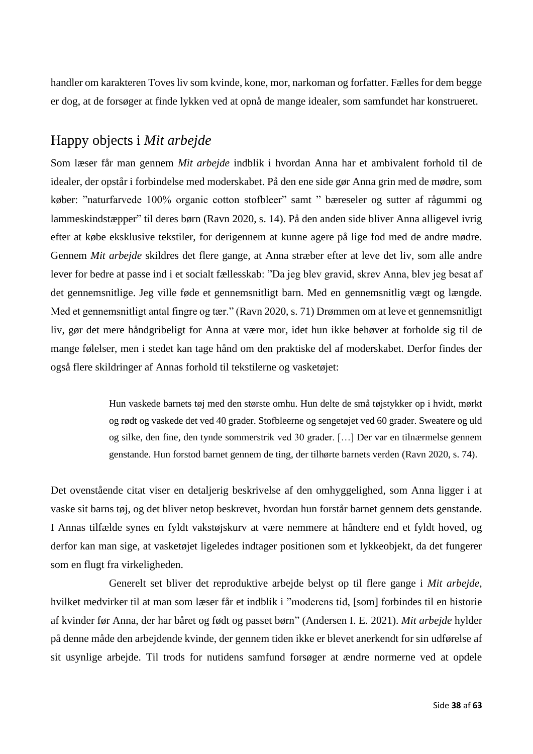handler om karakteren Toves liv som kvinde, kone, mor, narkoman og forfatter. Fælles for dem begge er dog, at de forsøger at finde lykken ved at opnå de mange idealer, som samfundet har konstrueret.

### <span id="page-38-0"></span>Happy objects i *Mit arbejde*

Som læser får man gennem *Mit arbejde* indblik i hvordan Anna har et ambivalent forhold til de idealer, der opstår i forbindelse med moderskabet. På den ene side gør Anna grin med de mødre, som køber: "naturfarvede 100% organic cotton stofbleer" samt " bæreseler og sutter af rågummi og lammeskindstæpper" til deres børn (Ravn 2020, s. 14). På den anden side bliver Anna alligevel ivrig efter at købe eksklusive tekstiler, for derigennem at kunne agere på lige fod med de andre mødre. Gennem *Mit arbejde* skildres det flere gange, at Anna stræber efter at leve det liv, som alle andre lever for bedre at passe ind i et socialt fællesskab: "Da jeg blev gravid, skrev Anna, blev jeg besat af det gennemsnitlige. Jeg ville føde et gennemsnitligt barn. Med en gennemsnitlig vægt og længde. Med et gennemsnitligt antal fingre og tær." (Ravn 2020, s. 71) Drømmen om at leve et gennemsnitligt liv, gør det mere håndgribeligt for Anna at være mor, idet hun ikke behøver at forholde sig til de mange følelser, men i stedet kan tage hånd om den praktiske del af moderskabet. Derfor findes der også flere skildringer af Annas forhold til tekstilerne og vasketøjet:

> Hun vaskede barnets tøj med den største omhu. Hun delte de små tøjstykker op i hvidt, mørkt og rødt og vaskede det ved 40 grader. Stofbleerne og sengetøjet ved 60 grader. Sweatere og uld og silke, den fine, den tynde sommerstrik ved 30 grader. […] Der var en tilnærmelse gennem genstande. Hun forstod barnet gennem de ting, der tilhørte barnets verden (Ravn 2020, s. 74).

Det ovenstående citat viser en detaljerig beskrivelse af den omhyggelighed, som Anna ligger i at vaske sit barns tøj, og det bliver netop beskrevet, hvordan hun forstår barnet gennem dets genstande. I Annas tilfælde synes en fyldt vakstøjskurv at være nemmere at håndtere end et fyldt hoved, og derfor kan man sige, at vasketøjet ligeledes indtager positionen som et lykkeobjekt, da det fungerer som en flugt fra virkeligheden.

Generelt set bliver det reproduktive arbejde belyst op til flere gange i *Mit arbejde*, hvilket medvirker til at man som læser får et indblik i "moderens tid, [som] forbindes til en historie af kvinder før Anna, der har båret og født og passet børn" (Andersen I. E. 2021). *Mit arbejde* hylder på denne måde den arbejdende kvinde, der gennem tiden ikke er blevet anerkendt for sin udførelse af sit usynlige arbejde. Til trods for nutidens samfund forsøger at ændre normerne ved at opdele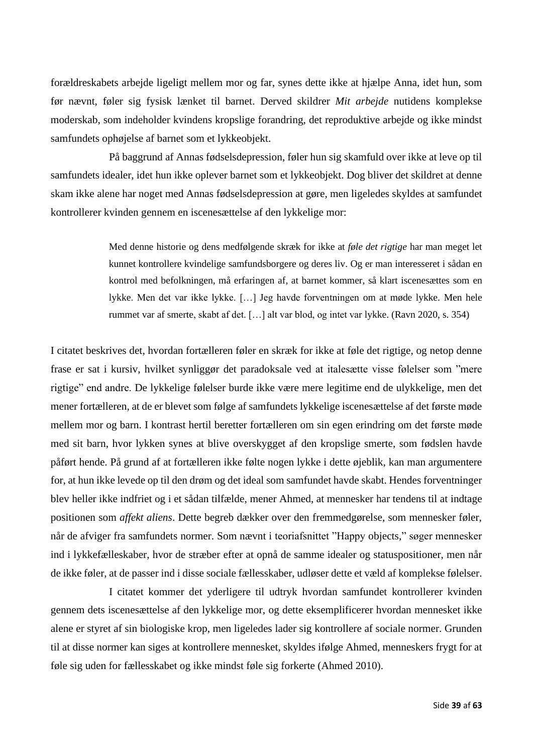forældreskabets arbejde ligeligt mellem mor og far, synes dette ikke at hjælpe Anna, idet hun, som før nævnt, føler sig fysisk lænket til barnet. Derved skildrer *Mit arbejde* nutidens komplekse moderskab, som indeholder kvindens kropslige forandring, det reproduktive arbejde og ikke mindst samfundets ophøjelse af barnet som et lykkeobjekt.

På baggrund af Annas fødselsdepression, føler hun sig skamfuld over ikke at leve op til samfundets idealer, idet hun ikke oplever barnet som et lykkeobjekt. Dog bliver det skildret at denne skam ikke alene har noget med Annas fødselsdepression at gøre, men ligeledes skyldes at samfundet kontrollerer kvinden gennem en iscenesættelse af den lykkelige mor:

> Med denne historie og dens medfølgende skræk for ikke at *føle det rigtige* har man meget let kunnet kontrollere kvindelige samfundsborgere og deres liv. Og er man interesseret i sådan en kontrol med befolkningen, må erfaringen af, at barnet kommer, så klart iscenesættes som en lykke. Men det var ikke lykke. […] Jeg havde forventningen om at møde lykke. Men hele rummet var af smerte, skabt af det. […] alt var blod, og intet var lykke. (Ravn 2020, s. 354)

I citatet beskrives det, hvordan fortælleren føler en skræk for ikke at føle det rigtige, og netop denne frase er sat i kursiv, hvilket synliggør det paradoksale ved at italesætte visse følelser som "mere rigtige" end andre. De lykkelige følelser burde ikke være mere legitime end de ulykkelige, men det mener fortælleren, at de er blevet som følge af samfundets lykkelige iscenesættelse af det første møde mellem mor og barn. I kontrast hertil beretter fortælleren om sin egen erindring om det første møde med sit barn, hvor lykken synes at blive overskygget af den kropslige smerte, som fødslen havde påført hende. På grund af at fortælleren ikke følte nogen lykke i dette øjeblik, kan man argumentere for, at hun ikke levede op til den drøm og det ideal som samfundet havde skabt. Hendes forventninger blev heller ikke indfriet og i et sådan tilfælde, mener Ahmed, at mennesker har tendens til at indtage positionen som *affekt aliens*. Dette begreb dækker over den fremmedgørelse, som mennesker føler, når de afviger fra samfundets normer. Som nævnt i teoriafsnittet "Happy objects," søger mennesker ind i lykkefælleskaber, hvor de stræber efter at opnå de samme idealer og statuspositioner, men når de ikke føler, at de passer ind i disse sociale fællesskaber, udløser dette et væld af komplekse følelser.

I citatet kommer det yderligere til udtryk hvordan samfundet kontrollerer kvinden gennem dets iscenesættelse af den lykkelige mor, og dette eksemplificerer hvordan mennesket ikke alene er styret af sin biologiske krop, men ligeledes lader sig kontrollere af sociale normer. Grunden til at disse normer kan siges at kontrollere mennesket, skyldes ifølge Ahmed, menneskers frygt for at føle sig uden for fællesskabet og ikke mindst føle sig forkerte (Ahmed 2010).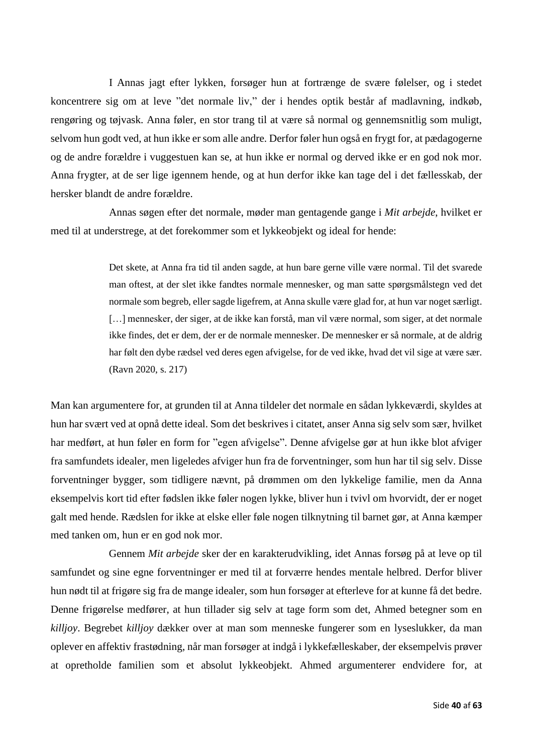I Annas jagt efter lykken, forsøger hun at fortrænge de svære følelser, og i stedet koncentrere sig om at leve "det normale liv," der i hendes optik består af madlavning, indkøb, rengøring og tøjvask. Anna føler, en stor trang til at være så normal og gennemsnitlig som muligt, selvom hun godt ved, at hun ikke er som alle andre. Derfor føler hun også en frygt for, at pædagogerne og de andre forældre i vuggestuen kan se, at hun ikke er normal og derved ikke er en god nok mor. Anna frygter, at de ser lige igennem hende, og at hun derfor ikke kan tage del i det fællesskab, der hersker blandt de andre forældre.

Annas søgen efter det normale, møder man gentagende gange i *Mit arbejde*, hvilket er med til at understrege, at det forekommer som et lykkeobjekt og ideal for hende:

> Det skete, at Anna fra tid til anden sagde, at hun bare gerne ville være normal. Til det svarede man oftest, at der slet ikke fandtes normale mennesker, og man satte spørgsmålstegn ved det normale som begreb, eller sagde ligefrem, at Anna skulle være glad for, at hun var noget særligt. [...] mennesker, der siger, at de ikke kan forstå, man vil være normal, som siger, at det normale ikke findes, det er dem, der er de normale mennesker. De mennesker er så normale, at de aldrig har følt den dybe rædsel ved deres egen afvigelse, for de ved ikke, hvad det vil sige at være sær. (Ravn 2020, s. 217)

Man kan argumentere for, at grunden til at Anna tildeler det normale en sådan lykkeværdi, skyldes at hun har svært ved at opnå dette ideal. Som det beskrives i citatet, anser Anna sig selv som sær, hvilket har medført, at hun føler en form for "egen afvigelse". Denne afvigelse gør at hun ikke blot afviger fra samfundets idealer, men ligeledes afviger hun fra de forventninger, som hun har til sig selv. Disse forventninger bygger, som tidligere nævnt, på drømmen om den lykkelige familie, men da Anna eksempelvis kort tid efter fødslen ikke føler nogen lykke, bliver hun i tvivl om hvorvidt, der er noget galt med hende. Rædslen for ikke at elske eller føle nogen tilknytning til barnet gør, at Anna kæmper med tanken om, hun er en god nok mor.

Gennem *Mit arbejde* sker der en karakterudvikling, idet Annas forsøg på at leve op til samfundet og sine egne forventninger er med til at forværre hendes mentale helbred. Derfor bliver hun nødt til at frigøre sig fra de mange idealer, som hun forsøger at efterleve for at kunne få det bedre. Denne frigørelse medfører, at hun tillader sig selv at tage form som det, Ahmed betegner som en *killjoy*. Begrebet *killjoy* dækker over at man som menneske fungerer som en lyseslukker, da man oplever en affektiv frastødning, når man forsøger at indgå i lykkefælleskaber, der eksempelvis prøver at opretholde familien som et absolut lykkeobjekt. Ahmed argumenterer endvidere for, at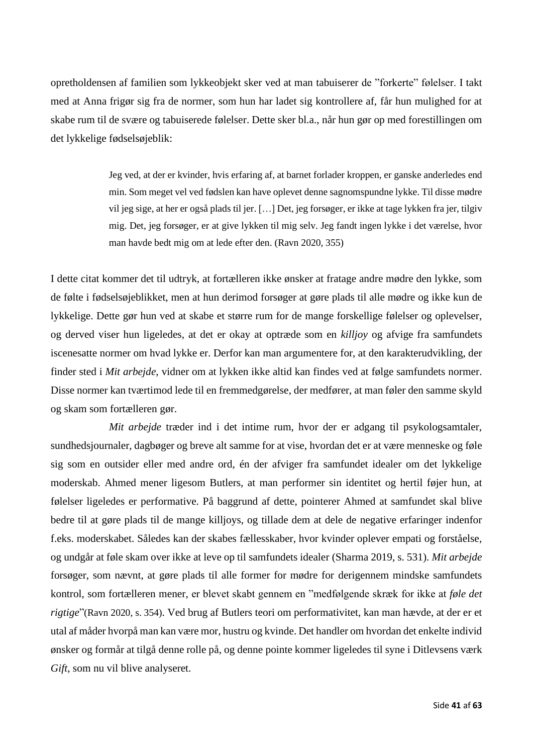opretholdensen af familien som lykkeobjekt sker ved at man tabuiserer de "forkerte" følelser. I takt med at Anna frigør sig fra de normer, som hun har ladet sig kontrollere af, får hun mulighed for at skabe rum til de svære og tabuiserede følelser. Dette sker bl.a., når hun gør op med forestillingen om det lykkelige fødselsøjeblik:

> Jeg ved, at der er kvinder, hvis erfaring af, at barnet forlader kroppen, er ganske anderledes end min. Som meget vel ved fødslen kan have oplevet denne sagnomspundne lykke. Til disse mødre vil jeg sige, at her er også plads til jer. […] Det, jeg forsøger, er ikke at tage lykken fra jer, tilgiv mig. Det, jeg forsøger, er at give lykken til mig selv. Jeg fandt ingen lykke i det værelse, hvor man havde bedt mig om at lede efter den. (Ravn 2020, 355)

I dette citat kommer det til udtryk, at fortælleren ikke ønsker at fratage andre mødre den lykke, som de følte i fødselsøjeblikket, men at hun derimod forsøger at gøre plads til alle mødre og ikke kun de lykkelige. Dette gør hun ved at skabe et større rum for de mange forskellige følelser og oplevelser, og derved viser hun ligeledes, at det er okay at optræde som en *killjoy* og afvige fra samfundets iscenesatte normer om hvad lykke er. Derfor kan man argumentere for, at den karakterudvikling, der finder sted i *Mit arbejde*, vidner om at lykken ikke altid kan findes ved at følge samfundets normer. Disse normer kan tværtimod lede til en fremmedgørelse, der medfører, at man føler den samme skyld og skam som fortælleren gør.

*Mit arbejde* træder ind i det intime rum, hvor der er adgang til psykologsamtaler, sundhedsjournaler, dagbøger og breve alt samme for at vise, hvordan det er at være menneske og føle sig som en outsider eller med andre ord, én der afviger fra samfundet idealer om det lykkelige moderskab. Ahmed mener ligesom Butlers, at man performer sin identitet og hertil føjer hun, at følelser ligeledes er performative. På baggrund af dette, pointerer Ahmed at samfundet skal blive bedre til at gøre plads til de mange killjoys, og tillade dem at dele de negative erfaringer indenfor f.eks. moderskabet. Således kan der skabes fællesskaber, hvor kvinder oplever empati og forståelse, og undgår at føle skam over ikke at leve op til samfundets idealer (Sharma 2019, s. 531). *Mit arbejde* forsøger, som nævnt, at gøre plads til alle former for mødre for derigennem mindske samfundets kontrol, som fortælleren mener, er blevet skabt gennem en "medfølgende skræk for ikke at *føle det rigtige*"(Ravn 2020, s. 354). Ved brug af Butlers teori om performativitet, kan man hævde, at der er et utal af måder hvorpå man kan være mor, hustru og kvinde. Det handler om hvordan det enkelte individ ønsker og formår at tilgå denne rolle på, og denne pointe kommer ligeledes til syne i Ditlevsens værk *Gift*, som nu vil blive analyseret.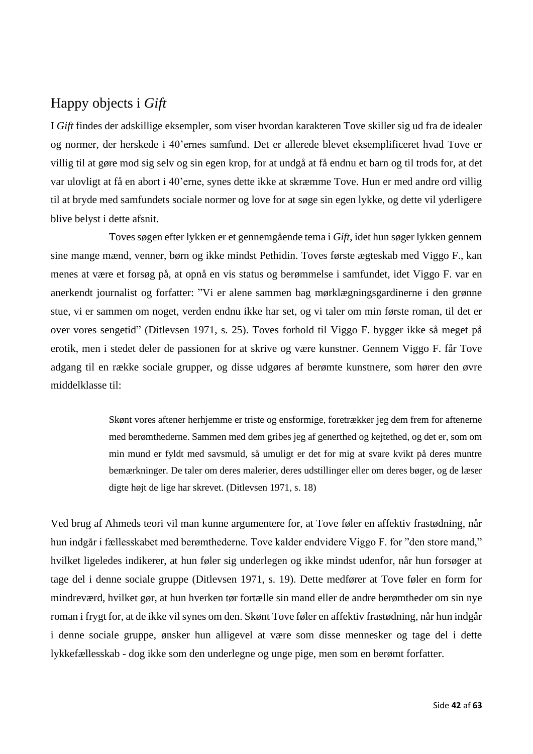### <span id="page-42-0"></span>Happy objects i *Gift*

I *Gift* findes der adskillige eksempler, som viser hvordan karakteren Tove skiller sig ud fra de idealer og normer, der herskede i 40'ernes samfund. Det er allerede blevet eksemplificeret hvad Tove er villig til at gøre mod sig selv og sin egen krop, for at undgå at få endnu et barn og til trods for, at det var ulovligt at få en abort i 40'erne, synes dette ikke at skræmme Tove. Hun er med andre ord villig til at bryde med samfundets sociale normer og love for at søge sin egen lykke, og dette vil yderligere blive belyst i dette afsnit.

Toves søgen efter lykken er et gennemgående tema i *Gift*, idet hun søger lykken gennem sine mange mænd, venner, børn og ikke mindst Pethidin. Toves første ægteskab med Viggo F., kan menes at være et forsøg på, at opnå en vis status og berømmelse i samfundet, idet Viggo F. var en anerkendt journalist og forfatter: "Vi er alene sammen bag mørklægningsgardinerne i den grønne stue, vi er sammen om noget, verden endnu ikke har set, og vi taler om min første roman, til det er over vores sengetid" (Ditlevsen 1971, s. 25). Toves forhold til Viggo F. bygger ikke så meget på erotik, men i stedet deler de passionen for at skrive og være kunstner. Gennem Viggo F. får Tove adgang til en række sociale grupper, og disse udgøres af berømte kunstnere, som hører den øvre middelklasse til:

> Skønt vores aftener herhjemme er triste og ensformige, foretrækker jeg dem frem for aftenerne med berømthederne. Sammen med dem gribes jeg af generthed og kejtethed, og det er, som om min mund er fyldt med savsmuld, så umuligt er det for mig at svare kvikt på deres muntre bemærkninger. De taler om deres malerier, deres udstillinger eller om deres bøger, og de læser digte højt de lige har skrevet. (Ditlevsen 1971, s. 18)

Ved brug af Ahmeds teori vil man kunne argumentere for, at Tove føler en affektiv frastødning, når hun indgår i fællesskabet med berømthederne. Tove kalder endvidere Viggo F. for "den store mand," hvilket ligeledes indikerer, at hun føler sig underlegen og ikke mindst udenfor, når hun forsøger at tage del i denne sociale gruppe (Ditlevsen 1971, s. 19). Dette medfører at Tove føler en form for mindreværd, hvilket gør, at hun hverken tør fortælle sin mand eller de andre berømtheder om sin nye roman i frygt for, at de ikke vil synes om den. Skønt Tove føler en affektiv frastødning, når hun indgår i denne sociale gruppe, ønsker hun alligevel at være som disse mennesker og tage del i dette lykkefællesskab - dog ikke som den underlegne og unge pige, men som en berømt forfatter.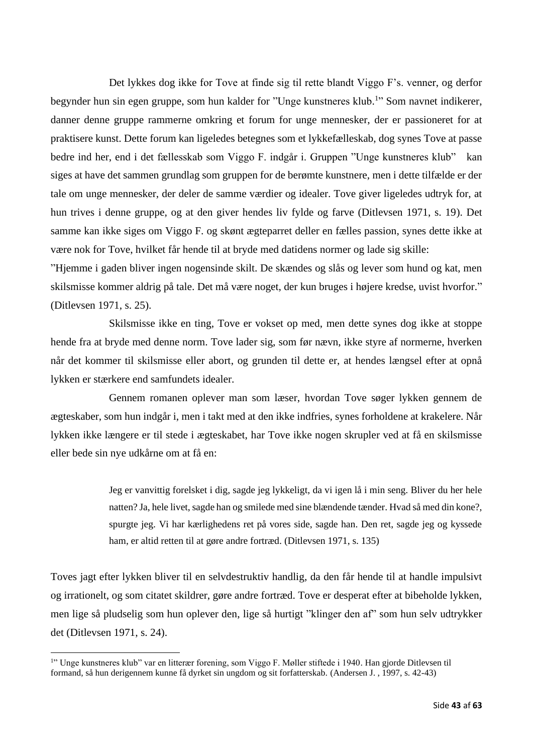Det lykkes dog ikke for Tove at finde sig til rette blandt Viggo F's. venner, og derfor begynder hun sin egen gruppe, som hun kalder for "Unge kunstneres klub.<sup>1</sup>" Som navnet indikerer, danner denne gruppe rammerne omkring et forum for unge mennesker, der er passioneret for at praktisere kunst. Dette forum kan ligeledes betegnes som et lykkefælleskab, dog synes Tove at passe bedre ind her, end i det fællesskab som Viggo F. indgår i. Gruppen "Unge kunstneres klub" kan siges at have det sammen grundlag som gruppen for de berømte kunstnere, men i dette tilfælde er der tale om unge mennesker, der deler de samme værdier og idealer. Tove giver ligeledes udtryk for, at hun trives i denne gruppe, og at den giver hendes liv fylde og farve (Ditlevsen 1971, s. 19). Det samme kan ikke siges om Viggo F. og skønt ægteparret deller en fælles passion, synes dette ikke at være nok for Tove, hvilket får hende til at bryde med datidens normer og lade sig skille:

"Hjemme i gaden bliver ingen nogensinde skilt. De skændes og slås og lever som hund og kat, men skilsmisse kommer aldrig på tale. Det må være noget, der kun bruges i højere kredse, uvist hvorfor." (Ditlevsen 1971, s. 25).

Skilsmisse ikke en ting, Tove er vokset op med, men dette synes dog ikke at stoppe hende fra at bryde med denne norm. Tove lader sig, som før nævn, ikke styre af normerne, hverken når det kommer til skilsmisse eller abort, og grunden til dette er, at hendes længsel efter at opnå lykken er stærkere end samfundets idealer.

Gennem romanen oplever man som læser, hvordan Tove søger lykken gennem de ægteskaber, som hun indgår i, men i takt med at den ikke indfries, synes forholdene at krakelere. Når lykken ikke længere er til stede i ægteskabet, har Tove ikke nogen skrupler ved at få en skilsmisse eller bede sin nye udkårne om at få en:

> Jeg er vanvittig forelsket i dig, sagde jeg lykkeligt, da vi igen lå i min seng. Bliver du her hele natten? Ja, hele livet, sagde han og smilede med sine blændende tænder. Hvad så med din kone?, spurgte jeg. Vi har kærlighedens ret på vores side, sagde han. Den ret, sagde jeg og kyssede ham, er altid retten til at gøre andre fortræd. (Ditlevsen 1971, s. 135)

Toves jagt efter lykken bliver til en selvdestruktiv handlig, da den får hende til at handle impulsivt og irrationelt, og som citatet skildrer, gøre andre fortræd. Tove er desperat efter at bibeholde lykken, men lige så pludselig som hun oplever den, lige så hurtigt "klinger den af" som hun selv udtrykker det (Ditlevsen 1971, s. 24).

<sup>&</sup>lt;sup>1</sup>" Unge kunstneres klub" var en litterær forening, som Viggo F. Møller stiftede i 1940. Han gjorde Ditlevsen til formand, så hun derigennem kunne få dyrket sin ungdom og sit forfatterskab. (Andersen J. , 1997, s. 42-43)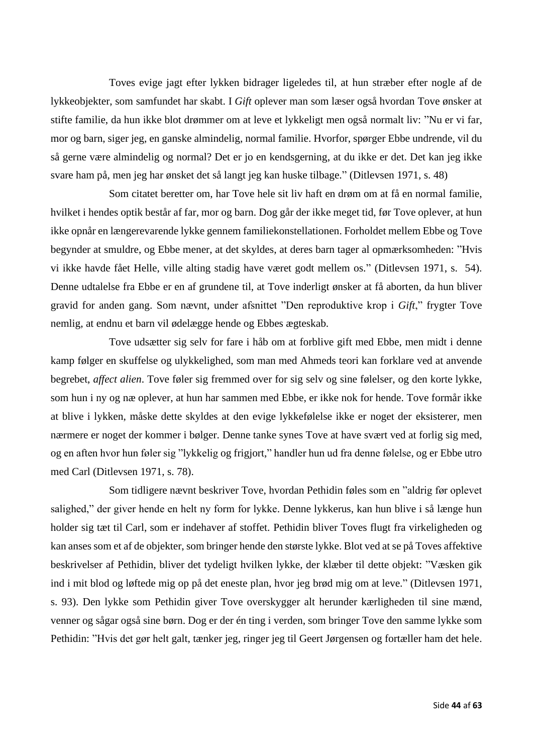Toves evige jagt efter lykken bidrager ligeledes til, at hun stræber efter nogle af de lykkeobjekter, som samfundet har skabt. I *Gift* oplever man som læser også hvordan Tove ønsker at stifte familie, da hun ikke blot drømmer om at leve et lykkeligt men også normalt liv: "Nu er vi far, mor og barn, siger jeg, en ganske almindelig, normal familie. Hvorfor, spørger Ebbe undrende, vil du så gerne være almindelig og normal? Det er jo en kendsgerning, at du ikke er det. Det kan jeg ikke svare ham på, men jeg har ønsket det så langt jeg kan huske tilbage." (Ditlevsen 1971, s. 48)

Som citatet beretter om, har Tove hele sit liv haft en drøm om at få en normal familie, hvilket i hendes optik består af far, mor og barn. Dog går der ikke meget tid, før Tove oplever, at hun ikke opnår en længerevarende lykke gennem familiekonstellationen. Forholdet mellem Ebbe og Tove begynder at smuldre, og Ebbe mener, at det skyldes, at deres barn tager al opmærksomheden: "Hvis vi ikke havde fået Helle, ville alting stadig have været godt mellem os." (Ditlevsen 1971, s. 54). Denne udtalelse fra Ebbe er en af grundene til, at Tove inderligt ønsker at få aborten, da hun bliver gravid for anden gang. Som nævnt, under afsnittet "Den reproduktive krop i *Gift*," frygter Tove nemlig, at endnu et barn vil ødelægge hende og Ebbes ægteskab.

Tove udsætter sig selv for fare i håb om at forblive gift med Ebbe, men midt i denne kamp følger en skuffelse og ulykkelighed, som man med Ahmeds teori kan forklare ved at anvende begrebet, *affect alien*. Tove føler sig fremmed over for sig selv og sine følelser, og den korte lykke, som hun i ny og næ oplever, at hun har sammen med Ebbe, er ikke nok for hende. Tove formår ikke at blive i lykken, måske dette skyldes at den evige lykkefølelse ikke er noget der eksisterer, men nærmere er noget der kommer i bølger. Denne tanke synes Tove at have svært ved at forlig sig med, og en aften hvor hun føler sig "lykkelig og frigjort," handler hun ud fra denne følelse, og er Ebbe utro med Carl (Ditlevsen 1971, s. 78).

Som tidligere nævnt beskriver Tove, hvordan Pethidin føles som en "aldrig før oplevet salighed," der giver hende en helt ny form for lykke. Denne lykkerus, kan hun blive i så længe hun holder sig tæt til Carl, som er indehaver af stoffet. Pethidin bliver Toves flugt fra virkeligheden og kan anses som et af de objekter, som bringer hende den største lykke. Blot ved at se på Toves affektive beskrivelser af Pethidin, bliver det tydeligt hvilken lykke, der klæber til dette objekt: "Væsken gik ind i mit blod og løftede mig op på det eneste plan, hvor jeg brød mig om at leve." (Ditlevsen 1971, s. 93). Den lykke som Pethidin giver Tove overskygger alt herunder kærligheden til sine mænd, venner og sågar også sine børn. Dog er der én ting i verden, som bringer Tove den samme lykke som Pethidin: "Hvis det gør helt galt, tænker jeg, ringer jeg til Geert Jørgensen og fortæller ham det hele.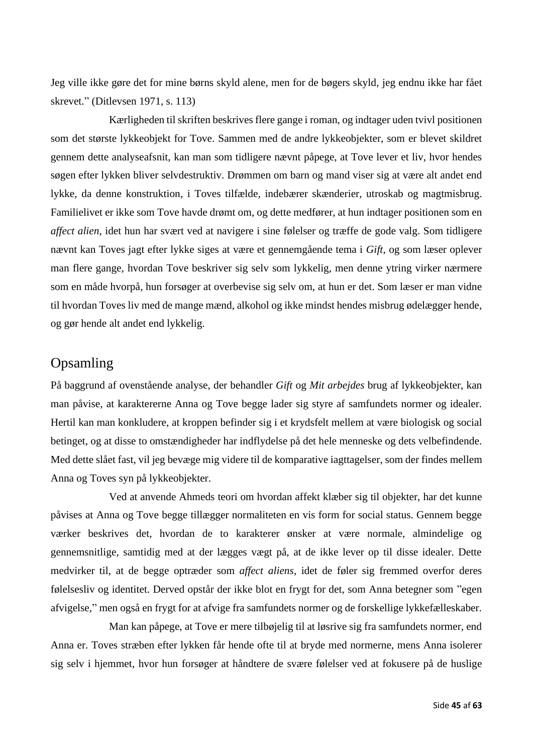Jeg ville ikke gøre det for mine børns skyld alene, men for de bøgers skyld, jeg endnu ikke har fået skrevet." (Ditlevsen 1971, s. 113)

Kærligheden til skriften beskrives flere gange i roman, og indtager uden tvivl positionen som det største lykkeobjekt for Tove. Sammen med de andre lykkeobjekter, som er blevet skildret gennem dette analyseafsnit, kan man som tidligere nævnt påpege, at Tove lever et liv, hvor hendes søgen efter lykken bliver selvdestruktiv. Drømmen om barn og mand viser sig at være alt andet end lykke, da denne konstruktion, i Toves tilfælde, indebærer skænderier, utroskab og magtmisbrug. Familielivet er ikke som Tove havde drømt om, og dette medfører, at hun indtager positionen som en *affect alien*, idet hun har svært ved at navigere i sine følelser og træffe de gode valg. Som tidligere nævnt kan Toves jagt efter lykke siges at være et gennemgående tema i *Gift*, og som læser oplever man flere gange, hvordan Tove beskriver sig selv som lykkelig, men denne ytring virker nærmere som en måde hvorpå, hun forsøger at overbevise sig selv om, at hun er det. Som læser er man vidne til hvordan Toves liv med de mange mænd, alkohol og ikke mindst hendes misbrug ødelægger hende, og gør hende alt andet end lykkelig.

### <span id="page-45-0"></span>Opsamling

På baggrund af ovenstående analyse, der behandler *Gift* og *Mit arbejdes* brug af lykkeobjekter, kan man påvise, at karaktererne Anna og Tove begge lader sig styre af samfundets normer og idealer. Hertil kan man konkludere, at kroppen befinder sig i et krydsfelt mellem at være biologisk og social betinget, og at disse to omstændigheder har indflydelse på det hele menneske og dets velbefindende. Med dette slået fast, vil jeg bevæge mig videre til de komparative iagttagelser, som der findes mellem Anna og Toves syn på lykkeobjekter.

Ved at anvende Ahmeds teori om hvordan affekt klæber sig til objekter, har det kunne påvises at Anna og Tove begge tillægger normaliteten en vis form for social status. Gennem begge værker beskrives det, hvordan de to karakterer ønsker at være normale, almindelige og gennemsnitlige, samtidig med at der lægges vægt på, at de ikke lever op til disse idealer. Dette medvirker til, at de begge optræder som *affect aliens*, idet de føler sig fremmed overfor deres følelsesliv og identitet. Derved opstår der ikke blot en frygt for det, som Anna betegner som "egen afvigelse," men også en frygt for at afvige fra samfundets normer og de forskellige lykkefælleskaber.

Man kan påpege, at Tove er mere tilbøjelig til at løsrive sig fra samfundets normer, end Anna er. Toves stræben efter lykken får hende ofte til at bryde med normerne, mens Anna isolerer sig selv i hjemmet, hvor hun forsøger at håndtere de svære følelser ved at fokusere på de huslige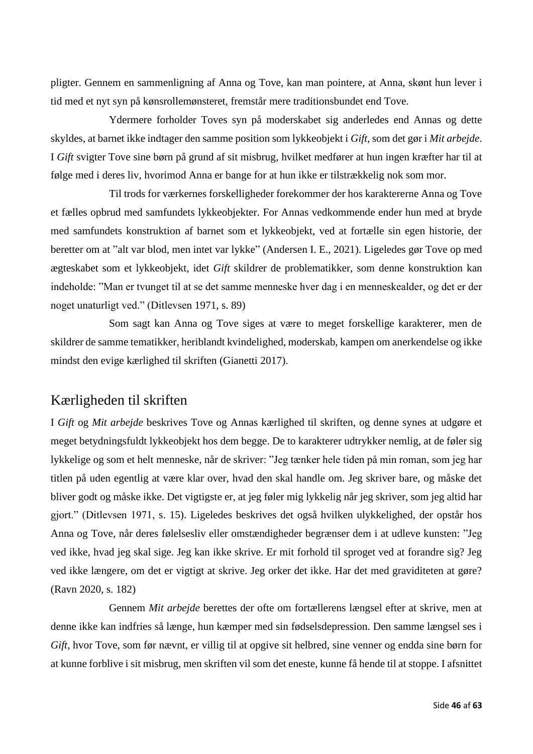pligter. Gennem en sammenligning af Anna og Tove, kan man pointere, at Anna, skønt hun lever i tid med et nyt syn på kønsrollemønsteret, fremstår mere traditionsbundet end Tove.

Ydermere forholder Toves syn på moderskabet sig anderledes end Annas og dette skyldes, at barnet ikke indtager den samme position som lykkeobjekt i *Gift*, som det gør i *Mit arbejde*. I *Gift* svigter Tove sine børn på grund af sit misbrug, hvilket medfører at hun ingen kræfter har til at følge med i deres liv, hvorimod Anna er bange for at hun ikke er tilstrækkelig nok som mor.

Til trods for værkernes forskelligheder forekommer der hos karaktererne Anna og Tove et fælles opbrud med samfundets lykkeobjekter. For Annas vedkommende ender hun med at bryde med samfundets konstruktion af barnet som et lykkeobjekt, ved at fortælle sin egen historie, der beretter om at "alt var blod, men intet var lykke" (Andersen I. E., 2021). Ligeledes gør Tove op med ægteskabet som et lykkeobjekt, idet *Gift* skildrer de problematikker, som denne konstruktion kan indeholde: "Man er tvunget til at se det samme menneske hver dag i en menneskealder, og det er der noget unaturligt ved." (Ditlevsen 1971, s. 89)

Som sagt kan Anna og Tove siges at være to meget forskellige karakterer, men de skildrer de samme tematikker, heriblandt kvindelighed, moderskab, kampen om anerkendelse og ikke mindst den evige kærlighed til skriften (Gianetti 2017).

### <span id="page-46-0"></span>Kærligheden til skriften

I *Gift* og *Mit arbejde* beskrives Tove og Annas kærlighed til skriften, og denne synes at udgøre et meget betydningsfuldt lykkeobjekt hos dem begge. De to karakterer udtrykker nemlig, at de føler sig lykkelige og som et helt menneske, når de skriver: "Jeg tænker hele tiden på min roman, som jeg har titlen på uden egentlig at være klar over, hvad den skal handle om. Jeg skriver bare, og måske det bliver godt og måske ikke. Det vigtigste er, at jeg føler mig lykkelig når jeg skriver, som jeg altid har gjort." (Ditlevsen 1971, s. 15). Ligeledes beskrives det også hvilken ulykkelighed, der opstår hos Anna og Tove, når deres følelsesliv eller omstændigheder begrænser dem i at udleve kunsten: "Jeg ved ikke, hvad jeg skal sige. Jeg kan ikke skrive. Er mit forhold til sproget ved at forandre sig? Jeg ved ikke længere, om det er vigtigt at skrive. Jeg orker det ikke. Har det med graviditeten at gøre? (Ravn 2020, s. 182)

Gennem *Mit arbejde* berettes der ofte om fortællerens længsel efter at skrive, men at denne ikke kan indfries så længe, hun kæmper med sin fødselsdepression. Den samme længsel ses i *Gift*, hvor Tove, som før nævnt, er villig til at opgive sit helbred, sine venner og endda sine børn for at kunne forblive i sit misbrug, men skriften vil som det eneste, kunne få hende til at stoppe. I afsnittet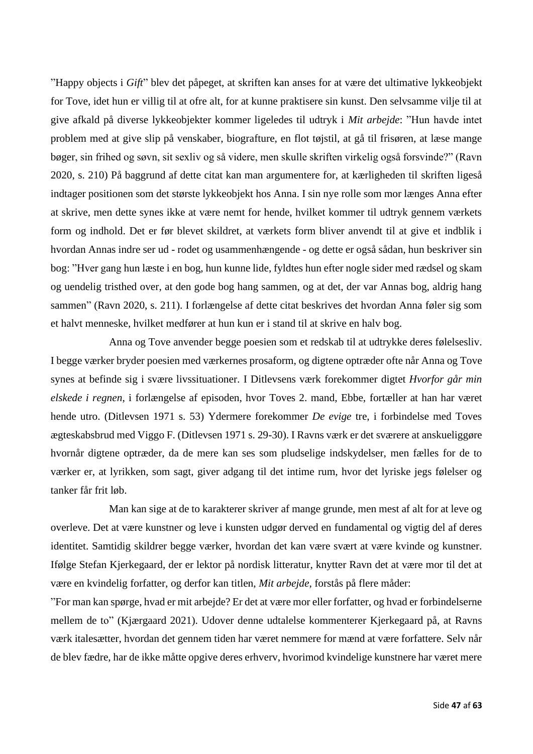"Happy objects i *Gift*" blev det påpeget, at skriften kan anses for at være det ultimative lykkeobjekt for Tove, idet hun er villig til at ofre alt, for at kunne praktisere sin kunst. Den selvsamme vilje til at give afkald på diverse lykkeobjekter kommer ligeledes til udtryk i *Mit arbejde*: "Hun havde intet problem med at give slip på venskaber, biografture, en flot tøjstil, at gå til frisøren, at læse mange bøger, sin frihed og søvn, sit sexliv og så videre, men skulle skriften virkelig også forsvinde?" (Ravn 2020, s. 210) På baggrund af dette citat kan man argumentere for, at kærligheden til skriften ligeså indtager positionen som det største lykkeobjekt hos Anna. I sin nye rolle som mor længes Anna efter at skrive, men dette synes ikke at være nemt for hende, hvilket kommer til udtryk gennem værkets form og indhold. Det er før blevet skildret, at værkets form bliver anvendt til at give et indblik i hvordan Annas indre ser ud - rodet og usammenhængende - og dette er også sådan, hun beskriver sin bog: "Hver gang hun læste i en bog, hun kunne lide, fyldtes hun efter nogle sider med rædsel og skam og uendelig tristhed over, at den gode bog hang sammen, og at det, der var Annas bog, aldrig hang sammen" (Ravn 2020, s. 211). I forlængelse af dette citat beskrives det hvordan Anna føler sig som et halvt menneske, hvilket medfører at hun kun er i stand til at skrive en halv bog.

Anna og Tove anvender begge poesien som et redskab til at udtrykke deres følelsesliv. I begge værker bryder poesien med værkernes prosaform, og digtene optræder ofte når Anna og Tove synes at befinde sig i svære livssituationer. I Ditlevsens værk forekommer digtet *Hvorfor går min elskede i regnen*, i forlængelse af episoden, hvor Toves 2. mand, Ebbe, fortæller at han har været hende utro. (Ditlevsen 1971 s. 53) Ydermere forekommer *De evige* tre, i forbindelse med Toves ægteskabsbrud med Viggo F. (Ditlevsen 1971 s. 29-30). I Ravns værk er det sværere at anskueliggøre hvornår digtene optræder, da de mere kan ses som pludselige indskydelser, men fælles for de to værker er, at lyrikken, som sagt, giver adgang til det intime rum, hvor det lyriske jegs følelser og tanker får frit løb.

Man kan sige at de to karakterer skriver af mange grunde, men mest af alt for at leve og overleve. Det at være kunstner og leve i kunsten udgør derved en fundamental og vigtig del af deres identitet. Samtidig skildrer begge værker, hvordan det kan være svært at være kvinde og kunstner. Ifølge Stefan Kjerkegaard, der er lektor på nordisk litteratur, knytter Ravn det at være mor til det at være en kvindelig forfatter, og derfor kan titlen, *Mit arbejde*, forstås på flere måder:

"For man kan spørge, hvad er mit arbejde? Er det at være mor eller forfatter, og hvad er forbindelserne mellem de to" (Kjærgaard 2021). Udover denne udtalelse kommenterer Kjerkegaard på, at Ravns værk italesætter, hvordan det gennem tiden har været nemmere for mænd at være forfattere. Selv når de blev fædre, har de ikke måtte opgive deres erhverv, hvorimod kvindelige kunstnere har været mere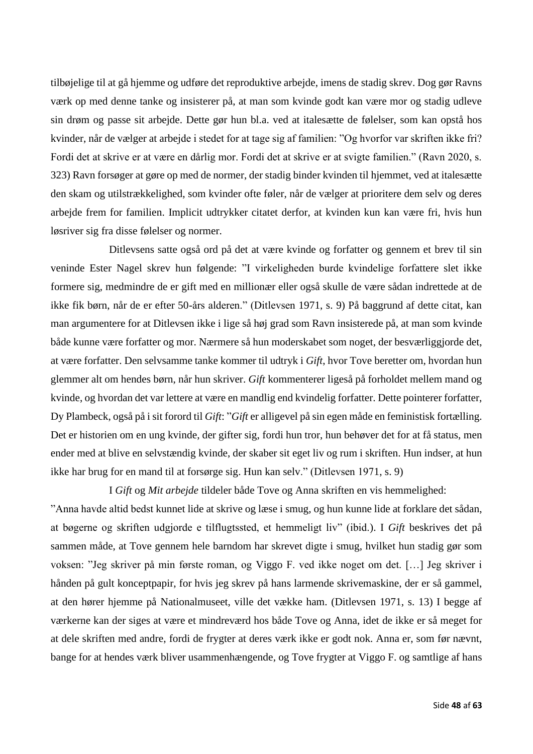tilbøjelige til at gå hjemme og udføre det reproduktive arbejde, imens de stadig skrev. Dog gør Ravns værk op med denne tanke og insisterer på, at man som kvinde godt kan være mor og stadig udleve sin drøm og passe sit arbejde. Dette gør hun bl.a. ved at italesætte de følelser, som kan opstå hos kvinder, når de vælger at arbejde i stedet for at tage sig af familien: "Og hvorfor var skriften ikke fri? Fordi det at skrive er at være en dårlig mor. Fordi det at skrive er at svigte familien." (Ravn 2020, s. 323) Ravn forsøger at gøre op med de normer, der stadig binder kvinden til hjemmet, ved at italesætte den skam og utilstrækkelighed, som kvinder ofte føler, når de vælger at prioritere dem selv og deres arbejde frem for familien. Implicit udtrykker citatet derfor, at kvinden kun kan være fri, hvis hun løsriver sig fra disse følelser og normer.

Ditlevsens satte også ord på det at være kvinde og forfatter og gennem et brev til sin veninde Ester Nagel skrev hun følgende: "I virkeligheden burde kvindelige forfattere slet ikke formere sig, medmindre de er gift med en millionær eller også skulle de være sådan indrettede at de ikke fik børn, når de er efter 50-års alderen." (Ditlevsen 1971, s. 9) På baggrund af dette citat, kan man argumentere for at Ditlevsen ikke i lige så høj grad som Ravn insisterede på, at man som kvinde både kunne være forfatter og mor. Nærmere så hun moderskabet som noget, der besværliggjorde det, at være forfatter. Den selvsamme tanke kommer til udtryk i *Gift*, hvor Tove beretter om, hvordan hun glemmer alt om hendes børn, når hun skriver. *Gift* kommenterer ligeså på forholdet mellem mand og kvinde, og hvordan det var lettere at være en mandlig end kvindelig forfatter. Dette pointerer forfatter, Dy Plambeck, også på i sit forord til *Gift*: "*Gift* er alligevel på sin egen måde en feministisk fortælling. Det er historien om en ung kvinde, der gifter sig, fordi hun tror, hun behøver det for at få status, men ender med at blive en selvstændig kvinde, der skaber sit eget liv og rum i skriften. Hun indser, at hun ikke har brug for en mand til at forsørge sig. Hun kan selv." (Ditlevsen 1971, s. 9)

I *Gift* og *Mit arbejde* tildeler både Tove og Anna skriften en vis hemmelighed: "Anna havde altid bedst kunnet lide at skrive og læse i smug, og hun kunne lide at forklare det sådan, at bøgerne og skriften udgjorde e tilflugtssted, et hemmeligt liv" (ibid.). I *Gift* beskrives det på sammen måde, at Tove gennem hele barndom har skrevet digte i smug, hvilket hun stadig gør som voksen: "Jeg skriver på min første roman, og Viggo F. ved ikke noget om det. […] Jeg skriver i hånden på gult konceptpapir, for hvis jeg skrev på hans larmende skrivemaskine, der er så gammel, at den hører hjemme på Nationalmuseet, ville det vække ham. (Ditlevsen 1971, s. 13) I begge af værkerne kan der siges at være et mindreværd hos både Tove og Anna, idet de ikke er så meget for at dele skriften med andre, fordi de frygter at deres værk ikke er godt nok. Anna er, som før nævnt, bange for at hendes værk bliver usammenhængende, og Tove frygter at Viggo F. og samtlige af hans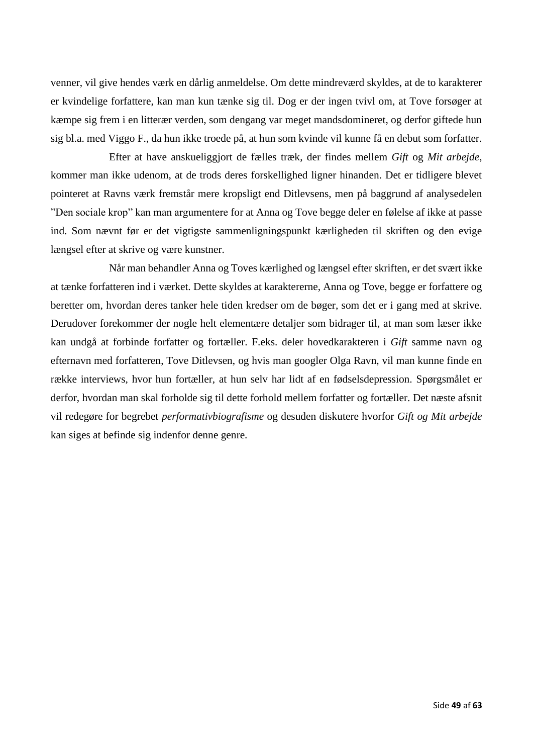venner, vil give hendes værk en dårlig anmeldelse. Om dette mindreværd skyldes, at de to karakterer er kvindelige forfattere, kan man kun tænke sig til. Dog er der ingen tvivl om, at Tove forsøger at kæmpe sig frem i en litterær verden, som dengang var meget mandsdomineret, og derfor giftede hun sig bl.a. med Viggo F., da hun ikke troede på, at hun som kvinde vil kunne få en debut som forfatter.

Efter at have anskueliggjort de fælles træk, der findes mellem *Gift* og *Mit arbejde*, kommer man ikke udenom, at de trods deres forskellighed ligner hinanden. Det er tidligere blevet pointeret at Ravns værk fremstår mere kropsligt end Ditlevsens, men på baggrund af analysedelen "Den sociale krop" kan man argumentere for at Anna og Tove begge deler en følelse af ikke at passe ind. Som nævnt før er det vigtigste sammenligningspunkt kærligheden til skriften og den evige længsel efter at skrive og være kunstner.

Når man behandler Anna og Toves kærlighed og længsel efter skriften, er det svært ikke at tænke forfatteren ind i værket. Dette skyldes at karaktererne, Anna og Tove, begge er forfattere og beretter om, hvordan deres tanker hele tiden kredser om de bøger, som det er i gang med at skrive. Derudover forekommer der nogle helt elementære detaljer som bidrager til, at man som læser ikke kan undgå at forbinde forfatter og fortæller. F.eks. deler hovedkarakteren i *Gift* samme navn og efternavn med forfatteren, Tove Ditlevsen, og hvis man googler Olga Ravn, vil man kunne finde en række interviews, hvor hun fortæller, at hun selv har lidt af en fødselsdepression. Spørgsmålet er derfor, hvordan man skal forholde sig til dette forhold mellem forfatter og fortæller. Det næste afsnit vil redegøre for begrebet *performativbiografisme* og desuden diskutere hvorfor *Gift og Mit arbejde*  kan siges at befinde sig indenfor denne genre.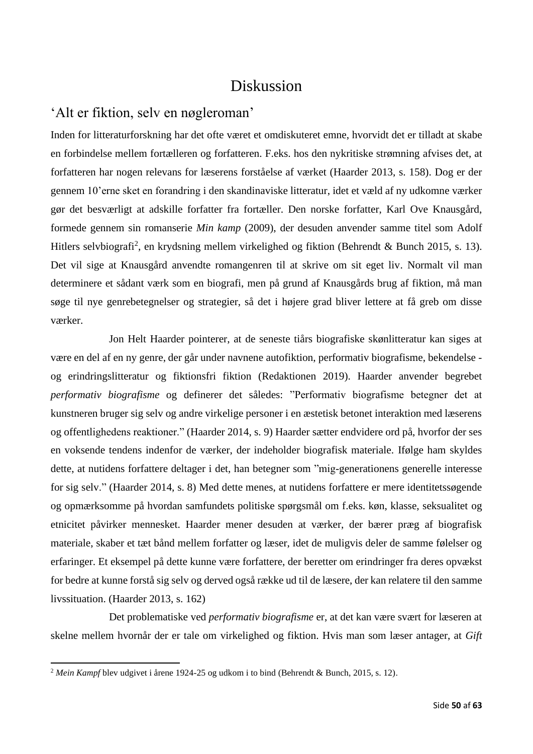### Diskussion

### <span id="page-50-1"></span><span id="page-50-0"></span>'Alt er fiktion, selv en nøgleroman'

Inden for litteraturforskning har det ofte været et omdiskuteret emne, hvorvidt det er tilladt at skabe en forbindelse mellem fortælleren og forfatteren. F.eks. hos den nykritiske strømning afvises det, at forfatteren har nogen relevans for læserens forståelse af værket (Haarder 2013, s. 158). Dog er der gennem 10'erne sket en forandring i den skandinaviske litteratur, idet et væld af ny udkomne værker gør det besværligt at adskille forfatter fra fortæller. Den norske forfatter, Karl Ove Knausgård, formede gennem sin romanserie *Min kamp* (2009), der desuden anvender samme titel som Adolf Hitlers selvbiografi<sup>2</sup>, en krydsning mellem virkelighed og fiktion (Behrendt & Bunch 2015, s. 13). Det vil sige at Knausgård anvendte romangenren til at skrive om sit eget liv. Normalt vil man determinere et sådant værk som en biografi, men på grund af Knausgårds brug af fiktion, må man søge til nye genrebetegnelser og strategier, så det i højere grad bliver lettere at få greb om disse værker.

Jon Helt Haarder pointerer, at de seneste tiårs biografiske skønlitteratur kan siges at være en del af en ny genre, der går under navnene autofiktion, performativ biografisme, bekendelse og erindringslitteratur og fiktionsfri fiktion (Redaktionen 2019). Haarder anvender begrebet *performativ biografisme* og definerer det således: "Performativ biografisme betegner det at kunstneren bruger sig selv og andre virkelige personer i en æstetisk betonet interaktion med læserens og offentlighedens reaktioner." (Haarder 2014, s. 9) Haarder sætter endvidere ord på, hvorfor der ses en voksende tendens indenfor de værker, der indeholder biografisk materiale. Ifølge ham skyldes dette, at nutidens forfattere deltager i det, han betegner som "mig-generationens generelle interesse for sig selv." (Haarder 2014, s. 8) Med dette menes, at nutidens forfattere er mere identitetssøgende og opmærksomme på hvordan samfundets politiske spørgsmål om f.eks. køn, klasse, seksualitet og etnicitet påvirker mennesket. Haarder mener desuden at værker, der bærer præg af biografisk materiale, skaber et tæt bånd mellem forfatter og læser, idet de muligvis deler de samme følelser og erfaringer. Et eksempel på dette kunne være forfattere, der beretter om erindringer fra deres opvækst for bedre at kunne forstå sig selv og derved også række ud til de læsere, der kan relatere til den samme livssituation. (Haarder 2013, s. 162)

Det problematiske ved *performativ biografisme* er, at det kan være svært for læseren at skelne mellem hvornår der er tale om virkelighed og fiktion. Hvis man som læser antager, at *Gift*

<sup>2</sup> *Mein Kampf* blev udgivet i årene 1924-25 og udkom i to bind (Behrendt & Bunch, 2015, s. 12).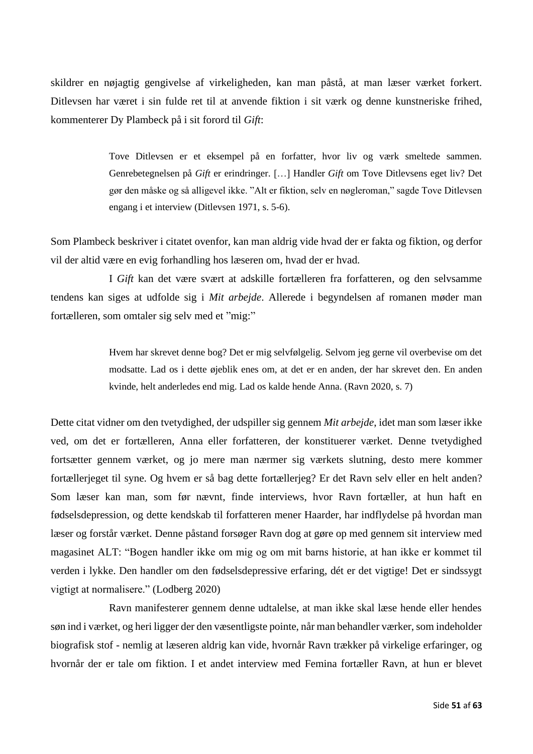skildrer en nøjagtig gengivelse af virkeligheden, kan man påstå, at man læser værket forkert. Ditlevsen har været i sin fulde ret til at anvende fiktion i sit værk og denne kunstneriske frihed, kommenterer Dy Plambeck på i sit forord til *Gift*:

> Tove Ditlevsen er et eksempel på en forfatter, hvor liv og værk smeltede sammen. Genrebetegnelsen på *Gift* er erindringer. […] Handler *Gift* om Tove Ditlevsens eget liv? Det gør den måske og så alligevel ikke. "Alt er fiktion, selv en nøgleroman," sagde Tove Ditlevsen engang i et interview (Ditlevsen 1971, s. 5-6).

Som Plambeck beskriver i citatet ovenfor, kan man aldrig vide hvad der er fakta og fiktion, og derfor vil der altid være en evig forhandling hos læseren om, hvad der er hvad.

I *Gift* kan det være svært at adskille fortælleren fra forfatteren, og den selvsamme tendens kan siges at udfolde sig i *Mit arbejde*. Allerede i begyndelsen af romanen møder man fortælleren, som omtaler sig selv med et "mig:"

> Hvem har skrevet denne bog? Det er mig selvfølgelig. Selvom jeg gerne vil overbevise om det modsatte. Lad os i dette øjeblik enes om, at det er en anden, der har skrevet den. En anden kvinde, helt anderledes end mig. Lad os kalde hende Anna. (Ravn 2020, s. 7)

Dette citat vidner om den tvetydighed, der udspiller sig gennem *Mit arbejde*, idet man som læser ikke ved, om det er fortælleren, Anna eller forfatteren, der konstituerer værket. Denne tvetydighed fortsætter gennem værket, og jo mere man nærmer sig værkets slutning, desto mere kommer fortællerjeget til syne. Og hvem er så bag dette fortællerjeg? Er det Ravn selv eller en helt anden? Som læser kan man, som før nævnt, finde interviews, hvor Ravn fortæller, at hun haft en fødselsdepression, og dette kendskab til forfatteren mener Haarder, har indflydelse på hvordan man læser og forstår værket. Denne påstand forsøger Ravn dog at gøre op med gennem sit interview med magasinet ALT: "Bogen handler ikke om mig og om mit barns historie, at han ikke er kommet til verden i lykke. Den handler om den fødselsdepressive erfaring, dét er det vigtige! Det er sindssygt vigtigt at normalisere." (Lodberg 2020)

Ravn manifesterer gennem denne udtalelse, at man ikke skal læse hende eller hendes søn ind i værket, og heri ligger der den væsentligste pointe, når man behandler værker, som indeholder biografisk stof - nemlig at læseren aldrig kan vide, hvornår Ravn trækker på virkelige erfaringer, og hvornår der er tale om fiktion. I et andet interview med Femina fortæller Ravn, at hun er blevet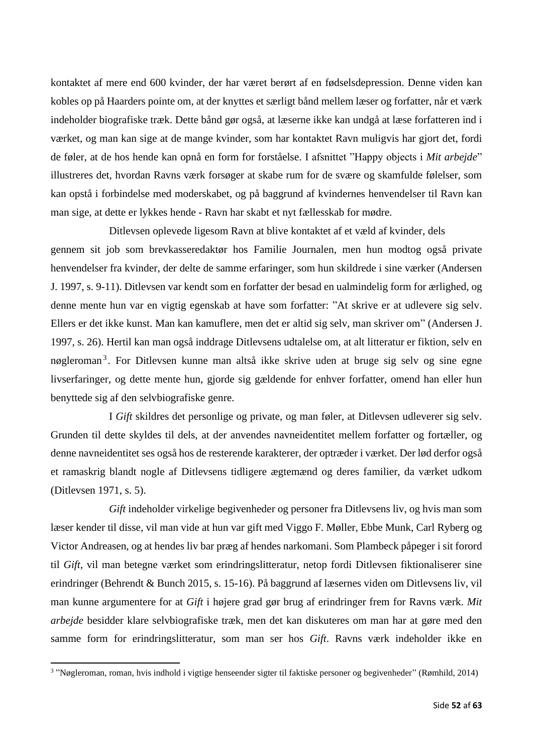kontaktet af mere end 600 kvinder, der har været berørt af en fødselsdepression. Denne viden kan kobles op på Haarders pointe om, at der knyttes et særligt bånd mellem læser og forfatter, når et værk indeholder biografiske træk. Dette bånd gør også, at læserne ikke kan undgå at læse forfatteren ind i værket, og man kan sige at de mange kvinder, som har kontaktet Ravn muligvis har gjort det, fordi de føler, at de hos hende kan opnå en form for forståelse. I afsnittet "Happy objects i *Mit arbejde*" illustreres det, hvordan Ravns værk forsøger at skabe rum for de svære og skamfulde følelser, som kan opstå i forbindelse med moderskabet, og på baggrund af kvindernes henvendelser til Ravn kan man sige, at dette er lykkes hende - Ravn har skabt et nyt fællesskab for mødre.

Ditlevsen oplevede ligesom Ravn at blive kontaktet af et væld af kvinder, dels gennem sit job som brevkasseredaktør hos Familie Journalen, men hun modtog også private henvendelser fra kvinder, der delte de samme erfaringer, som hun skildrede i sine værker (Andersen J. 1997, s. 9-11). Ditlevsen var kendt som en forfatter der besad en ualmindelig form for ærlighed, og denne mente hun var en vigtig egenskab at have som forfatter: "At skrive er at udlevere sig selv. Ellers er det ikke kunst. Man kan kamuflere, men det er altid sig selv, man skriver om" (Andersen J. 1997, s. 26). Hertil kan man også inddrage Ditlevsens udtalelse om, at alt litteratur er fiktion, selv en nøgleroman<sup>3</sup>. For Ditlevsen kunne man altså ikke skrive uden at bruge sig selv og sine egne livserfaringer, og dette mente hun, gjorde sig gældende for enhver forfatter, omend han eller hun benyttede sig af den selvbiografiske genre.

I *Gift* skildres det personlige og private, og man føler, at Ditlevsen udleverer sig selv. Grunden til dette skyldes til dels, at der anvendes navneidentitet mellem forfatter og fortæller, og denne navneidentitet ses også hos de resterende karakterer, der optræder i værket. Der lød derfor også et ramaskrig blandt nogle af Ditlevsens tidligere ægtemænd og deres familier, da værket udkom (Ditlevsen 1971, s. 5).

*Gift* indeholder virkelige begivenheder og personer fra Ditlevsens liv, og hvis man som læser kender til disse, vil man vide at hun var gift med Viggo F. Møller, Ebbe Munk, Carl Ryberg og Victor Andreasen, og at hendes liv bar præg af hendes narkomani. Som Plambeck påpeger i sit forord til *Gift*, vil man betegne værket som erindringslitteratur, netop fordi Ditlevsen fiktionaliserer sine erindringer (Behrendt & Bunch 2015, s. 15-16). På baggrund af læsernes viden om Ditlevsens liv, vil man kunne argumentere for at *Gift* i højere grad gør brug af erindringer frem for Ravns værk. *Mit arbejde* besidder klare selvbiografiske træk, men det kan diskuteres om man har at gøre med den samme form for erindringslitteratur, som man ser hos *Gift*. Ravns værk indeholder ikke en

<sup>3</sup> "Nøgleroman, roman, hvis indhold i vigtige henseender sigter til faktiske personer og begivenheder" (Rømhild, 2014)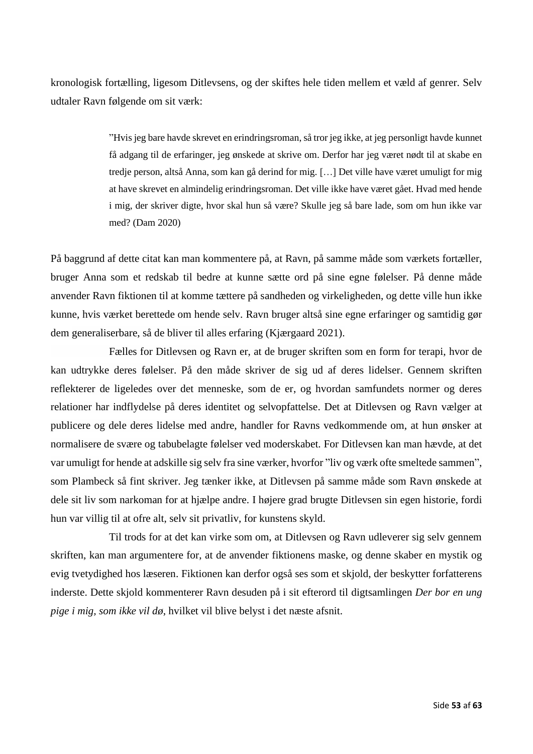kronologisk fortælling, ligesom Ditlevsens, og der skiftes hele tiden mellem et væld af genrer. Selv udtaler Ravn følgende om sit værk:

> "Hvis jeg bare havde skrevet en erindringsroman, så tror jeg ikke, at jeg personligt havde kunnet få adgang til de erfaringer, jeg ønskede at skrive om. Derfor har jeg været nødt til at skabe en tredje person, altså Anna, som kan gå derind for mig. […] Det ville have været umuligt for mig at have skrevet en almindelig erindringsroman. Det ville ikke have været gået. Hvad med hende i mig, der skriver digte, hvor skal hun så være? Skulle jeg så bare lade, som om hun ikke var med? (Dam 2020)

På baggrund af dette citat kan man kommentere på, at Ravn, på samme måde som værkets fortæller, bruger Anna som et redskab til bedre at kunne sætte ord på sine egne følelser. På denne måde anvender Ravn fiktionen til at komme tættere på sandheden og virkeligheden, og dette ville hun ikke kunne, hvis værket berettede om hende selv. Ravn bruger altså sine egne erfaringer og samtidig gør dem generaliserbare, så de bliver til alles erfaring (Kjærgaard 2021).

Fælles for Ditlevsen og Ravn er, at de bruger skriften som en form for terapi, hvor de kan udtrykke deres følelser. På den måde skriver de sig ud af deres lidelser. Gennem skriften reflekterer de ligeledes over det menneske, som de er, og hvordan samfundets normer og deres relationer har indflydelse på deres identitet og selvopfattelse. Det at Ditlevsen og Ravn vælger at publicere og dele deres lidelse med andre, handler for Ravns vedkommende om, at hun ønsker at normalisere de svære og tabubelagte følelser ved moderskabet. For Ditlevsen kan man hævde, at det var umuligt for hende at adskille sig selv fra sine værker, hvorfor "liv og værk ofte smeltede sammen", som Plambeck så fint skriver. Jeg tænker ikke, at Ditlevsen på samme måde som Ravn ønskede at dele sit liv som narkoman for at hjælpe andre. I højere grad brugte Ditlevsen sin egen historie, fordi hun var villig til at ofre alt, selv sit privatliv, for kunstens skyld.

Til trods for at det kan virke som om, at Ditlevsen og Ravn udleverer sig selv gennem skriften, kan man argumentere for, at de anvender fiktionens maske, og denne skaber en mystik og evig tvetydighed hos læseren. Fiktionen kan derfor også ses som et skjold, der beskytter forfatterens inderste. Dette skjold kommenterer Ravn desuden på i sit efterord til digtsamlingen *Der bor en ung pige i mig, som ikke vil dø*, hvilket vil blive belyst i det næste afsnit.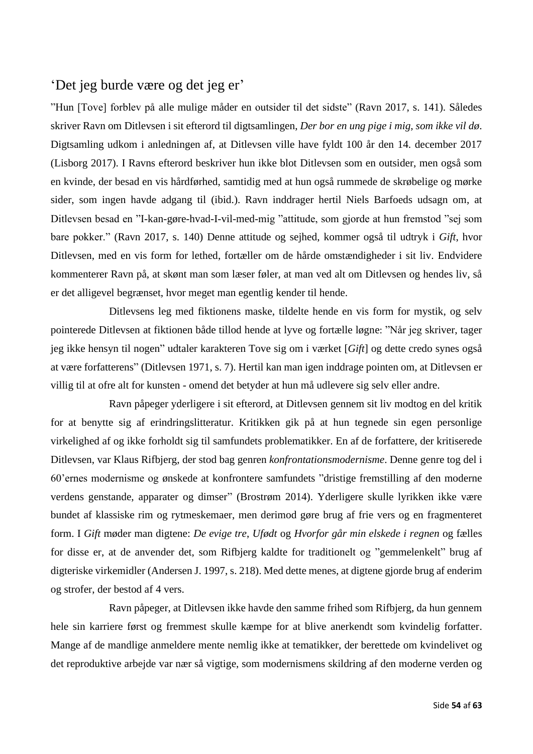### <span id="page-54-0"></span>'Det jeg burde være og det jeg er'

"Hun [Tove] forblev på alle mulige måder en outsider til det sidste" (Ravn 2017, s. 141). Således skriver Ravn om Ditlevsen i sit efterord til digtsamlingen, *Der bor en ung pige i mig, som ikke vil dø*. Digtsamling udkom i anledningen af, at Ditlevsen ville have fyldt 100 år den 14. december 2017 (Lisborg 2017). I Ravns efterord beskriver hun ikke blot Ditlevsen som en outsider, men også som en kvinde, der besad en vis hårdførhed, samtidig med at hun også rummede de skrøbelige og mørke sider, som ingen havde adgang til (ibid.). Ravn inddrager hertil Niels Barfoeds udsagn om, at Ditlevsen besad en "I-kan-gøre-hvad-I-vil-med-mig "attitude, som gjorde at hun fremstod "sej som bare pokker." (Ravn 2017, s. 140) Denne attitude og sejhed, kommer også til udtryk i *Gift*, hvor Ditlevsen, med en vis form for lethed, fortæller om de hårde omstændigheder i sit liv. Endvidere kommenterer Ravn på, at skønt man som læser føler, at man ved alt om Ditlevsen og hendes liv, så er det alligevel begrænset, hvor meget man egentlig kender til hende.

Ditlevsens leg med fiktionens maske, tildelte hende en vis form for mystik, og selv pointerede Ditlevsen at fiktionen både tillod hende at lyve og fortælle løgne: "Når jeg skriver, tager jeg ikke hensyn til nogen" udtaler karakteren Tove sig om i værket [*Gift*] og dette credo synes også at være forfatterens" (Ditlevsen 1971, s. 7). Hertil kan man igen inddrage pointen om, at Ditlevsen er villig til at ofre alt for kunsten - omend det betyder at hun må udlevere sig selv eller andre.

Ravn påpeger yderligere i sit efterord, at Ditlevsen gennem sit liv modtog en del kritik for at benytte sig af erindringslitteratur. Kritikken gik på at hun tegnede sin egen personlige virkelighed af og ikke forholdt sig til samfundets problematikker. En af de forfattere, der kritiserede Ditlevsen, var Klaus Rifbjerg, der stod bag genren *konfrontationsmodernisme*. Denne genre tog del i 60'ernes modernisme og ønskede at konfrontere samfundets "dristige fremstilling af den moderne verdens genstande, apparater og dimser" (Brostrøm 2014). Yderligere skulle lyrikken ikke være bundet af klassiske rim og rytmeskemaer, men derimod gøre brug af frie vers og en fragmenteret form. I *Gift* møder man digtene: *De evige tre*, *Ufødt* og *Hvorfor går min elskede i regnen* og fælles for disse er, at de anvender det, som Rifbjerg kaldte for traditionelt og "gemmelenkelt" brug af digteriske virkemidler (Andersen J. 1997, s. 218). Med dette menes, at digtene gjorde brug af enderim og strofer, der bestod af 4 vers.

Ravn påpeger, at Ditlevsen ikke havde den samme frihed som Rifbjerg, da hun gennem hele sin karriere først og fremmest skulle kæmpe for at blive anerkendt som kvindelig forfatter. Mange af de mandlige anmeldere mente nemlig ikke at tematikker, der berettede om kvindelivet og det reproduktive arbejde var nær så vigtige, som modernismens skildring af den moderne verden og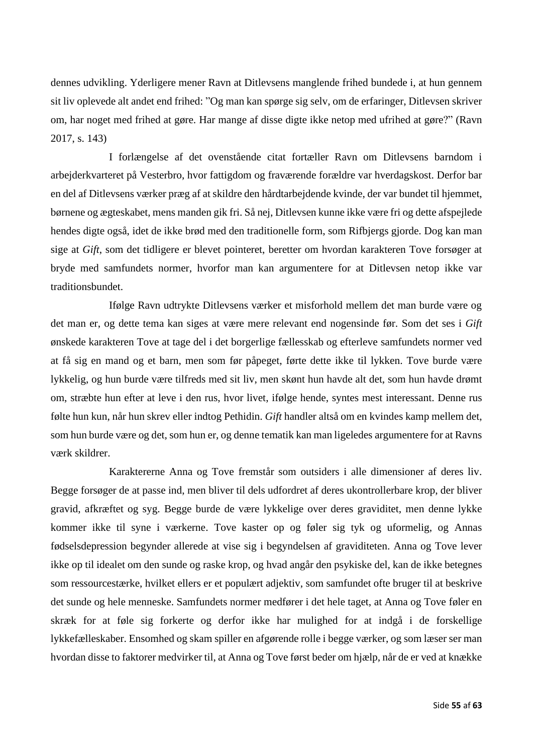dennes udvikling. Yderligere mener Ravn at Ditlevsens manglende frihed bundede i, at hun gennem sit liv oplevede alt andet end frihed: "Og man kan spørge sig selv, om de erfaringer, Ditlevsen skriver om, har noget med frihed at gøre. Har mange af disse digte ikke netop med ufrihed at gøre?" (Ravn 2017, s. 143)

I forlængelse af det ovenstående citat fortæller Ravn om Ditlevsens barndom i arbejderkvarteret på Vesterbro, hvor fattigdom og fraværende forældre var hverdagskost. Derfor bar en del af Ditlevsens værker præg af at skildre den hårdtarbejdende kvinde, der var bundet til hjemmet, børnene og ægteskabet, mens manden gik fri. Så nej, Ditlevsen kunne ikke være fri og dette afspejlede hendes digte også, idet de ikke brød med den traditionelle form, som Rifbjergs gjorde. Dog kan man sige at *Gift*, som det tidligere er blevet pointeret, beretter om hvordan karakteren Tove forsøger at bryde med samfundets normer, hvorfor man kan argumentere for at Ditlevsen netop ikke var traditionsbundet.

Ifølge Ravn udtrykte Ditlevsens værker et misforhold mellem det man burde være og det man er, og dette tema kan siges at være mere relevant end nogensinde før. Som det ses i *Gift* ønskede karakteren Tove at tage del i det borgerlige fællesskab og efterleve samfundets normer ved at få sig en mand og et barn, men som før påpeget, førte dette ikke til lykken. Tove burde være lykkelig, og hun burde være tilfreds med sit liv, men skønt hun havde alt det, som hun havde drømt om, stræbte hun efter at leve i den rus, hvor livet, ifølge hende, syntes mest interessant. Denne rus følte hun kun, når hun skrev eller indtog Pethidin. *Gift* handler altså om en kvindes kamp mellem det, som hun burde være og det, som hun er, og denne tematik kan man ligeledes argumentere for at Ravns værk skildrer.

Karaktererne Anna og Tove fremstår som outsiders i alle dimensioner af deres liv. Begge forsøger de at passe ind, men bliver til dels udfordret af deres ukontrollerbare krop, der bliver gravid, afkræftet og syg. Begge burde de være lykkelige over deres graviditet, men denne lykke kommer ikke til syne i værkerne. Tove kaster op og føler sig tyk og uformelig, og Annas fødselsdepression begynder allerede at vise sig i begyndelsen af graviditeten. Anna og Tove lever ikke op til idealet om den sunde og raske krop, og hvad angår den psykiske del, kan de ikke betegnes som ressourcestærke, hvilket ellers er et populært adjektiv, som samfundet ofte bruger til at beskrive det sunde og hele menneske. Samfundets normer medfører i det hele taget, at Anna og Tove føler en skræk for at føle sig forkerte og derfor ikke har mulighed for at indgå i de forskellige lykkefælleskaber. Ensomhed og skam spiller en afgørende rolle i begge værker, og som læser ser man hvordan disse to faktorer medvirker til, at Anna og Tove først beder om hjælp, når de er ved at knække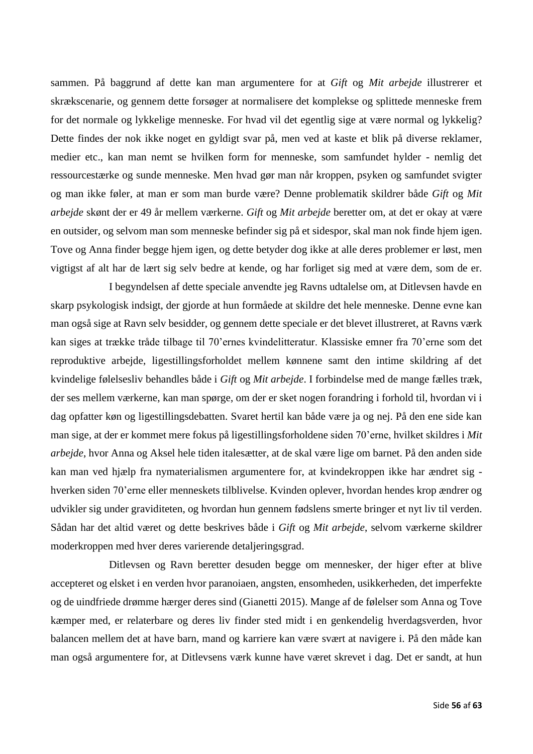sammen. På baggrund af dette kan man argumentere for at *Gift* og *Mit arbejde* illustrerer et skrækscenarie, og gennem dette forsøger at normalisere det komplekse og splittede menneske frem for det normale og lykkelige menneske. For hvad vil det egentlig sige at være normal og lykkelig? Dette findes der nok ikke noget en gyldigt svar på, men ved at kaste et blik på diverse reklamer, medier etc., kan man nemt se hvilken form for menneske, som samfundet hylder - nemlig det ressourcestærke og sunde menneske. Men hvad gør man når kroppen, psyken og samfundet svigter og man ikke føler, at man er som man burde være? Denne problematik skildrer både *Gift* og *Mit arbejde* skønt der er 49 år mellem værkerne. *Gift* og *Mit arbejde* beretter om, at det er okay at være en outsider, og selvom man som menneske befinder sig på et sidespor, skal man nok finde hjem igen. Tove og Anna finder begge hjem igen, og dette betyder dog ikke at alle deres problemer er løst, men vigtigst af alt har de lært sig selv bedre at kende, og har forliget sig med at være dem, som de er.

I begyndelsen af dette speciale anvendte jeg Ravns udtalelse om, at Ditlevsen havde en skarp psykologisk indsigt, der gjorde at hun formåede at skildre det hele menneske. Denne evne kan man også sige at Ravn selv besidder, og gennem dette speciale er det blevet illustreret, at Ravns værk kan siges at trække tråde tilbage til 70'ernes kvindelitteratur. Klassiske emner fra 70'erne som det reproduktive arbejde, ligestillingsforholdet mellem kønnene samt den intime skildring af det kvindelige følelsesliv behandles både i *Gift* og *Mit arbejde*. I forbindelse med de mange fælles træk, der ses mellem værkerne, kan man spørge, om der er sket nogen forandring i forhold til, hvordan vi i dag opfatter køn og ligestillingsdebatten. Svaret hertil kan både være ja og nej. På den ene side kan man sige, at der er kommet mere fokus på ligestillingsforholdene siden 70'erne, hvilket skildres i *Mit arbejde*, hvor Anna og Aksel hele tiden italesætter, at de skal være lige om barnet. På den anden side kan man ved hjælp fra nymaterialismen argumentere for, at kvindekroppen ikke har ændret sig hverken siden 70'erne eller menneskets tilblivelse. Kvinden oplever, hvordan hendes krop ændrer og udvikler sig under graviditeten, og hvordan hun gennem fødslens smerte bringer et nyt liv til verden. Sådan har det altid været og dette beskrives både i *Gift* og *Mit arbejde*, selvom værkerne skildrer moderkroppen med hver deres varierende detaljeringsgrad.

Ditlevsen og Ravn beretter desuden begge om mennesker, der higer efter at blive accepteret og elsket i en verden hvor paranoiaen, angsten, ensomheden, usikkerheden, det imperfekte og de uindfriede drømme hærger deres sind (Gianetti 2015). Mange af de følelser som Anna og Tove kæmper med, er relaterbare og deres liv finder sted midt i en genkendelig hverdagsverden, hvor balancen mellem det at have barn, mand og karriere kan være svært at navigere i. På den måde kan man også argumentere for, at Ditlevsens værk kunne have været skrevet i dag. Det er sandt, at hun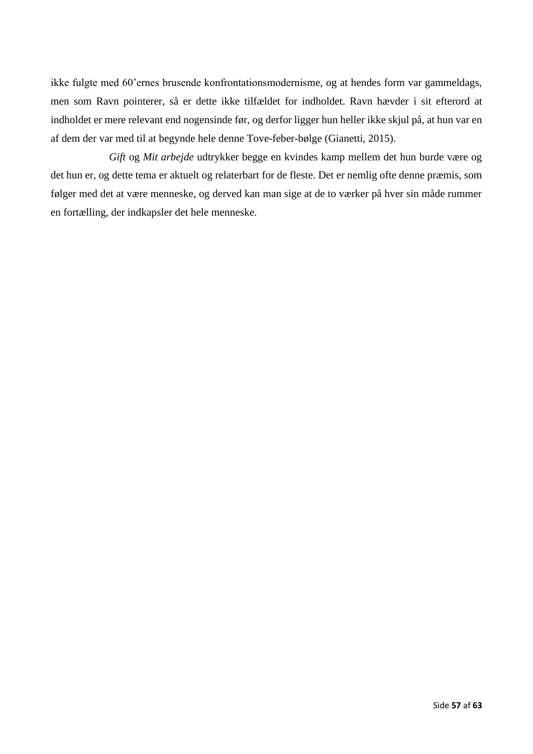ikke fulgte med 60'ernes brusende konfrontationsmodernisme, og at hendes form var gammeldags, men som Ravn pointerer, så er dette ikke tilfældet for indholdet. Ravn hævder i sit efterord at indholdet er mere relevant end nogensinde før, og derfor ligger hun heller ikke skjul på, at hun var en af dem der var med til at begynde hele denne Tove-feber-bølge (Gianetti, 2015).

*Gift* og *Mit arbejde* udtrykker begge en kvindes kamp mellem det hun burde være og det hun er, og dette tema er aktuelt og relaterbart for de fleste. Det er nemlig ofte denne præmis, som følger med det at være menneske, og derved kan man sige at de to værker på hver sin måde rummer en fortælling, der indkapsler det hele menneske.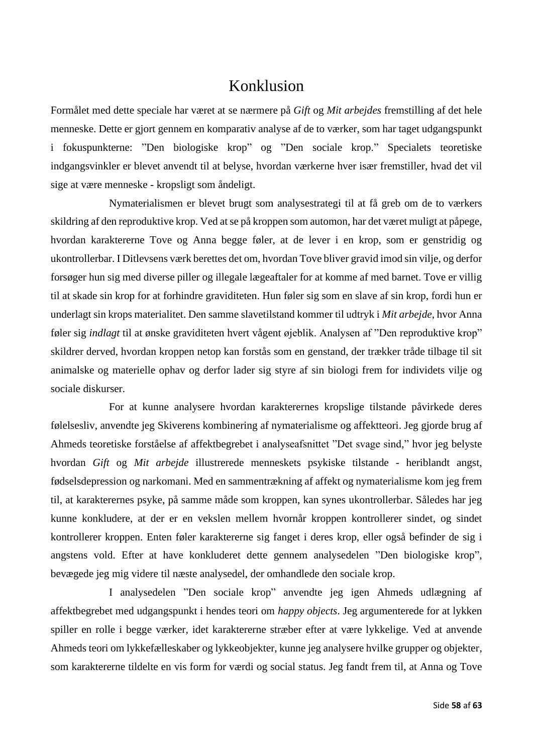### Konklusion

<span id="page-58-0"></span>Formålet med dette speciale har været at se nærmere på *Gift* og *Mit arbejdes* fremstilling af det hele menneske. Dette er gjort gennem en komparativ analyse af de to værker, som har taget udgangspunkt i fokuspunkterne: "Den biologiske krop" og "Den sociale krop." Specialets teoretiske indgangsvinkler er blevet anvendt til at belyse, hvordan værkerne hver især fremstiller, hvad det vil sige at være menneske - kropsligt som åndeligt.

Nymaterialismen er blevet brugt som analysestrategi til at få greb om de to værkers skildring af den reproduktive krop. Ved at se på kroppen som automon, har det været muligt at påpege, hvordan karaktererne Tove og Anna begge føler, at de lever i en krop, som er genstridig og ukontrollerbar. I Ditlevsens værk berettes det om, hvordan Tove bliver gravid imod sin vilje, og derfor forsøger hun sig med diverse piller og illegale lægeaftaler for at komme af med barnet. Tove er villig til at skade sin krop for at forhindre graviditeten. Hun føler sig som en slave af sin krop, fordi hun er underlagt sin krops materialitet. Den samme slavetilstand kommer til udtryk i *Mit arbejde*, hvor Anna føler sig *indlagt* til at ønske graviditeten hvert vågent øjeblik. Analysen af "Den reproduktive krop" skildrer derved, hvordan kroppen netop kan forstås som en genstand, der trækker tråde tilbage til sit animalske og materielle ophav og derfor lader sig styre af sin biologi frem for individets vilje og sociale diskurser.

For at kunne analysere hvordan karakterernes kropslige tilstande påvirkede deres følelsesliv, anvendte jeg Skiverens kombinering af nymaterialisme og affektteori. Jeg gjorde brug af Ahmeds teoretiske forståelse af affektbegrebet i analyseafsnittet "Det svage sind," hvor jeg belyste hvordan *Gift* og *Mit arbejde* illustrerede menneskets psykiske tilstande - heriblandt angst, fødselsdepression og narkomani. Med en sammentrækning af affekt og nymaterialisme kom jeg frem til, at karakterernes psyke, på samme måde som kroppen, kan synes ukontrollerbar. Således har jeg kunne konkludere, at der er en vekslen mellem hvornår kroppen kontrollerer sindet, og sindet kontrollerer kroppen. Enten føler karaktererne sig fanget i deres krop, eller også befinder de sig i angstens vold. Efter at have konkluderet dette gennem analysedelen "Den biologiske krop", bevægede jeg mig videre til næste analysedel, der omhandlede den sociale krop.

I analysedelen "Den sociale krop" anvendte jeg igen Ahmeds udlægning af affektbegrebet med udgangspunkt i hendes teori om *happy objects*. Jeg argumenterede for at lykken spiller en rolle i begge værker, idet karaktererne stræber efter at være lykkelige. Ved at anvende Ahmeds teori om lykkefælleskaber og lykkeobjekter, kunne jeg analysere hvilke grupper og objekter, som karaktererne tildelte en vis form for værdi og social status. Jeg fandt frem til, at Anna og Tove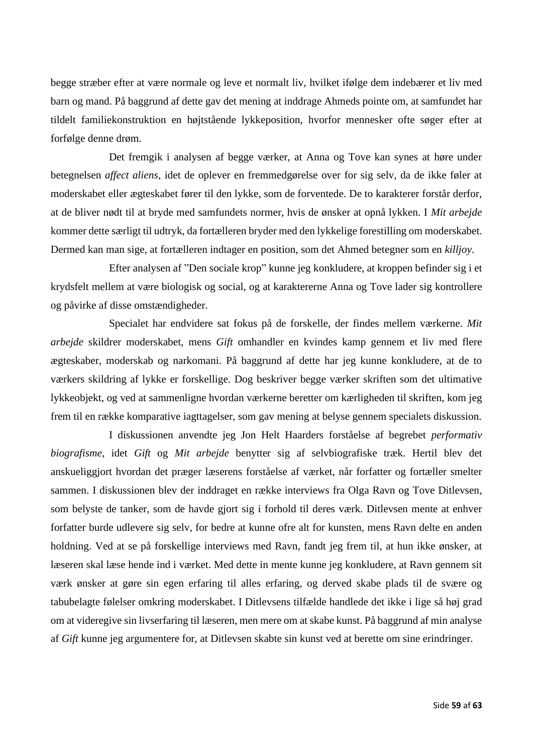begge stræber efter at være normale og leve et normalt liv, hvilket ifølge dem indebærer et liv med barn og mand. På baggrund af dette gav det mening at inddrage Ahmeds pointe om, at samfundet har tildelt familiekonstruktion en højtstående lykkeposition, hvorfor mennesker ofte søger efter at forfølge denne drøm.

Det fremgik i analysen af begge værker, at Anna og Tove kan synes at høre under betegnelsen *affect aliens*, idet de oplever en fremmedgørelse over for sig selv, da de ikke føler at moderskabet eller ægteskabet fører til den lykke, som de forventede. De to karakterer forstår derfor, at de bliver nødt til at bryde med samfundets normer, hvis de ønsker at opnå lykken. I *Mit arbejde* kommer dette særligt til udtryk, da fortælleren bryder med den lykkelige forestilling om moderskabet. Dermed kan man sige, at fortælleren indtager en position, som det Ahmed betegner som en *killjoy*.

Efter analysen af "Den sociale krop" kunne jeg konkludere, at kroppen befinder sig i et krydsfelt mellem at være biologisk og social, og at karaktererne Anna og Tove lader sig kontrollere og påvirke af disse omstændigheder.

Specialet har endvidere sat fokus på de forskelle, der findes mellem værkerne. *Mit arbejde* skildrer moderskabet, mens *Gift* omhandler en kvindes kamp gennem et liv med flere ægteskaber, moderskab og narkomani. På baggrund af dette har jeg kunne konkludere, at de to værkers skildring af lykke er forskellige. Dog beskriver begge værker skriften som det ultimative lykkeobjekt, og ved at sammenligne hvordan værkerne beretter om kærligheden til skriften, kom jeg frem til en række komparative iagttagelser, som gav mening at belyse gennem specialets diskussion.

I diskussionen anvendte jeg Jon Helt Haarders forståelse af begrebet *performativ biografisme*, idet *Gift* og *Mit arbejde* benytter sig af selvbiografiske træk. Hertil blev det anskueliggjort hvordan det præger læserens forståelse af værket, når forfatter og fortæller smelter sammen. I diskussionen blev der inddraget en række interviews fra Olga Ravn og Tove Ditlevsen, som belyste de tanker, som de havde gjort sig i forhold til deres værk. Ditlevsen mente at enhver forfatter burde udlevere sig selv, for bedre at kunne ofre alt for kunsten, mens Ravn delte en anden holdning. Ved at se på forskellige interviews med Ravn, fandt jeg frem til, at hun ikke ønsker, at læseren skal læse hende ind i værket. Med dette in mente kunne jeg konkludere, at Ravn gennem sit værk ønsker at gøre sin egen erfaring til alles erfaring, og derved skabe plads til de svære og tabubelagte følelser omkring moderskabet. I Ditlevsens tilfælde handlede det ikke i lige så høj grad om at videregive sin livserfaring til læseren, men mere om at skabe kunst. På baggrund af min analyse af *Gift* kunne jeg argumentere for, at Ditlevsen skabte sin kunst ved at berette om sine erindringer.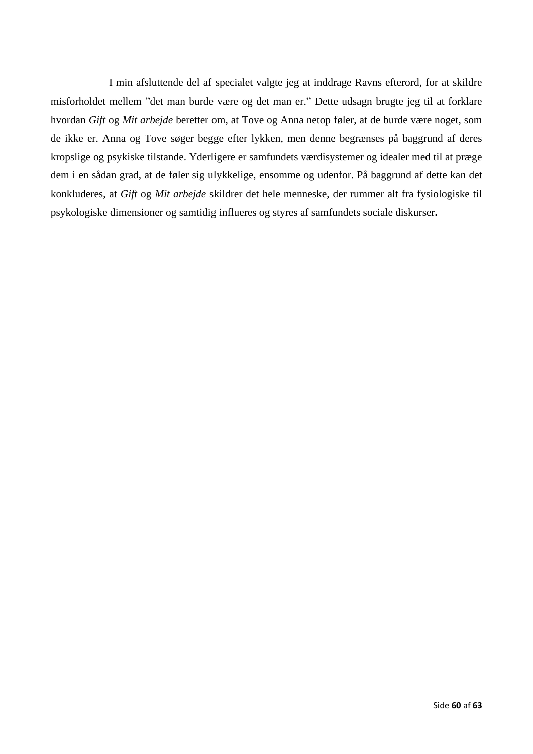I min afsluttende del af specialet valgte jeg at inddrage Ravns efterord, for at skildre misforholdet mellem "det man burde være og det man er." Dette udsagn brugte jeg til at forklare hvordan *Gift* og *Mit arbejde* beretter om, at Tove og Anna netop føler, at de burde være noget, som de ikke er. Anna og Tove søger begge efter lykken, men denne begrænses på baggrund af deres kropslige og psykiske tilstande. Yderligere er samfundets værdisystemer og idealer med til at præge dem i en sådan grad, at de føler sig ulykkelige, ensomme og udenfor. På baggrund af dette kan det konkluderes, at *Gift* og *Mit arbejde* skildrer det hele menneske, der rummer alt fra fysiologiske til psykologiske dimensioner og samtidig influeres og styres af samfundets sociale diskurser**.**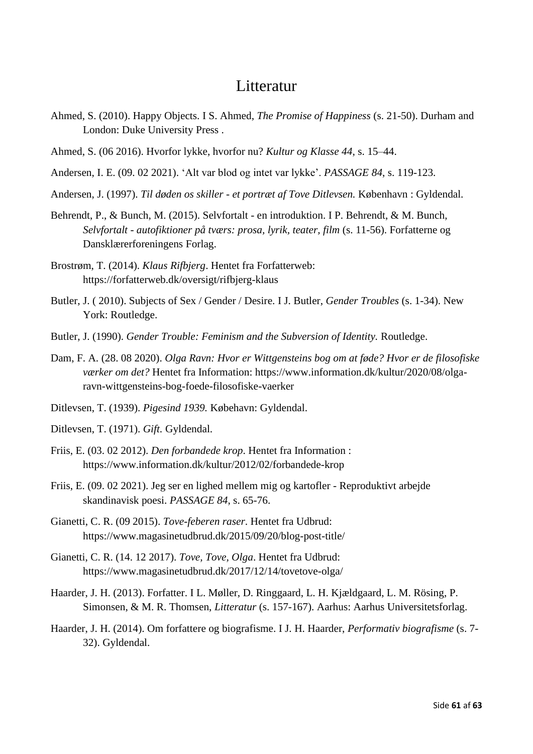### **Litteratur**

- <span id="page-61-0"></span>Ahmed, S. (2010). Happy Objects. I S. Ahmed, *The Promise of Happiness* (s. 21-50). Durham and London: Duke University Press .
- Ahmed, S. (06 2016). Hvorfor lykke, hvorfor nu? *Kultur og Klasse 44*, s. 15–44.
- Andersen, I. E. (09. 02 2021). 'Alt var blod og intet var lykke'. *PASSAGE 84*, s. 119-123.
- Andersen, J. (1997). *Til døden os skiller - et portræt af Tove Ditlevsen.* København : Gyldendal.
- Behrendt, P., & Bunch, M. (2015). Selvfortalt en introduktion. I P. Behrendt, & M. Bunch, *Selvfortalt - autofiktioner på tværs: prosa, lyrik, teater, film* (s. 11-56). Forfatterne og Dansklærerforeningens Forlag.
- Brostrøm, T. (2014). *Klaus Rifbjerg*. Hentet fra Forfatterweb: https://forfatterweb.dk/oversigt/rifbjerg-klaus
- Butler, J. ( 2010). Subjects of Sex / Gender / Desire. I J. Butler, *Gender Troubles* (s. 1-34). New York: Routledge.
- Butler, J. (1990). *Gender Trouble: Feminism and the Subversion of Identity.* Routledge.
- Dam, F. A. (28. 08 2020). *Olga Ravn: Hvor er Wittgensteins bog om at føde? Hvor er de filosofiske værker om det?* Hentet fra Information: https://www.information.dk/kultur/2020/08/olgaravn-wittgensteins-bog-foede-filosofiske-vaerker
- Ditlevsen, T. (1939). *Pigesind 1939.* Købehavn: Gyldendal.
- Ditlevsen, T. (1971). *Gift.* Gyldendal.
- Friis, E. (03. 02 2012). *Den forbandede krop*. Hentet fra Information : https://www.information.dk/kultur/2012/02/forbandede-krop
- Friis, E. (09. 02 2021). Jeg ser en lighed mellem mig og kartofler Reproduktivt arbejde skandinavisk poesi. *PASSAGE 84*, s. 65-76.
- Gianetti, C. R. (09 2015). *Tove-feberen raser*. Hentet fra Udbrud: https://www.magasinetudbrud.dk/2015/09/20/blog-post-title/
- Gianetti, C. R. (14. 12 2017). *Tove, Tove, Olga*. Hentet fra Udbrud: https://www.magasinetudbrud.dk/2017/12/14/tovetove-olga/
- Haarder, J. H. (2013). Forfatter. I L. Møller, D. Ringgaard, L. H. Kjældgaard, L. M. Rösing, P. Simonsen, & M. R. Thomsen, *Litteratur* (s. 157-167). Aarhus: Aarhus Universitetsforlag.
- Haarder, J. H. (2014). Om forfattere og biografisme. I J. H. Haarder, *Performativ biografisme* (s. 7- 32). Gyldendal.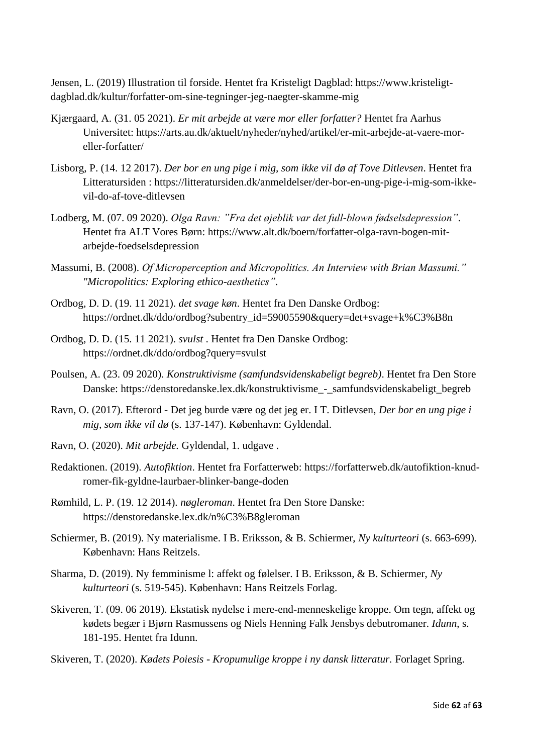Jensen, L. (2019) Illustration til forside. Hentet fra Kristeligt Dagblad: https://www.kristeligtdagblad.dk/kultur/forfatter-om-sine-tegninger-jeg-naegter-skamme-mig

- Kjærgaard, A. (31. 05 2021). *Er mit arbejde at være mor eller forfatter?* Hentet fra Aarhus Universitet: https://arts.au.dk/aktuelt/nyheder/nyhed/artikel/er-mit-arbejde-at-vaere-moreller-forfatter/
- Lisborg, P. (14. 12 2017). *Der bor en ung pige i mig, som ikke vil dø af Tove Ditlevsen*. Hentet fra Litteratursiden : https://litteratursiden.dk/anmeldelser/der-bor-en-ung-pige-i-mig-som-ikkevil-do-af-tove-ditlevsen
- Lodberg, M. (07. 09 2020). *Olga Ravn: "Fra det øjeblik var det full-blown fødselsdepression"*. Hentet fra ALT Vores Børn: https://www.alt.dk/boern/forfatter-olga-ravn-bogen-mitarbejde-foedselsdepression
- Massumi, B. (2008). *Of Microperception and Micropolitics. An Interview with Brian Massumi." "Micropolitics: Exploring ethico-aesthetics"*.
- Ordbog, D. D. (19. 11 2021). *det svage køn*. Hentet fra Den Danske Ordbog: https://ordnet.dk/ddo/ordbog?subentry\_id=59005590&query=det+svage+k%C3%B8n
- Ordbog, D. D. (15. 11 2021). *svulst* . Hentet fra Den Danske Ordbog: https://ordnet.dk/ddo/ordbog?query=svulst
- Poulsen, A. (23. 09 2020). *Konstruktivisme (samfundsvidenskabeligt begreb)*. Hentet fra Den Store Danske: https://denstoredanske.lex.dk/konstruktivisme\_-\_samfundsvidenskabeligt\_begreb
- Ravn, O. (2017). Efterord Det jeg burde være og det jeg er. I T. Ditlevsen, *Der bor en ung pige i mig, som ikke vil dø* (s. 137-147). København: Gyldendal.
- Ravn, O. (2020). *Mit arbejde.* Gyldendal, 1. udgave .
- Redaktionen. (2019). *Autofiktion*. Hentet fra Forfatterweb: https://forfatterweb.dk/autofiktion-knudromer-fik-gyldne-laurbaer-blinker-bange-doden
- Rømhild, L. P. (19. 12 2014). *nøgleroman*. Hentet fra Den Store Danske: https://denstoredanske.lex.dk/n%C3%B8gleroman
- Schiermer, B. (2019). Ny materialisme. I B. Eriksson, & B. Schiermer, *Ny kulturteori* (s. 663-699). København: Hans Reitzels.
- Sharma, D. (2019). Ny femminisme l: affekt og følelser. I B. Eriksson, & B. Schiermer, *Ny kulturteori* (s. 519-545). København: Hans Reitzels Forlag.
- Skiveren, T. (09. 06 2019). Ekstatisk nydelse i mere-end-menneskelige kroppe. Om tegn, affekt og kødets begær i Bjørn Rasmussens og Niels Henning Falk Jensbys debutromaner. *Idunn*, s. 181-195. Hentet fra Idunn.
- Skiveren, T. (2020). *Kødets Poiesis - Kropumulige kroppe i ny dansk litteratur.* Forlaget Spring.